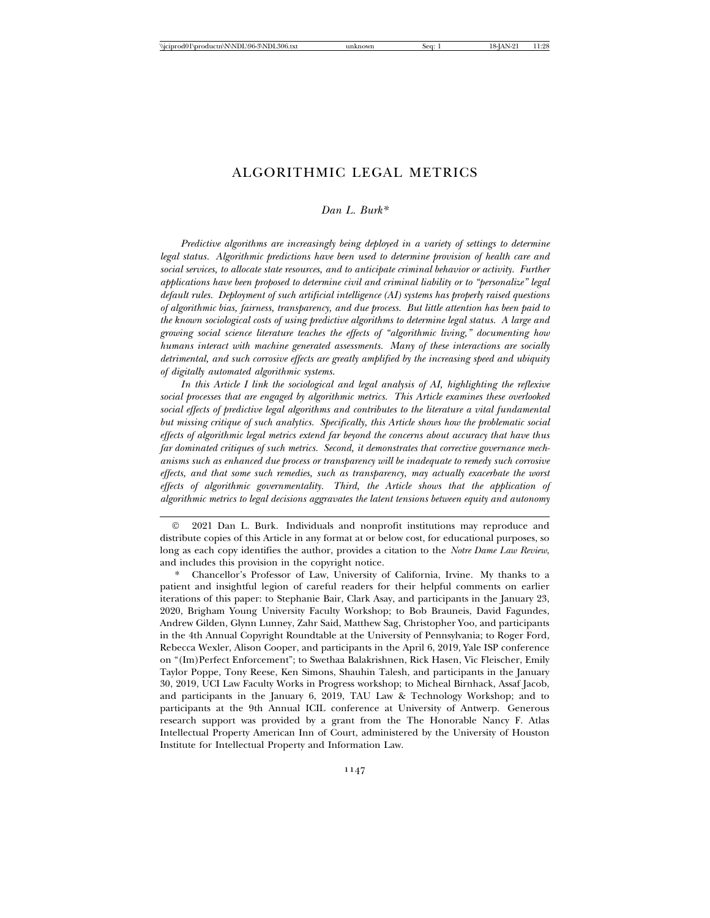# ALGORITHMIC LEGAL METRICS

## *Dan L. Burk\**

*Predictive algorithms are increasingly being deployed in a variety of settings to determine legal status. Algorithmic predictions have been used to determine provision of health care and social services, to allocate state resources, and to anticipate criminal behavior or activity. Further applications have been proposed to determine civil and criminal liability or to "personalize" legal default rules. Deployment of such artificial intelligence (AI) systems has properly raised questions of algorithmic bias, fairness, transparency, and due process. But little attention has been paid to the known sociological costs of using predictive algorithms to determine legal status. A large and growing social science literature teaches the effects of "algorithmic living," documenting how humans interact with machine generated assessments. Many of these interactions are socially detrimental, and such corrosive effects are greatly amplified by the increasing speed and ubiquity of digitally automated algorithmic systems.*

*In this Article I link the sociological and legal analysis of AI, highlighting the reflexive social processes that are engaged by algorithmic metrics. This Article examines these overlooked social effects of predictive legal algorithms and contributes to the literature a vital fundamental but missing critique of such analytics. Specifically, this Article shows how the problematic social effects of algorithmic legal metrics extend far beyond the concerns about accuracy that have thus far dominated critiques of such metrics. Second, it demonstrates that corrective governance mechanisms such as enhanced due process or transparency will be inadequate to remedy such corrosive effects, and that some such remedies, such as transparency, may actually exacerbate the worst effects of algorithmic governmentality. Third, the Article shows that the application of algorithmic metrics to legal decisions aggravates the latent tensions between equity and autonomy*

<sup>©</sup> 2021 Dan L. Burk. Individuals and nonprofit institutions may reproduce and distribute copies of this Article in any format at or below cost, for educational purposes, so long as each copy identifies the author, provides a citation to the *Notre Dame Law Review*, and includes this provision in the copyright notice.

<sup>\*</sup> Chancellor's Professor of Law, University of California, Irvine. My thanks to a patient and insightful legion of careful readers for their helpful comments on earlier iterations of this paper: to Stephanie Bair, Clark Asay, and participants in the January 23, 2020, Brigham Young University Faculty Workshop; to Bob Brauneis, David Fagundes, Andrew Gilden, Glynn Lunney, Zahr Said, Matthew Sag, Christopher Yoo, and participants in the 4th Annual Copyright Roundtable at the University of Pennsylvania; to Roger Ford, Rebecca Wexler, Alison Cooper, and participants in the April 6, 2019, Yale ISP conference on "(Im)Perfect Enforcement"; to Swethaa Balakrishnen, Rick Hasen, Vic Fleischer, Emily Taylor Poppe, Tony Reese, Ken Simons, Shauhin Talesh, and participants in the January 30, 2019, UCI Law Faculty Works in Progress workshop; to Micheal Birnhack, Assaf Jacob, and participants in the January 6, 2019, TAU Law & Technology Workshop; and to participants at the 9th Annual ICIL conference at University of Antwerp. Generous research support was provided by a grant from the The Honorable Nancy F. Atlas Intellectual Property American Inn of Court, administered by the University of Houston Institute for Intellectual Property and Information Law.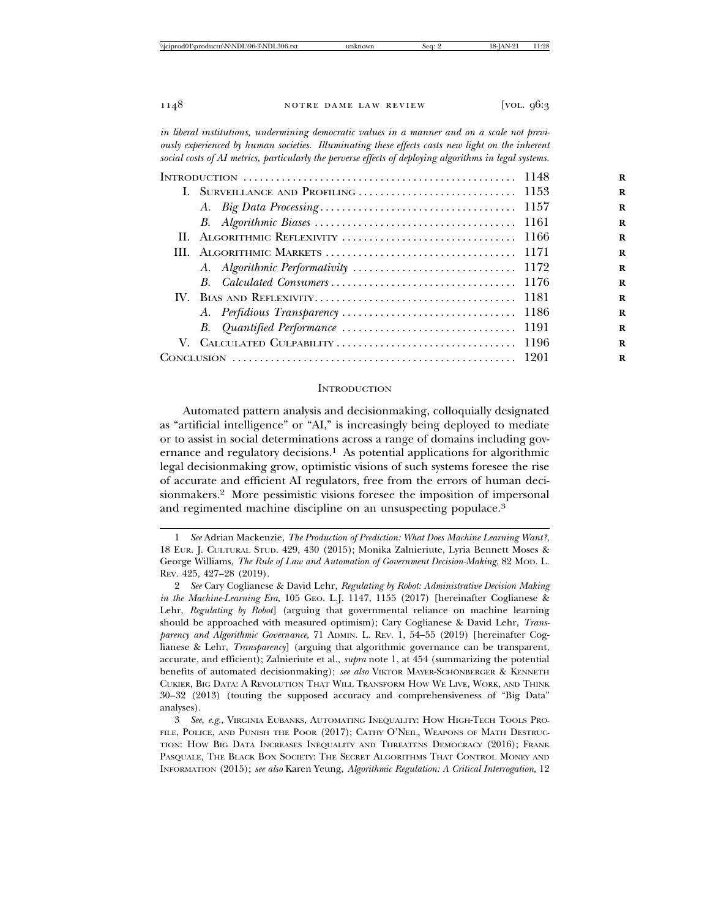*in liberal institutions, undermining democratic values in a manner and on a scale not previously experienced by human societies. Illuminating these effects casts new light on the inherent social costs of AI metrics, particularly the perverse effects of deploying algorithms in legal systems.*

#### **INTRODUCTION**

Automated pattern analysis and decisionmaking, colloquially designated as "artificial intelligence" or "AI," is increasingly being deployed to mediate or to assist in social determinations across a range of domains including governance and regulatory decisions.<sup>1</sup> As potential applications for algorithmic legal decisionmaking grow, optimistic visions of such systems foresee the rise of accurate and efficient AI regulators, free from the errors of human decisionmakers.2 More pessimistic visions foresee the imposition of impersonal and regimented machine discipline on an unsuspecting populace.<sup>3</sup>

<sup>1</sup> *See* Adrian Mackenzie, *The Production of Prediction: What Does Machine Learning Want?*, 18 EUR. J. CULTURAL STUD. 429, 430 (2015); Monika Zalnieriute, Lyria Bennett Moses & George Williams, *The Rule of Law and Automation of Government Decision-Making*, 82 MOD. L. REV. 425, 427–28 (2019).

<sup>2</sup> *See* Cary Coglianese & David Lehr, *Regulating by Robot: Administrative Decision Making in the Machine-Learning Era*, 105 GEO. L.J. 1147, 1155 (2017) [hereinafter Coglianese & Lehr, *Regulating by Robot*] (arguing that governmental reliance on machine learning should be approached with measured optimism); Cary Coglianese & David Lehr, *Transparency and Algorithmic Governance*, 71 ADMIN. L. REV. 1, 54–55 (2019) [hereinafter Coglianese & Lehr, *Transparency*] (arguing that algorithmic governance can be transparent, accurate, and efficient); Zalnieriute et al., *supra* note 1, at 454 (summarizing the potential benefits of automated decisionmaking); *see also* VIKTOR MAYER-SCHÖNBERGER & KENNETH CUKIER, BIG DATA: A REVOLUTION THAT WILL TRANSFORM HOW WE LIVE, WORK, AND THINK 30–32 (2013) (touting the supposed accuracy and comprehensiveness of "Big Data" analyses).

<sup>3</sup> *See, e.g.*, VIRGINIA EUBANKS, AUTOMATING INEQUALITY: HOW HIGH-TECH TOOLS PRO-FILE, POLICE, AND PUNISH THE POOR (2017); CATHY O'NEIL, WEAPONS OF MATH DESTRUC-TION: HOW BIG DATA INCREASES INEQUALITY AND THREATENS DEMOCRACY (2016); FRANK PASQUALE, THE BLACK BOX SOCIETY: THE SECRET ALGORITHMS THAT CONTROL MONEY AND INFORMATION (2015); *see also* Karen Yeung, *Algorithmic Regulation: A Critical Interrogation*, 12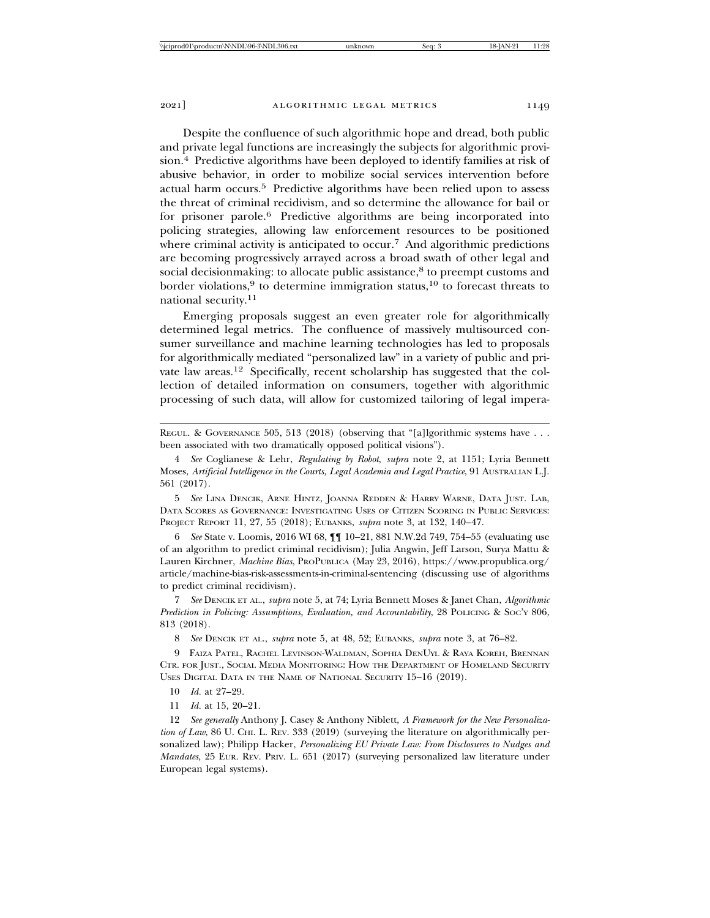Despite the confluence of such algorithmic hope and dread, both public and private legal functions are increasingly the subjects for algorithmic provision.4 Predictive algorithms have been deployed to identify families at risk of abusive behavior, in order to mobilize social services intervention before actual harm occurs.5 Predictive algorithms have been relied upon to assess the threat of criminal recidivism, and so determine the allowance for bail or for prisoner parole.6 Predictive algorithms are being incorporated into policing strategies, allowing law enforcement resources to be positioned where criminal activity is anticipated to occur.<sup>7</sup> And algorithmic predictions are becoming progressively arrayed across a broad swath of other legal and social decisionmaking: to allocate public assistance,<sup>8</sup> to preempt customs and border violations,<sup>9</sup> to determine immigration status,<sup>10</sup> to forecast threats to national security.<sup>11</sup>

Emerging proposals suggest an even greater role for algorithmically determined legal metrics. The confluence of massively multisourced consumer surveillance and machine learning technologies has led to proposals for algorithmically mediated "personalized law" in a variety of public and private law areas.12 Specifically, recent scholarship has suggested that the collection of detailed information on consumers, together with algorithmic processing of such data, will allow for customized tailoring of legal impera-

REGUL. & GOVERNANCE 505, 513 (2018) (observing that "[a]lgorithmic systems have . . . been associated with two dramatically opposed political visions").

4 *See* Coglianese & Lehr, *Regulating by Robot*, *supra* note 2, at 1151; Lyria Bennett Moses, *Artificial Intelligence in the Courts, Legal Academia and Legal Practice*, 91 AUSTRALIAN L.J. 561 (2017).

5 *See* LINA DENCIK, ARNE HINTZ, JOANNA REDDEN & HARRY WARNE, DATA JUST. LAB, DATA SCORES AS GOVERNANCE: INVESTIGATING USES OF CITIZEN SCORING IN PUBLIC SERVICES: PROJECT REPORT 11, 27, 55 (2018); EUBANKS, *supra* note 3, at 132, 140–47.

6 *See* State v. Loomis, 2016 WI 68, ¶¶ 10–21, 881 N.W.2d 749, 754–55 (evaluating use of an algorithm to predict criminal recidivism); Julia Angwin, Jeff Larson, Surya Mattu & Lauren Kirchner, *Machine Bias*, PROPUBLICA (May 23, 2016), https://www.propublica.org/ article/machine-bias-risk-assessments-in-criminal-sentencing (discussing use of algorithms to predict criminal recidivism).

7 *See* DENCIK ET AL., *supra* note 5, at 74; Lyria Bennett Moses & Janet Chan, *Algorithmic Prediction in Policing: Assumptions, Evaluation, and Accountability*, 28 POLICING & SOC'Y 806, 813 (2018).

8 *See* DENCIK ET AL., *supra* note 5, at 48, 52; EUBANKS, *supra* note 3, at 76–82.

9 FAIZA PATEL, RACHEL LEVINSON-WALDMAN, SOPHIA DENUYL & RAYA KOREH, BRENNAN CTR. FOR JUST., SOCIAL MEDIA MONITORING: HOW THE DEPARTMENT OF HOMELAND SECURITY USES DIGITAL DATA IN THE NAME OF NATIONAL SECURITY 15–16 (2019).

10 *Id.* at 27–29.

11 *Id.* at 15, 20–21.

12 *See generally* Anthony J. Casey & Anthony Niblett, *A Framework for the New Personalization of Law*, 86 U. CHI. L. REV. 333 (2019) (surveying the literature on algorithmically personalized law); Philipp Hacker, *Personalizing EU Private Law: From Disclosures to Nudges and Mandates*, 25 EUR. REV. PRIV. L. 651 (2017) (surveying personalized law literature under European legal systems).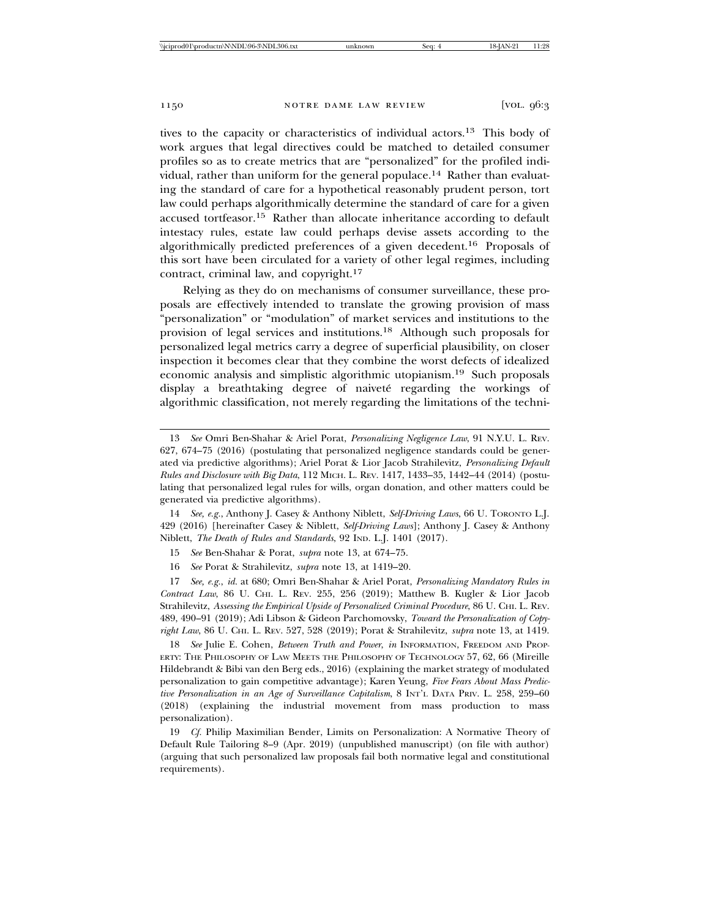tives to the capacity or characteristics of individual actors.13 This body of work argues that legal directives could be matched to detailed consumer profiles so as to create metrics that are "personalized" for the profiled individual, rather than uniform for the general populace.<sup>14</sup> Rather than evaluating the standard of care for a hypothetical reasonably prudent person, tort law could perhaps algorithmically determine the standard of care for a given accused tortfeasor.15 Rather than allocate inheritance according to default intestacy rules, estate law could perhaps devise assets according to the algorithmically predicted preferences of a given decedent.16 Proposals of this sort have been circulated for a variety of other legal regimes, including contract, criminal law, and copyright.<sup>17</sup>

Relying as they do on mechanisms of consumer surveillance, these proposals are effectively intended to translate the growing provision of mass "personalization" or "modulation" of market services and institutions to the provision of legal services and institutions.18 Although such proposals for personalized legal metrics carry a degree of superficial plausibility, on closer inspection it becomes clear that they combine the worst defects of idealized economic analysis and simplistic algorithmic utopianism.19 Such proposals display a breathtaking degree of naiveté regarding the workings of algorithmic classification, not merely regarding the limitations of the techni-

14 *See, e.g.*, Anthony J. Casey & Anthony Niblett, *Self-Driving Laws*, 66 U. TORONTO L.J. 429 (2016) [hereinafter Casey & Niblett, *Self-Driving Laws*]; Anthony J. Casey & Anthony Niblett, *The Death of Rules and Standards*, 92 IND. L.J. 1401 (2017).

15 *See* Ben-Shahar & Porat, *supra* note 13, at 674–75.

16 *See* Porat & Strahilevitz, *supra* note 13, at 1419–20.

17 *See, e.g.*, *id.* at 680; Omri Ben-Shahar & Ariel Porat, *Personalizing Mandatory Rules in Contract Law*, 86 U. CHI. L. REV. 255, 256 (2019); Matthew B. Kugler & Lior Jacob Strahilevitz, *Assessing the Empirical Upside of Personalized Criminal Procedure*, 86 U. CHI. L. REV. 489, 490–91 (2019); Adi Libson & Gideon Parchomovsky, *Toward the Personalization of Copyright Law*, 86 U. CHI. L. REV. 527, 528 (2019); Porat & Strahilevitz, *supra* note 13, at 1419.

18 *See* Julie E. Cohen, *Between Truth and Power*, *in* INFORMATION, FREEDOM AND PROP-ERTY: THE PHILOSOPHY OF LAW MEETS THE PHILOSOPHY OF TECHNOLOGY 57, 62, 66 (Mireille Hildebrandt & Bibi van den Berg eds., 2016) (explaining the market strategy of modulated personalization to gain competitive advantage); Karen Yeung, *Five Fears About Mass Predictive Personalization in an Age of Surveillance Capitalism*, 8 INT'L DATA PRIV. L. 258, 259–60 (2018) (explaining the industrial movement from mass production to mass personalization).

19 *Cf.* Philip Maximilian Bender, Limits on Personalization: A Normative Theory of Default Rule Tailoring 8–9 (Apr. 2019) (unpublished manuscript) (on file with author) (arguing that such personalized law proposals fail both normative legal and constitutional requirements).

<sup>13</sup> *See* Omri Ben-Shahar & Ariel Porat, *Personalizing Negligence Law*, 91 N.Y.U. L. REV. 627, 674–75 (2016) (postulating that personalized negligence standards could be generated via predictive algorithms); Ariel Porat & Lior Jacob Strahilevitz, *Personalizing Default Rules and Disclosure with Big Data*, 112 MICH. L. REV. 1417, 1433–35, 1442–44 (2014) (postulating that personalized legal rules for wills, organ donation, and other matters could be generated via predictive algorithms).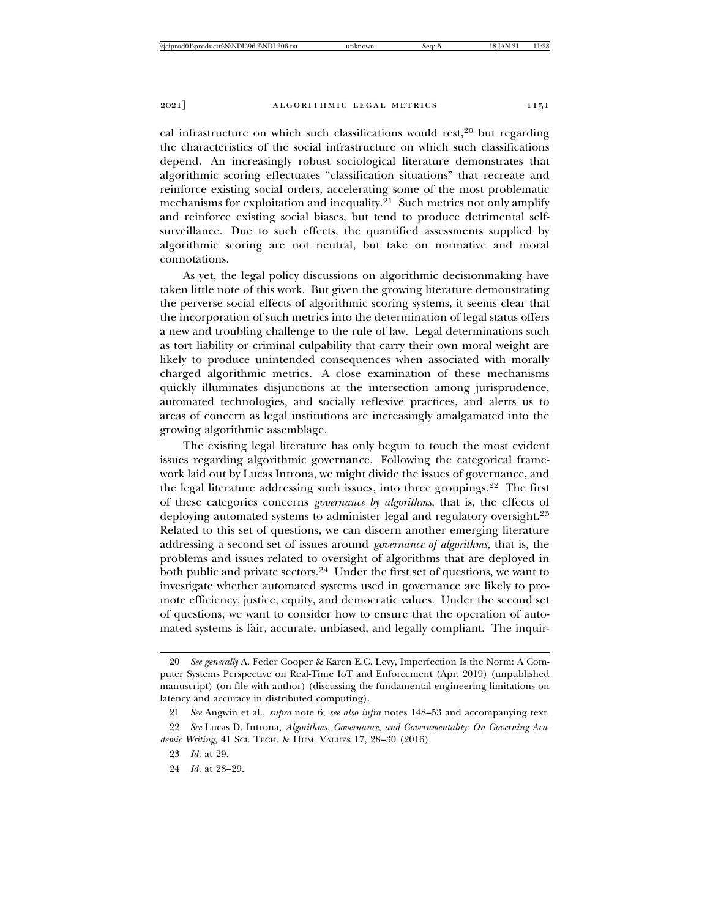cal infrastructure on which such classifications would rest, $20$  but regarding the characteristics of the social infrastructure on which such classifications depend. An increasingly robust sociological literature demonstrates that algorithmic scoring effectuates "classification situations" that recreate and reinforce existing social orders, accelerating some of the most problematic mechanisms for exploitation and inequality. $21$  Such metrics not only amplify and reinforce existing social biases, but tend to produce detrimental selfsurveillance. Due to such effects, the quantified assessments supplied by algorithmic scoring are not neutral, but take on normative and moral connotations.

As yet, the legal policy discussions on algorithmic decisionmaking have taken little note of this work. But given the growing literature demonstrating the perverse social effects of algorithmic scoring systems, it seems clear that the incorporation of such metrics into the determination of legal status offers a new and troubling challenge to the rule of law. Legal determinations such as tort liability or criminal culpability that carry their own moral weight are likely to produce unintended consequences when associated with morally charged algorithmic metrics. A close examination of these mechanisms quickly illuminates disjunctions at the intersection among jurisprudence, automated technologies, and socially reflexive practices, and alerts us to areas of concern as legal institutions are increasingly amalgamated into the growing algorithmic assemblage.

The existing legal literature has only begun to touch the most evident issues regarding algorithmic governance. Following the categorical framework laid out by Lucas Introna, we might divide the issues of governance, and the legal literature addressing such issues, into three groupings.<sup>22</sup> The first of these categories concerns *governance by algorithms*, that is, the effects of deploying automated systems to administer legal and regulatory oversight.<sup>23</sup> Related to this set of questions, we can discern another emerging literature addressing a second set of issues around *governance of algorithms*, that is, the problems and issues related to oversight of algorithms that are deployed in both public and private sectors.<sup>24</sup> Under the first set of questions, we want to investigate whether automated systems used in governance are likely to promote efficiency, justice, equity, and democratic values. Under the second set of questions, we want to consider how to ensure that the operation of automated systems is fair, accurate, unbiased, and legally compliant. The inquir-

<sup>20</sup> *See generally* A. Feder Cooper & Karen E.C. Levy, Imperfection Is the Norm: A Computer Systems Perspective on Real-Time IoT and Enforcement (Apr. 2019) (unpublished manuscript) (on file with author) (discussing the fundamental engineering limitations on latency and accuracy in distributed computing).

<sup>21</sup> *See* Angwin et al., *supra* note 6; *see also infra* notes 148–53 and accompanying text.

<sup>22</sup> *See* Lucas D. Introna, *Algorithms, Governance, and Governmentality: On Governing Academic Writing*, 41 SCI. TECH. & HUM. VALUES 17, 28–30 (2016).

<sup>23</sup> *Id.* at 29.

<sup>24</sup> *Id.* at 28–29.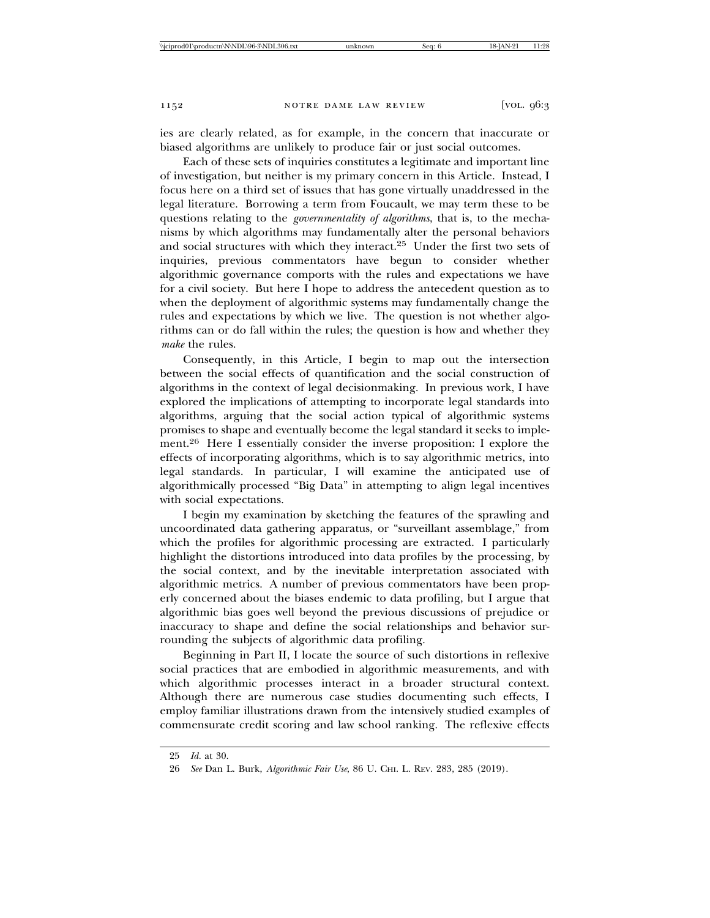ies are clearly related, as for example, in the concern that inaccurate or biased algorithms are unlikely to produce fair or just social outcomes.

Each of these sets of inquiries constitutes a legitimate and important line of investigation, but neither is my primary concern in this Article. Instead, I focus here on a third set of issues that has gone virtually unaddressed in the legal literature. Borrowing a term from Foucault, we may term these to be questions relating to the *governmentality of algorithms*, that is, to the mechanisms by which algorithms may fundamentally alter the personal behaviors and social structures with which they interact.25 Under the first two sets of inquiries, previous commentators have begun to consider whether algorithmic governance comports with the rules and expectations we have for a civil society. But here I hope to address the antecedent question as to when the deployment of algorithmic systems may fundamentally change the rules and expectations by which we live. The question is not whether algorithms can or do fall within the rules; the question is how and whether they *make* the rules.

Consequently, in this Article, I begin to map out the intersection between the social effects of quantification and the social construction of algorithms in the context of legal decisionmaking. In previous work, I have explored the implications of attempting to incorporate legal standards into algorithms, arguing that the social action typical of algorithmic systems promises to shape and eventually become the legal standard it seeks to implement.26 Here I essentially consider the inverse proposition: I explore the effects of incorporating algorithms, which is to say algorithmic metrics, into legal standards. In particular, I will examine the anticipated use of algorithmically processed "Big Data" in attempting to align legal incentives with social expectations.

I begin my examination by sketching the features of the sprawling and uncoordinated data gathering apparatus, or "surveillant assemblage," from which the profiles for algorithmic processing are extracted. I particularly highlight the distortions introduced into data profiles by the processing, by the social context, and by the inevitable interpretation associated with algorithmic metrics. A number of previous commentators have been properly concerned about the biases endemic to data profiling, but I argue that algorithmic bias goes well beyond the previous discussions of prejudice or inaccuracy to shape and define the social relationships and behavior surrounding the subjects of algorithmic data profiling.

Beginning in Part II, I locate the source of such distortions in reflexive social practices that are embodied in algorithmic measurements, and with which algorithmic processes interact in a broader structural context. Although there are numerous case studies documenting such effects, I employ familiar illustrations drawn from the intensively studied examples of commensurate credit scoring and law school ranking. The reflexive effects

<sup>25</sup> *Id.* at 30.

<sup>26</sup> *See* Dan L. Burk, *Algorithmic Fair Use*, 86 U. CHI. L. REV. 283, 285 (2019).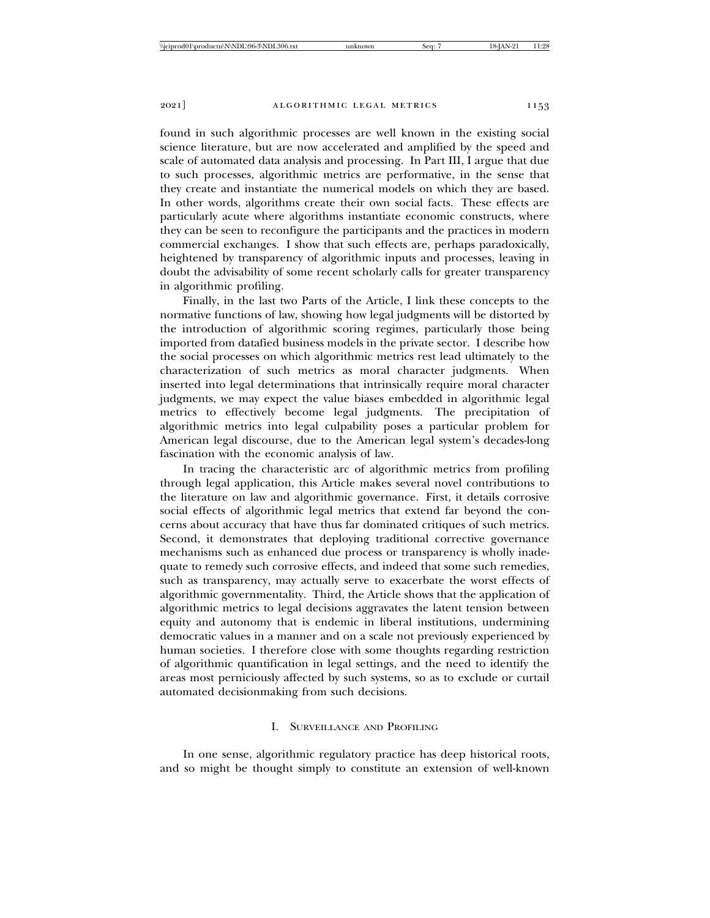found in such algorithmic processes are well known in the existing social science literature, but are now accelerated and amplified by the speed and scale of automated data analysis and processing. In Part III, I argue that due to such processes, algorithmic metrics are performative, in the sense that they create and instantiate the numerical models on which they are based. In other words, algorithms create their own social facts. These effects are particularly acute where algorithms instantiate economic constructs, where they can be seen to reconfigure the participants and the practices in modern commercial exchanges. I show that such effects are, perhaps paradoxically, heightened by transparency of algorithmic inputs and processes, leaving in doubt the advisability of some recent scholarly calls for greater transparency in algorithmic profiling.

Finally, in the last two Parts of the Article, I link these concepts to the normative functions of law, showing how legal judgments will be distorted by the introduction of algorithmic scoring regimes, particularly those being imported from datafied business models in the private sector. I describe how the social processes on which algorithmic metrics rest lead ultimately to the characterization of such metrics as moral character judgments. When inserted into legal determinations that intrinsically require moral character judgments, we may expect the value biases embedded in algorithmic legal metrics to effectively become legal judgments. The precipitation of algorithmic metrics into legal culpability poses a particular problem for American legal discourse, due to the American legal system's decades-long fascination with the economic analysis of law.

In tracing the characteristic arc of algorithmic metrics from profiling through legal application, this Article makes several novel contributions to the literature on law and algorithmic governance. First, it details corrosive social effects of algorithmic legal metrics that extend far beyond the concerns about accuracy that have thus far dominated critiques of such metrics. Second, it demonstrates that deploying traditional corrective governance mechanisms such as enhanced due process or transparency is wholly inadequate to remedy such corrosive effects, and indeed that some such remedies, such as transparency, may actually serve to exacerbate the worst effects of algorithmic governmentality. Third, the Article shows that the application of algorithmic metrics to legal decisions aggravates the latent tension between equity and autonomy that is endemic in liberal institutions, undermining democratic values in a manner and on a scale not previously experienced by human societies. I therefore close with some thoughts regarding restriction of algorithmic quantification in legal settings, and the need to identify the areas most perniciously affected by such systems, so as to exclude or curtail automated decisionmaking from such decisions.

# I. SURVEILLANCE AND PROFILING

In one sense, algorithmic regulatory practice has deep historical roots, and so might be thought simply to constitute an extension of well-known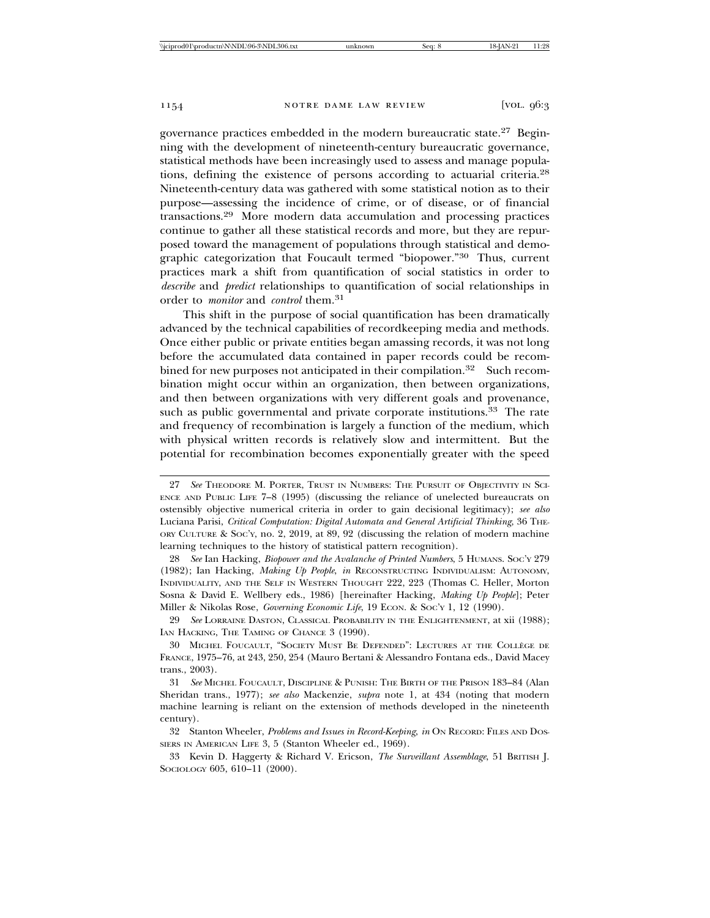governance practices embedded in the modern bureaucratic state.27 Beginning with the development of nineteenth-century bureaucratic governance, statistical methods have been increasingly used to assess and manage populations, defining the existence of persons according to actuarial criteria.<sup>28</sup> Nineteenth-century data was gathered with some statistical notion as to their purpose—assessing the incidence of crime, or of disease, or of financial transactions.29 More modern data accumulation and processing practices continue to gather all these statistical records and more, but they are repurposed toward the management of populations through statistical and demographic categorization that Foucault termed "biopower."30 Thus, current practices mark a shift from quantification of social statistics in order to *describe* and *predict* relationships to quantification of social relationships in order to *monitor* and *control* them.<sup>31</sup>

This shift in the purpose of social quantification has been dramatically advanced by the technical capabilities of recordkeeping media and methods. Once either public or private entities began amassing records, it was not long before the accumulated data contained in paper records could be recombined for new purposes not anticipated in their compilation.<sup>32</sup> Such recombination might occur within an organization, then between organizations, and then between organizations with very different goals and provenance, such as public governmental and private corporate institutions.<sup>33</sup> The rate and frequency of recombination is largely a function of the medium, which with physical written records is relatively slow and intermittent. But the potential for recombination becomes exponentially greater with the speed

28 *See* Ian Hacking, *Biopower and the Avalanche of Printed Numbers*, 5 HUMANS. SOC'Y 279 (1982); Ian Hacking, *Making Up People*, *in* RECONSTRUCTING INDIVIDUALISM: AUTONOMY, INDIVIDUALITY, AND THE SELF IN WESTERN THOUGHT 222, 223 (Thomas C. Heller, Morton Sosna & David E. Wellbery eds., 1986) [hereinafter Hacking, *Making Up People*]; Peter Miller & Nikolas Rose, *Governing Economic Life*, 19 ECON. & SOC'Y 1, 12 (1990).

29 *See* LORRAINE DASTON, CLASSICAL PROBABILITY IN THE ENLIGHTENMENT, at xii (1988); IAN HACKING, THE TAMING OF CHANCE 3 (1990).

30 MICHEL FOUCAULT, "SOCIETY MUST BE DEFENDED": LECTURES AT THE COLLEGE DE ` FRANCE, 1975–76, at 243, 250, 254 (Mauro Bertani & Alessandro Fontana eds., David Macey trans., 2003).

31 *See* MICHEL FOUCAULT, DISCIPLINE & PUNISH: THE BIRTH OF THE PRISON 183–84 (Alan Sheridan trans., 1977); *see also* Mackenzie, *supra* note 1, at 434 (noting that modern machine learning is reliant on the extension of methods developed in the nineteenth century).

32 Stanton Wheeler, *Problems and Issues in Record-Keeping*, *in* ON RECORD: FILES AND DOS-SIERS IN AMERICAN LIFE 3, 5 (Stanton Wheeler ed., 1969).

33 Kevin D. Haggerty & Richard V. Ericson, *The Surveillant Assemblage*, 51 BRITISH J. SOCIOLOGY 605, 610-11 (2000).

<sup>27</sup> *See* THEODORE M. PORTER, TRUST IN NUMBERS: THE PURSUIT OF OBJECTIVITY IN SCI-ENCE AND PUBLIC LIFE 7–8 (1995) (discussing the reliance of unelected bureaucrats on ostensibly objective numerical criteria in order to gain decisional legitimacy); *see also* Luciana Parisi, *Critical Computation: Digital Automata and General Artificial Thinking*, 36 THE-ORY CULTURE & SOC'Y, no. 2, 2019, at 89, 92 (discussing the relation of modern machine learning techniques to the history of statistical pattern recognition).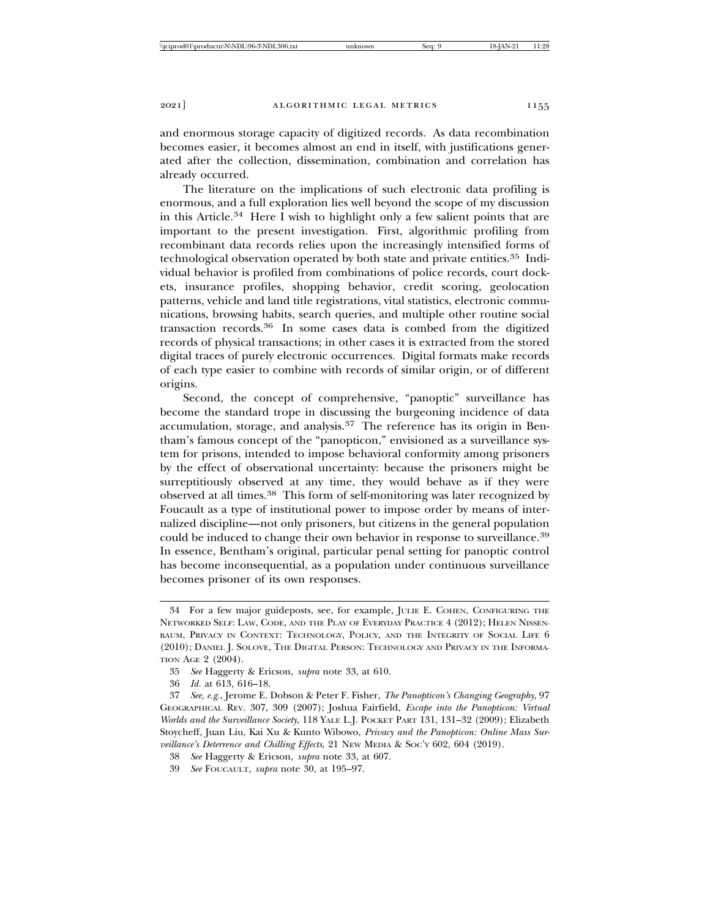and enormous storage capacity of digitized records. As data recombination becomes easier, it becomes almost an end in itself, with justifications generated after the collection, dissemination, combination and correlation has already occurred.

The literature on the implications of such electronic data profiling is enormous, and a full exploration lies well beyond the scope of my discussion in this Article.34 Here I wish to highlight only a few salient points that are important to the present investigation. First, algorithmic profiling from recombinant data records relies upon the increasingly intensified forms of technological observation operated by both state and private entities.35 Individual behavior is profiled from combinations of police records, court dockets, insurance profiles, shopping behavior, credit scoring, geolocation patterns, vehicle and land title registrations, vital statistics, electronic communications, browsing habits, search queries, and multiple other routine social transaction records.36 In some cases data is combed from the digitized records of physical transactions; in other cases it is extracted from the stored digital traces of purely electronic occurrences. Digital formats make records of each type easier to combine with records of similar origin, or of different origins.

Second, the concept of comprehensive, "panoptic" surveillance has become the standard trope in discussing the burgeoning incidence of data accumulation, storage, and analysis.37 The reference has its origin in Bentham's famous concept of the "panopticon," envisioned as a surveillance system for prisons, intended to impose behavioral conformity among prisoners by the effect of observational uncertainty: because the prisoners might be surreptitiously observed at any time, they would behave as if they were observed at all times.38 This form of self-monitoring was later recognized by Foucault as a type of institutional power to impose order by means of internalized discipline—not only prisoners, but citizens in the general population could be induced to change their own behavior in response to surveillance.<sup>39</sup> In essence, Bentham's original, particular penal setting for panoptic control has become inconsequential, as a population under continuous surveillance becomes prisoner of its own responses.

<sup>34</sup> For a few major guideposts, see, for example, JULIE E. COHEN, CONFIGURING THE NETWORKED SELF: LAW, CODE, AND THE PLAY OF EVERYDAY PRACTICE 4 (2012); HELEN NISSEN-BAUM, PRIVACY IN CONTEXT: TECHNOLOGY, POLICY, AND THE INTEGRITY OF SOCIAL LIFE 6 (2010); DANIEL J. SOLOVE, THE DIGITAL PERSON: TECHNOLOGY AND PRIVACY IN THE INFORMA-TION AGE 2 (2004).

<sup>35</sup> *See* Haggerty & Ericson, *supra* note 33, at 610.

<sup>36</sup> *Id.* at 613, 616–18.

<sup>37</sup> *See, e.g.*, Jerome E. Dobson & Peter F. Fisher, *The Panopticon's Changing Geography*, 97 GEOGRAPHICAL REV. 307, 309 (2007); Joshua Fairfield, *Escape into the Panopticon: Virtual Worlds and the Surveillance Society*, 118 YALE L.J. POCKET PART 131, 131–32 (2009); Elizabeth Stoycheff, Juan Liu, Kai Xu & Kunto Wibowo, *Privacy and the Panopticon: Online Mass Surveillance's Deterrence and Chilling Effects*, 21 NEW MEDIA & SOC'Y 602, 604 (2019).

<sup>38</sup> *See* Haggerty & Ericson, *supra* note 33, at 607.

<sup>39</sup> *See* FOUCAULT, *supra* note 30, at 195–97.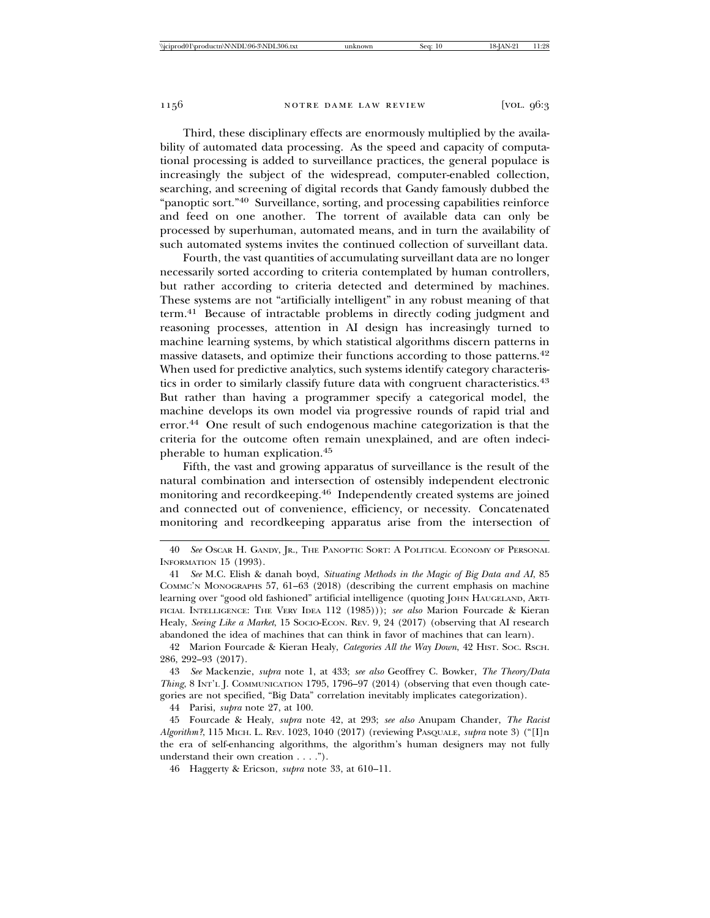Third, these disciplinary effects are enormously multiplied by the availability of automated data processing. As the speed and capacity of computational processing is added to surveillance practices, the general populace is increasingly the subject of the widespread, computer-enabled collection, searching, and screening of digital records that Gandy famously dubbed the "panoptic sort."40 Surveillance, sorting, and processing capabilities reinforce and feed on one another. The torrent of available data can only be processed by superhuman, automated means, and in turn the availability of such automated systems invites the continued collection of surveillant data.

Fourth, the vast quantities of accumulating surveillant data are no longer necessarily sorted according to criteria contemplated by human controllers, but rather according to criteria detected and determined by machines. These systems are not "artificially intelligent" in any robust meaning of that term.41 Because of intractable problems in directly coding judgment and reasoning processes, attention in AI design has increasingly turned to machine learning systems, by which statistical algorithms discern patterns in massive datasets, and optimize their functions according to those patterns.<sup>42</sup> When used for predictive analytics, such systems identify category characteristics in order to similarly classify future data with congruent characteristics.<sup>43</sup> But rather than having a programmer specify a categorical model, the machine develops its own model via progressive rounds of rapid trial and error.44 One result of such endogenous machine categorization is that the criteria for the outcome often remain unexplained, and are often indecipherable to human explication.<sup>45</sup>

Fifth, the vast and growing apparatus of surveillance is the result of the natural combination and intersection of ostensibly independent electronic monitoring and recordkeeping.46 Independently created systems are joined and connected out of convenience, efficiency, or necessity. Concatenated monitoring and recordkeeping apparatus arise from the intersection of

42 Marion Fourcade & Kieran Healy, *Categories All the Way Down*, 42 HIST. SOC. RSCH. 286, 292–93 (2017).

43 *See* Mackenzie, *supra* note 1, at 433; *see also* Geoffrey C. Bowker, *The Theory/Data Thing*, 8 INT'L J. COMMUNICATION 1795, 1796–97 (2014) (observing that even though categories are not specified, "Big Data" correlation inevitably implicates categorization).

44 Parisi, *supra* note 27, at 100.

<sup>40</sup> *See* OSCAR H. GANDY, JR., THE PANOPTIC SORT: A POLITICAL ECONOMY OF PERSONAL INFORMATION 15 (1993).

<sup>41</sup> *See* M.C. Elish & danah boyd, *Situating Methods in the Magic of Big Data and AI*, 85 COMMC'N MONOGRAPHS 57, 61–63 (2018) (describing the current emphasis on machine learning over "good old fashioned" artificial intelligence (quoting JOHN HAUGELAND, ARTI-FICIAL INTELLIGENCE: THE VERY IDEA 112 (1985))); *see also* Marion Fourcade & Kieran Healy, *Seeing Like a Market*, 15 Socio-Econ. Rev. 9, 24 (2017) (observing that AI research abandoned the idea of machines that can think in favor of machines that can learn).

<sup>45</sup> Fourcade & Healy, *supra* note 42, at 293; *see also* Anupam Chander, *The Racist Algorithm?*, 115 MICH. L. REV. 1023, 1040 (2017) (reviewing PASQUALE, *supra* note 3) ("[I]n the era of self-enhancing algorithms, the algorithm's human designers may not fully understand their own creation . . . .").

<sup>46</sup> Haggerty & Ericson, *supra* note 33, at 610–11.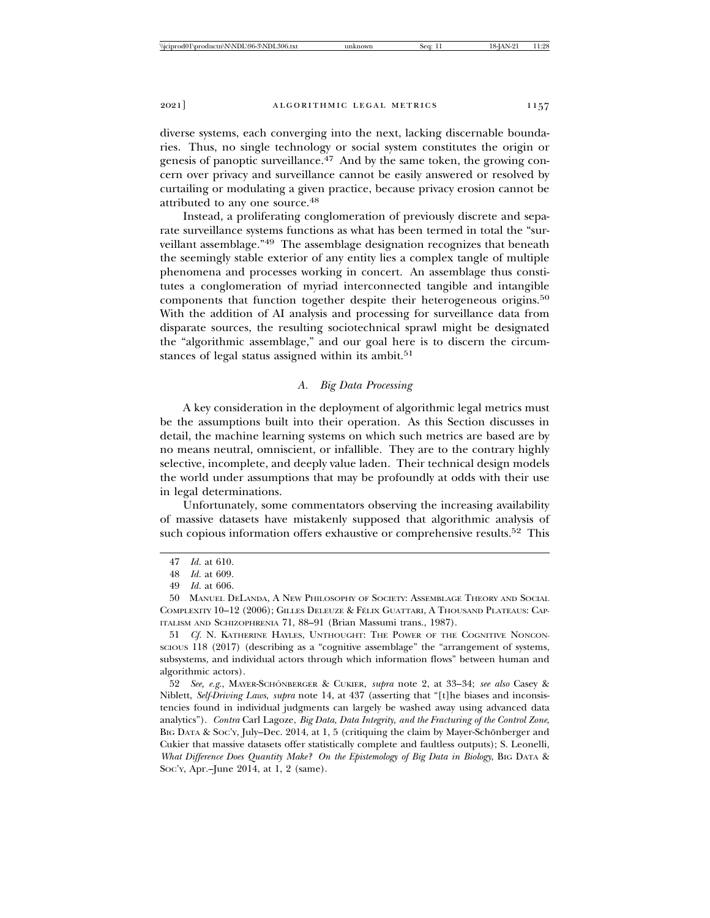diverse systems, each converging into the next, lacking discernable boundaries. Thus, no single technology or social system constitutes the origin or genesis of panoptic surveillance.<sup>47</sup> And by the same token, the growing concern over privacy and surveillance cannot be easily answered or resolved by curtailing or modulating a given practice, because privacy erosion cannot be attributed to any one source.<sup>48</sup>

Instead, a proliferating conglomeration of previously discrete and separate surveillance systems functions as what has been termed in total the "surveillant assemblage."49 The assemblage designation recognizes that beneath the seemingly stable exterior of any entity lies a complex tangle of multiple phenomena and processes working in concert. An assemblage thus constitutes a conglomeration of myriad interconnected tangible and intangible components that function together despite their heterogeneous origins.<sup>50</sup> With the addition of AI analysis and processing for surveillance data from disparate sources, the resulting sociotechnical sprawl might be designated the "algorithmic assemblage," and our goal here is to discern the circumstances of legal status assigned within its ambit.<sup>51</sup>

## *A. Big Data Processing*

A key consideration in the deployment of algorithmic legal metrics must be the assumptions built into their operation. As this Section discusses in detail, the machine learning systems on which such metrics are based are by no means neutral, omniscient, or infallible. They are to the contrary highly selective, incomplete, and deeply value laden. Their technical design models the world under assumptions that may be profoundly at odds with their use in legal determinations.

Unfortunately, some commentators observing the increasing availability of massive datasets have mistakenly supposed that algorithmic analysis of such copious information offers exhaustive or comprehensive results.<sup>52</sup> This

51 *Cf.* N. KATHERINE HAYLES, UNTHOUGHT: THE POWER OF THE COGNITIVE NONCON-SCIOUS 118 (2017) (describing as a "cognitive assemblage" the "arrangement of systems, subsystems, and individual actors through which information flows" between human and algorithmic actors).

52 See, e.g., MAYER-SCHÖNBERGER & CUKIER, *supra* note 2, at 33-34; *see also* Casey & Niblett, *Self-Driving Laws*, *supra* note 14, at 437 (asserting that "[t]he biases and inconsistencies found in individual judgments can largely be washed away using advanced data analytics"). *Contra* Carl Lagoze, *Big Data, Data Integrity, and the Fracturing of the Control Zone*, BIG DATA & SOC'Y, July–Dec. 2014, at 1, 5 (critiquing the claim by Mayer-Schönberger and Cukier that massive datasets offer statistically complete and faultless outputs); S. Leonelli, *What Difference Does Quantity Make? On the Epistemology of Big Data in Biology*, BIG DATA & SOC'Y, Apr.–June 2014, at 1, 2 (same).

<sup>47</sup> *Id.* at 610.

<sup>48</sup> *Id.* at 609.

<sup>49</sup> *Id.* at 606.

<sup>50</sup> MANUEL DELANDA, A NEW PHILOSOPHY OF SOCIETY: ASSEMBLAGE THEORY AND SOCIAL COMPLEXITY 10–12 (2006); GILLES DELEUZE & FÉLIX GUATTARI, A THOUSAND PLATEAUS: CAP-ITALISM AND SCHIZOPHRENIA 71, 88–91 (Brian Massumi trans., 1987).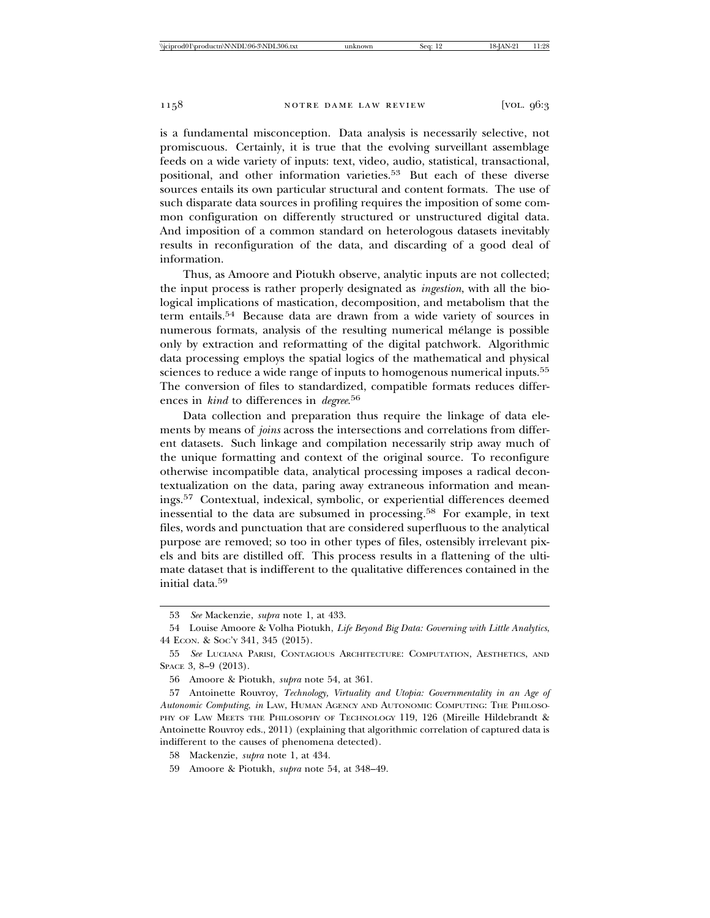is a fundamental misconception. Data analysis is necessarily selective, not promiscuous. Certainly, it is true that the evolving surveillant assemblage feeds on a wide variety of inputs: text, video, audio, statistical, transactional, positional, and other information varieties.53 But each of these diverse sources entails its own particular structural and content formats. The use of such disparate data sources in profiling requires the imposition of some common configuration on differently structured or unstructured digital data. And imposition of a common standard on heterologous datasets inevitably results in reconfiguration of the data, and discarding of a good deal of information.

Thus, as Amoore and Piotukh observe, analytic inputs are not collected; the input process is rather properly designated as *ingestion*, with all the biological implications of mastication, decomposition, and metabolism that the term entails.54 Because data are drawn from a wide variety of sources in numerous formats, analysis of the resulting numerical mélange is possible only by extraction and reformatting of the digital patchwork. Algorithmic data processing employs the spatial logics of the mathematical and physical sciences to reduce a wide range of inputs to homogenous numerical inputs.<sup>55</sup> The conversion of files to standardized, compatible formats reduces differences in *kind* to differences in *degree*. 56

Data collection and preparation thus require the linkage of data elements by means of *joins* across the intersections and correlations from different datasets. Such linkage and compilation necessarily strip away much of the unique formatting and context of the original source. To reconfigure otherwise incompatible data, analytical processing imposes a radical decontextualization on the data, paring away extraneous information and meanings.57 Contextual, indexical, symbolic, or experiential differences deemed inessential to the data are subsumed in processing.58 For example, in text files, words and punctuation that are considered superfluous to the analytical purpose are removed; so too in other types of files, ostensibly irrelevant pixels and bits are distilled off. This process results in a flattening of the ultimate dataset that is indifferent to the qualitative differences contained in the initial data.<sup>59</sup>

<sup>53</sup> *See* Mackenzie, *supra* note 1, at 433.

<sup>54</sup> Louise Amoore & Volha Piotukh, *Life Beyond Big Data: Governing with Little Analytics*, 44 ECON. & SOC'Y 341, 345 (2015).

<sup>55</sup> *See* LUCIANA PARISI, CONTAGIOUS ARCHITECTURE: COMPUTATION, AESTHETICS, AND SPACE 3, 8–9 (2013).

<sup>56</sup> Amoore & Piotukh, *supra* note 54, at 361.

<sup>57</sup> Antoinette Rouvroy, *Technology, Virtuality and Utopia: Governmentality in an Age of Autonomic Computing*, *in* LAW, HUMAN AGENCY AND AUTONOMIC COMPUTING: THE PHILOSO-PHY OF LAW MEETS THE PHILOSOPHY OF TECHNOLOGY 119, 126 (Mireille Hildebrandt & Antoinette Rouvroy eds., 2011) (explaining that algorithmic correlation of captured data is indifferent to the causes of phenomena detected).

<sup>58</sup> Mackenzie, *supra* note 1, at 434.

<sup>59</sup> Amoore & Piotukh, *supra* note 54, at 348–49.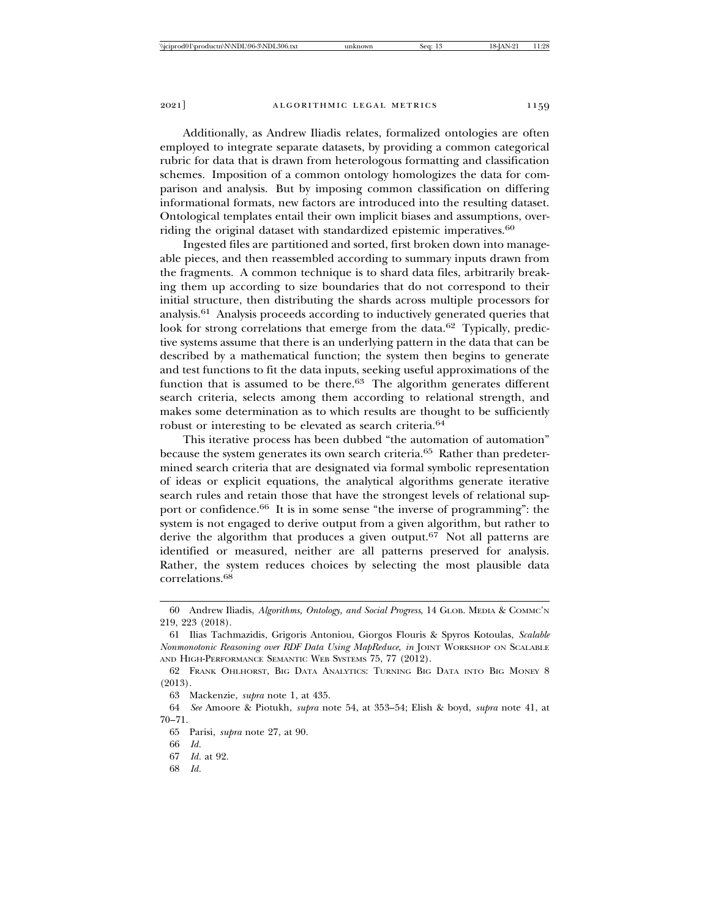Additionally, as Andrew Iliadis relates, formalized ontologies are often employed to integrate separate datasets, by providing a common categorical rubric for data that is drawn from heterologous formatting and classification schemes. Imposition of a common ontology homologizes the data for comparison and analysis. But by imposing common classification on differing informational formats, new factors are introduced into the resulting dataset. Ontological templates entail their own implicit biases and assumptions, overriding the original dataset with standardized epistemic imperatives.<sup>60</sup>

Ingested files are partitioned and sorted, first broken down into manageable pieces, and then reassembled according to summary inputs drawn from the fragments. A common technique is to shard data files, arbitrarily breaking them up according to size boundaries that do not correspond to their initial structure, then distributing the shards across multiple processors for analysis.61 Analysis proceeds according to inductively generated queries that look for strong correlations that emerge from the data.<sup>62</sup> Typically, predictive systems assume that there is an underlying pattern in the data that can be described by a mathematical function; the system then begins to generate and test functions to fit the data inputs, seeking useful approximations of the function that is assumed to be there.<sup>63</sup> The algorithm generates different search criteria, selects among them according to relational strength, and makes some determination as to which results are thought to be sufficiently robust or interesting to be elevated as search criteria.<sup>64</sup>

This iterative process has been dubbed "the automation of automation" because the system generates its own search criteria.<sup>65</sup> Rather than predetermined search criteria that are designated via formal symbolic representation of ideas or explicit equations, the analytical algorithms generate iterative search rules and retain those that have the strongest levels of relational support or confidence.66 It is in some sense "the inverse of programming": the system is not engaged to derive output from a given algorithm, but rather to derive the algorithm that produces a given output.<sup>67</sup> Not all patterns are identified or measured, neither are all patterns preserved for analysis. Rather, the system reduces choices by selecting the most plausible data correlations.68

- 67 *Id.* at 92.
- 68 *Id.*

<sup>60</sup> Andrew Iliadis, *Algorithms, Ontology, and Social Progress*, 14 GLOB. MEDIA & COMMC'N 219, 223 (2018).

<sup>61</sup> Ilias Tachmazidis, Grigoris Antoniou, Giorgos Flouris & Spyros Kotoulas, *Scalable Nonmonotonic Reasoning over RDF Data Using MapReduce*, *in* JOINT WORKSHOP ON SCALABLE AND HIGH-PERFORMANCE SEMANTIC WEB SYSTEMS 75, 77 (2012).

<sup>62</sup> FRANK OHLHORST, BIG DATA ANALYTICS: TURNING BIG DATA INTO BIG MONEY 8 (2013).

<sup>63</sup> Mackenzie, *supra* note 1, at 435.

<sup>64</sup> *See* Amoore & Piotukh, *supra* note 54, at 353–54; Elish & boyd, *supra* note 41, at 70–71.

<sup>65</sup> Parisi, *supra* note 27, at 90.

<sup>66</sup> *Id.*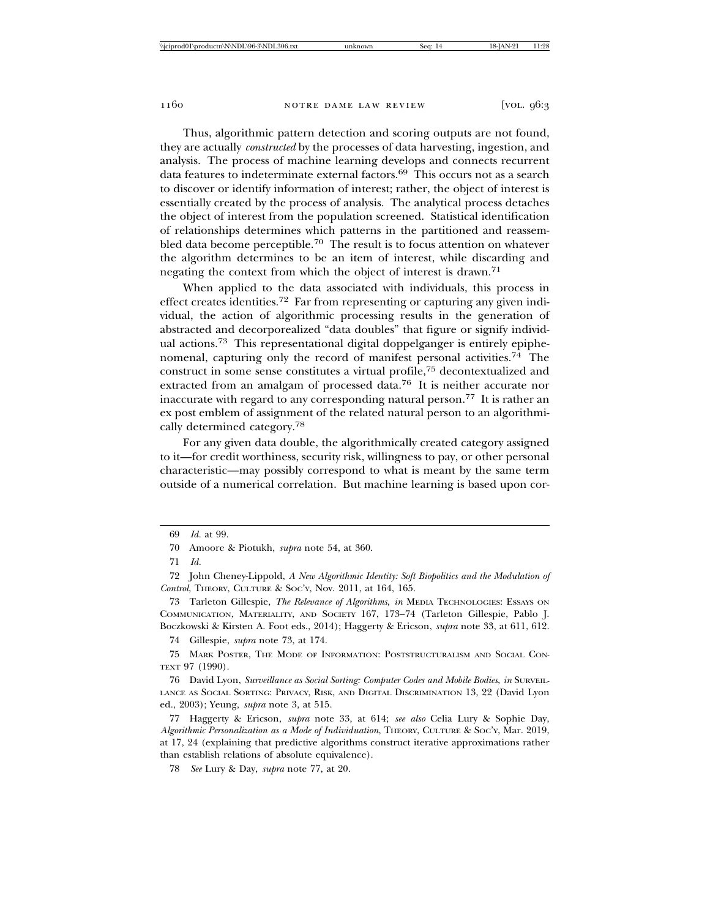Thus, algorithmic pattern detection and scoring outputs are not found, they are actually *constructed* by the processes of data harvesting, ingestion, and analysis. The process of machine learning develops and connects recurrent data features to indeterminate external factors.69 This occurs not as a search to discover or identify information of interest; rather, the object of interest is essentially created by the process of analysis. The analytical process detaches the object of interest from the population screened. Statistical identification of relationships determines which patterns in the partitioned and reassembled data become perceptible.70 The result is to focus attention on whatever the algorithm determines to be an item of interest, while discarding and negating the context from which the object of interest is drawn.<sup>71</sup>

When applied to the data associated with individuals, this process in effect creates identities.72 Far from representing or capturing any given individual, the action of algorithmic processing results in the generation of abstracted and decorporealized "data doubles" that figure or signify individual actions.73 This representational digital doppelganger is entirely epiphenomenal, capturing only the record of manifest personal activities.<sup>74</sup> The construct in some sense constitutes a virtual profile,75 decontextualized and extracted from an amalgam of processed data.76 It is neither accurate nor inaccurate with regard to any corresponding natural person.77 It is rather an ex post emblem of assignment of the related natural person to an algorithmically determined category.<sup>78</sup>

For any given data double, the algorithmically created category assigned to it—for credit worthiness, security risk, willingness to pay, or other personal characteristic—may possibly correspond to what is meant by the same term outside of a numerical correlation. But machine learning is based upon cor-

74 Gillespie, *supra* note 73, at 174.

<sup>69</sup> *Id.* at 99.

<sup>70</sup> Amoore & Piotukh, *supra* note 54, at 360.

<sup>71</sup> *Id.*

<sup>72</sup> John Cheney-Lippold, *A New Algorithmic Identity: Soft Biopolitics and the Modulation of Control*, THEORY, CULTURE & SOC'Y, Nov. 2011, at 164, 165.

<sup>73</sup> Tarleton Gillespie, *The Relevance of Algorithms*, *in* MEDIA TECHNOLOGIES: ESSAYS ON COMMUNICATION, MATERIALITY, AND SOCIETY 167, 173–74 (Tarleton Gillespie, Pablo J. Boczkowski & Kirsten A. Foot eds., 2014); Haggerty & Ericson, *supra* note 33, at 611, 612.

<sup>75</sup> MARK POSTER, THE MODE OF INFORMATION: POSTSTRUCTURALISM AND SOCIAL CON-TEXT 97 (1990).

<sup>76</sup> David Lyon, *Surveillance as Social Sorting: Computer Codes and Mobile Bodies*, *in* SURVEIL-LANCE AS SOCIAL SORTING: PRIVACY, RISK, AND DIGITAL DISCRIMINATION 13, 22 (David Lyon ed., 2003); Yeung, *supra* note 3, at 515.

<sup>77</sup> Haggerty & Ericson, *supra* note 33, at 614; *see also* Celia Lury & Sophie Day, *Algorithmic Personalization as a Mode of Individuation*, THEORY, CULTURE & SOC'Y, Mar. 2019, at 17, 24 (explaining that predictive algorithms construct iterative approximations rather than establish relations of absolute equivalence).

<sup>78</sup> *See* Lury & Day, *supra* note 77, at 20.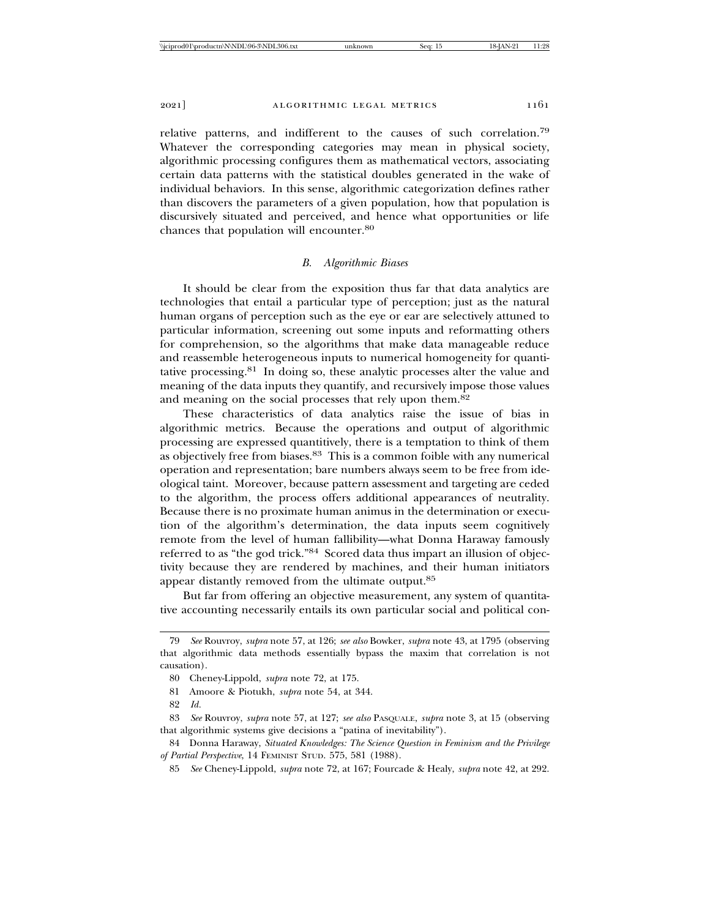relative patterns, and indifferent to the causes of such correlation.<sup>79</sup> Whatever the corresponding categories may mean in physical society, algorithmic processing configures them as mathematical vectors, associating certain data patterns with the statistical doubles generated in the wake of individual behaviors. In this sense, algorithmic categorization defines rather than discovers the parameters of a given population, how that population is discursively situated and perceived, and hence what opportunities or life chances that population will encounter.<sup>80</sup>

#### *B. Algorithmic Biases*

It should be clear from the exposition thus far that data analytics are technologies that entail a particular type of perception; just as the natural human organs of perception such as the eye or ear are selectively attuned to particular information, screening out some inputs and reformatting others for comprehension, so the algorithms that make data manageable reduce and reassemble heterogeneous inputs to numerical homogeneity for quantitative processing.81 In doing so, these analytic processes alter the value and meaning of the data inputs they quantify, and recursively impose those values and meaning on the social processes that rely upon them.<sup>82</sup>

These characteristics of data analytics raise the issue of bias in algorithmic metrics. Because the operations and output of algorithmic processing are expressed quantitively, there is a temptation to think of them as objectively free from biases.83 This is a common foible with any numerical operation and representation; bare numbers always seem to be free from ideological taint. Moreover, because pattern assessment and targeting are ceded to the algorithm, the process offers additional appearances of neutrality. Because there is no proximate human animus in the determination or execution of the algorithm's determination, the data inputs seem cognitively remote from the level of human fallibility—what Donna Haraway famously referred to as "the god trick."84 Scored data thus impart an illusion of objectivity because they are rendered by machines, and their human initiators appear distantly removed from the ultimate output.<sup>85</sup>

But far from offering an objective measurement, any system of quantitative accounting necessarily entails its own particular social and political con-

<sup>79</sup> *See* Rouvroy, *supra* note 57, at 126; *see also* Bowker, *supra* note 43, at 1795 (observing that algorithmic data methods essentially bypass the maxim that correlation is not causation).

<sup>80</sup> Cheney-Lippold, *supra* note 72, at 175.

<sup>81</sup> Amoore & Piotukh, *supra* note 54, at 344.

<sup>82</sup> *Id.*

<sup>83</sup> *See* Rouvroy, *supra* note 57, at 127; *see also* PASQUALE, *supra* note 3, at 15 (observing that algorithmic systems give decisions a "patina of inevitability").

<sup>84</sup> Donna Haraway, *Situated Knowledges: The Science Question in Feminism and the Privilege of Partial Perspective*, 14 FEMINIST STUD. 575, 581 (1988).

<sup>85</sup> *See* Cheney-Lippold, *supra* note 72, at 167; Fourcade & Healy, *supra* note 42, at 292.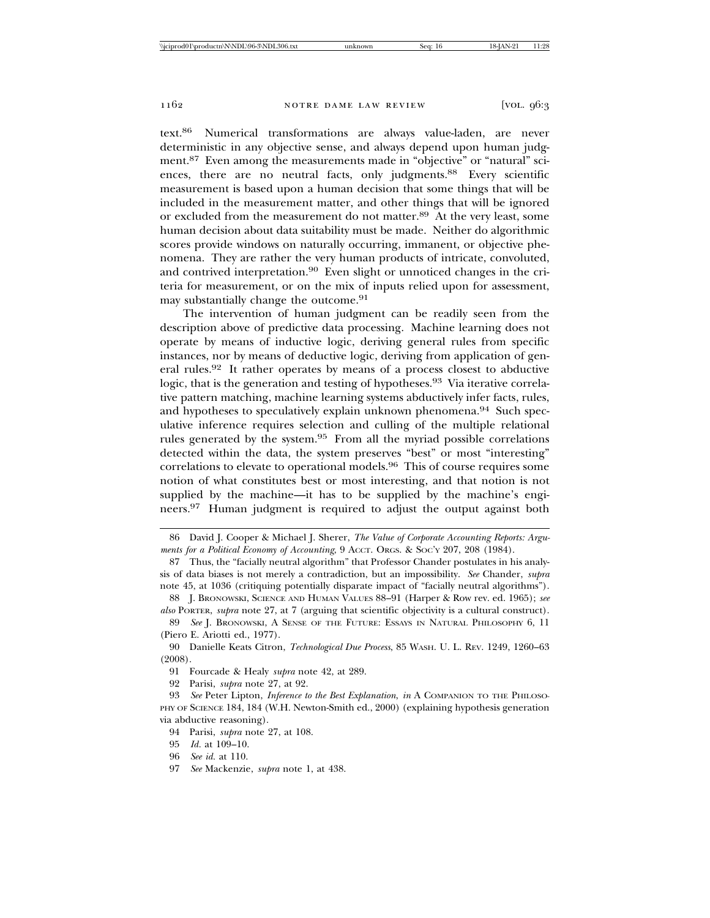text.86 Numerical transformations are always value-laden, are never deterministic in any objective sense, and always depend upon human judgment.<sup>87</sup> Even among the measurements made in "objective" or "natural" sciences, there are no neutral facts, only judgments.<sup>88</sup> Every scientific measurement is based upon a human decision that some things that will be included in the measurement matter, and other things that will be ignored or excluded from the measurement do not matter.89 At the very least, some human decision about data suitability must be made. Neither do algorithmic scores provide windows on naturally occurring, immanent, or objective phenomena. They are rather the very human products of intricate, convoluted, and contrived interpretation.<sup>90</sup> Even slight or unnoticed changes in the criteria for measurement, or on the mix of inputs relied upon for assessment, may substantially change the outcome.<sup>91</sup>

The intervention of human judgment can be readily seen from the description above of predictive data processing. Machine learning does not operate by means of inductive logic, deriving general rules from specific instances, nor by means of deductive logic, deriving from application of general rules.92 It rather operates by means of a process closest to abductive logic, that is the generation and testing of hypotheses.<sup>93</sup> Via iterative correlative pattern matching, machine learning systems abductively infer facts, rules, and hypotheses to speculatively explain unknown phenomena.<sup>94</sup> Such speculative inference requires selection and culling of the multiple relational rules generated by the system.95 From all the myriad possible correlations detected within the data, the system preserves "best" or most "interesting" correlations to elevate to operational models.96 This of course requires some notion of what constitutes best or most interesting, and that notion is not supplied by the machine—it has to be supplied by the machine's engineers.97 Human judgment is required to adjust the output against both

<sup>86</sup> David J. Cooper & Michael J. Sherer, *The Value of Corporate Accounting Reports: Arguments for a Political Economy of Accounting*, 9 Accr. Orgs. & Soc'y 207, 208 (1984).

<sup>87</sup> Thus, the "facially neutral algorithm" that Professor Chander postulates in his analysis of data biases is not merely a contradiction, but an impossibility. *See* Chander, *supra* note 45, at 1036 (critiquing potentially disparate impact of "facially neutral algorithms").

<sup>88</sup> J. BRONOWSKI, SCIENCE AND HUMAN VALUES 88–91 (Harper & Row rev. ed. 1965); *see also* PORTER, *supra* note 27, at 7 (arguing that scientific objectivity is a cultural construct).

<sup>89</sup> *See* J. BRONOWSKI, A SENSE OF THE FUTURE: ESSAYS IN NATURAL PHILOSOPHY 6, 11 (Piero E. Ariotti ed., 1977).

<sup>90</sup> Danielle Keats Citron, *Technological Due Process*, 85 WASH. U. L. REV. 1249, 1260–63 (2008).

<sup>91</sup> Fourcade & Healy *supra* note 42, at 289.

<sup>92</sup> Parisi, *supra* note 27, at 92.

<sup>93</sup> *See* Peter Lipton, *Inference to the Best Explanation*, *in* A COMPANION TO THE PHILOSO-PHY OF SCIENCE 184, 184 (W.H. Newton-Smith ed., 2000) (explaining hypothesis generation via abductive reasoning).

<sup>94</sup> Parisi, *supra* note 27, at 108.

<sup>95</sup> *Id.* at 109–10.

<sup>96</sup> *See id.* at 110.

<sup>97</sup> *See* Mackenzie, *supra* note 1, at 438.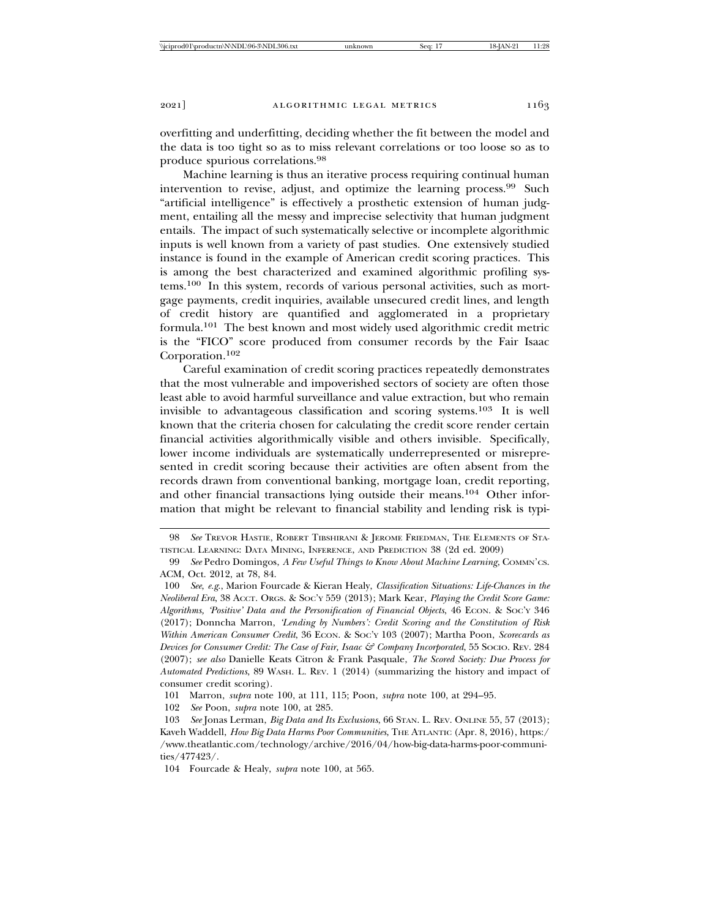overfitting and underfitting, deciding whether the fit between the model and the data is too tight so as to miss relevant correlations or too loose so as to produce spurious correlations.<sup>98</sup>

Machine learning is thus an iterative process requiring continual human intervention to revise, adjust, and optimize the learning process.99 Such "artificial intelligence" is effectively a prosthetic extension of human judgment, entailing all the messy and imprecise selectivity that human judgment entails. The impact of such systematically selective or incomplete algorithmic inputs is well known from a variety of past studies. One extensively studied instance is found in the example of American credit scoring practices. This is among the best characterized and examined algorithmic profiling systems.100 In this system, records of various personal activities, such as mortgage payments, credit inquiries, available unsecured credit lines, and length of credit history are quantified and agglomerated in a proprietary formula.101 The best known and most widely used algorithmic credit metric is the "FICO" score produced from consumer records by the Fair Isaac Corporation.102

Careful examination of credit scoring practices repeatedly demonstrates that the most vulnerable and impoverished sectors of society are often those least able to avoid harmful surveillance and value extraction, but who remain invisible to advantageous classification and scoring systems.103 It is well known that the criteria chosen for calculating the credit score render certain financial activities algorithmically visible and others invisible. Specifically, lower income individuals are systematically underrepresented or misrepresented in credit scoring because their activities are often absent from the records drawn from conventional banking, mortgage loan, credit reporting, and other financial transactions lying outside their means.104 Other information that might be relevant to financial stability and lending risk is typi-

102 *See* Poon, *supra* note 100, at 285.

<sup>98</sup> *See* TREVOR HASTIE, ROBERT TIBSHIRANI & JEROME FRIEDMAN, THE ELEMENTS OF STA-TISTICAL LEARNING: DATA MINING, INFERENCE, AND PREDICTION 38 (2d ed. 2009)

<sup>99</sup> *See* Pedro Domingos, *A Few Useful Things to Know About Machine Learning*, COMMN'CS. ACM, Oct. 2012, at 78, 84.

<sup>100</sup> *See*, *e.g*., Marion Fourcade & Kieran Healy, *Classification Situations: Life-Chances in the Neoliberal Era*, 38 ACCT. ORGS. & SOC'Y 559 (2013); Mark Kear, *Playing the Credit Score Game: Algorithms, 'Positive' Data and the Personification of Financial Objects*, 46 ECON. & SOC'Y 346 (2017); Donncha Marron, *'Lending by Numbers': Credit Scoring and the Constitution of Risk Within American Consumer Credit*, 36 ECON. & SOC'Y 103 (2007); Martha Poon, *Scorecards as Devices for Consumer Credit: The Case of Fair, Isaac & Company Incorporated*, 55 SOCIO. REV. 284 (2007); *see also* Danielle Keats Citron & Frank Pasquale, *The Scored Society: Due Process for Automated Predictions*, 89 WASH. L. REV. 1 (2014) (summarizing the history and impact of consumer credit scoring).

<sup>101</sup> Marron, *supra* note 100, at 111, 115; Poon, *supra* note 100, at 294–95.

<sup>103</sup> *See* Jonas Lerman, *Big Data and Its Exclusions*, 66 STAN. L. REV. ONLINE 55, 57 (2013); Kaveh Waddell, *How Big Data Harms Poor Communities*, THE ATLANTIC (Apr. 8, 2016), https:/ /www.theatlantic.com/technology/archive/2016/04/how-big-data-harms-poor-communities/477423/.

<sup>104</sup> Fourcade & Healy, *supra* note 100, at 565.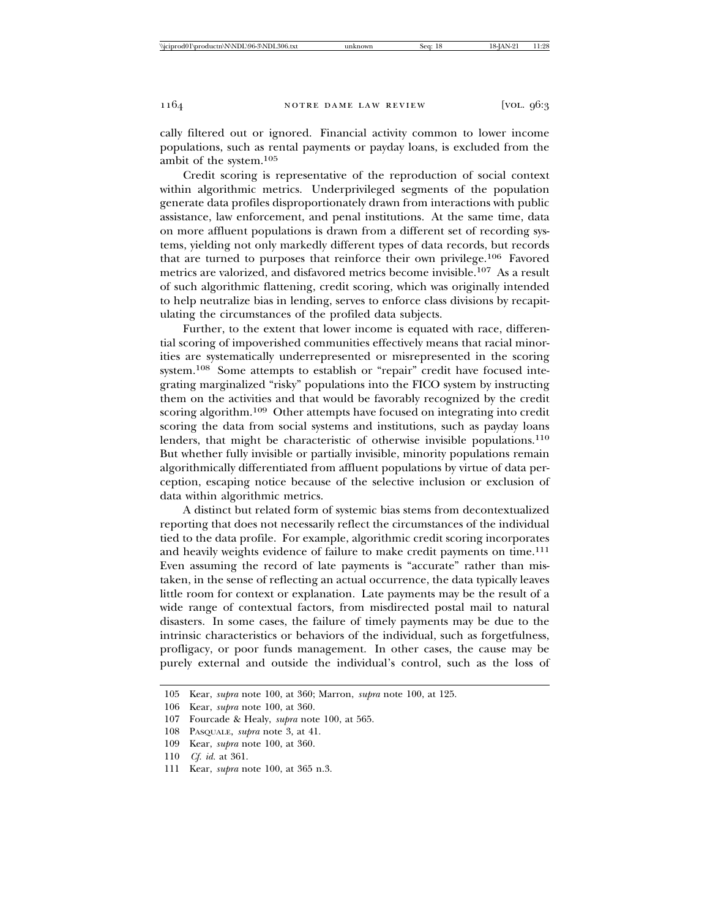cally filtered out or ignored. Financial activity common to lower income populations, such as rental payments or payday loans, is excluded from the ambit of the system.<sup>105</sup>

Credit scoring is representative of the reproduction of social context within algorithmic metrics. Underprivileged segments of the population generate data profiles disproportionately drawn from interactions with public assistance, law enforcement, and penal institutions. At the same time, data on more affluent populations is drawn from a different set of recording systems, yielding not only markedly different types of data records, but records that are turned to purposes that reinforce their own privilege.106 Favored metrics are valorized, and disfavored metrics become invisible.107 As a result of such algorithmic flattening, credit scoring, which was originally intended to help neutralize bias in lending, serves to enforce class divisions by recapitulating the circumstances of the profiled data subjects.

Further, to the extent that lower income is equated with race, differential scoring of impoverished communities effectively means that racial minorities are systematically underrepresented or misrepresented in the scoring system.108 Some attempts to establish or "repair" credit have focused integrating marginalized "risky" populations into the FICO system by instructing them on the activities and that would be favorably recognized by the credit scoring algorithm.109 Other attempts have focused on integrating into credit scoring the data from social systems and institutions, such as payday loans lenders, that might be characteristic of otherwise invisible populations.<sup>110</sup> But whether fully invisible or partially invisible, minority populations remain algorithmically differentiated from affluent populations by virtue of data perception, escaping notice because of the selective inclusion or exclusion of data within algorithmic metrics.

A distinct but related form of systemic bias stems from decontextualized reporting that does not necessarily reflect the circumstances of the individual tied to the data profile. For example, algorithmic credit scoring incorporates and heavily weights evidence of failure to make credit payments on time.<sup>111</sup> Even assuming the record of late payments is "accurate" rather than mistaken, in the sense of reflecting an actual occurrence, the data typically leaves little room for context or explanation. Late payments may be the result of a wide range of contextual factors, from misdirected postal mail to natural disasters. In some cases, the failure of timely payments may be due to the intrinsic characteristics or behaviors of the individual, such as forgetfulness, profligacy, or poor funds management. In other cases, the cause may be purely external and outside the individual's control, such as the loss of

<sup>105</sup> Kear, *supra* note 100, at 360; Marron, *supra* note 100, at 125.

<sup>106</sup> Kear, *supra* note 100, at 360.

<sup>107</sup> Fourcade & Healy, *supra* note 100, at 565.

<sup>108</sup> PASQUALE, *supra* note 3, at 41.

<sup>109</sup> Kear, *supra* note 100, at 360.

<sup>110</sup> *Cf. id.* at 361.

<sup>111</sup> Kear, *supra* note 100, at 365 n.3.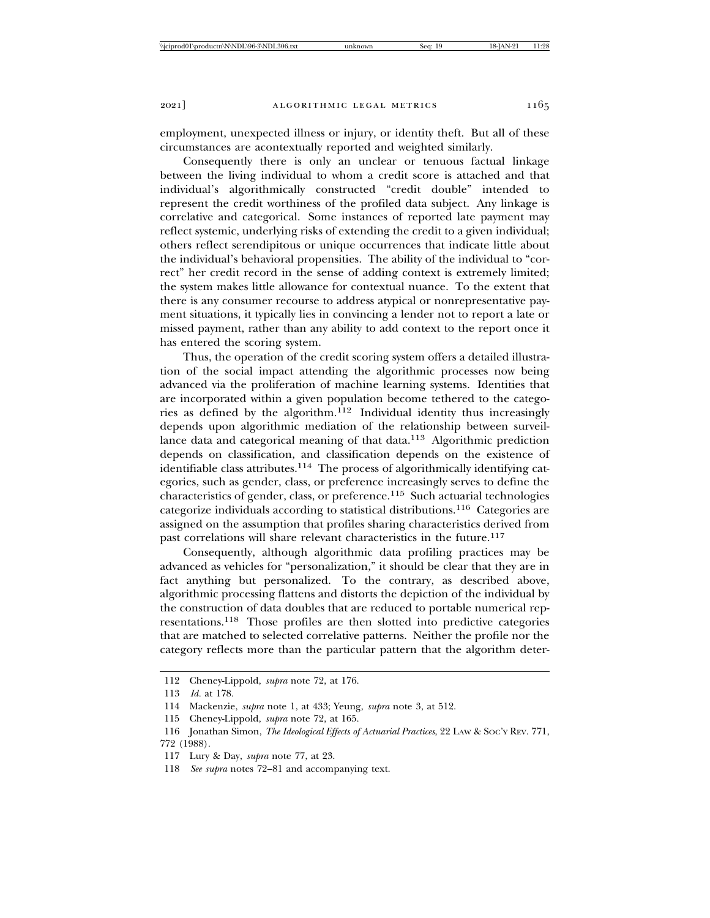employment, unexpected illness or injury, or identity theft. But all of these circumstances are acontextually reported and weighted similarly.

Consequently there is only an unclear or tenuous factual linkage between the living individual to whom a credit score is attached and that individual's algorithmically constructed "credit double" intended to represent the credit worthiness of the profiled data subject. Any linkage is correlative and categorical. Some instances of reported late payment may reflect systemic, underlying risks of extending the credit to a given individual; others reflect serendipitous or unique occurrences that indicate little about the individual's behavioral propensities. The ability of the individual to "correct" her credit record in the sense of adding context is extremely limited; the system makes little allowance for contextual nuance. To the extent that there is any consumer recourse to address atypical or nonrepresentative payment situations, it typically lies in convincing a lender not to report a late or missed payment, rather than any ability to add context to the report once it has entered the scoring system.

Thus, the operation of the credit scoring system offers a detailed illustration of the social impact attending the algorithmic processes now being advanced via the proliferation of machine learning systems. Identities that are incorporated within a given population become tethered to the categories as defined by the algorithm.112 Individual identity thus increasingly depends upon algorithmic mediation of the relationship between surveillance data and categorical meaning of that data.<sup>113</sup> Algorithmic prediction depends on classification, and classification depends on the existence of identifiable class attributes.<sup>114</sup> The process of algorithmically identifying categories, such as gender, class, or preference increasingly serves to define the characteristics of gender, class, or preference.115 Such actuarial technologies categorize individuals according to statistical distributions.116 Categories are assigned on the assumption that profiles sharing characteristics derived from past correlations will share relevant characteristics in the future.<sup>117</sup>

Consequently, although algorithmic data profiling practices may be advanced as vehicles for "personalization," it should be clear that they are in fact anything but personalized. To the contrary, as described above, algorithmic processing flattens and distorts the depiction of the individual by the construction of data doubles that are reduced to portable numerical representations.118 Those profiles are then slotted into predictive categories that are matched to selected correlative patterns. Neither the profile nor the category reflects more than the particular pattern that the algorithm deter-

<sup>112</sup> Cheney-Lippold, *supra* note 72, at 176.

<sup>113</sup> *Id.* at 178.

<sup>114</sup> Mackenzie, *supra* note 1, at 433; Yeung, *supra* note 3, at 512.

<sup>115</sup> Cheney-Lippold, *supra* note 72, at 165.

<sup>116</sup> Jonathan Simon, *The Ideological Effects of Actuarial Practices*, 22 LAW & SOC'Y REV. 771, 772 (1988).

<sup>117</sup> Lury & Day, *supra* note 77, at 23.

<sup>118</sup> *See supra* notes 72–81 and accompanying text.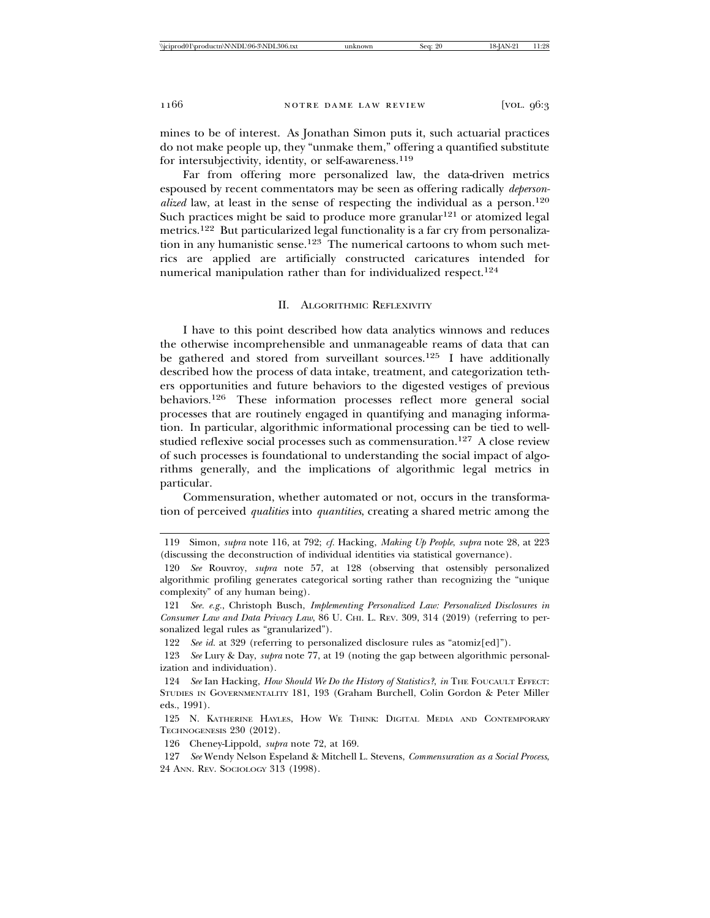mines to be of interest. As Jonathan Simon puts it, such actuarial practices do not make people up, they "unmake them," offering a quantified substitute for intersubjectivity, identity, or self-awareness.<sup>119</sup>

Far from offering more personalized law, the data-driven metrics espoused by recent commentators may be seen as offering radically *depersonalized* law, at least in the sense of respecting the individual as a person.<sup>120</sup> Such practices might be said to produce more granular<sup>121</sup> or atomized legal metrics.122 But particularized legal functionality is a far cry from personalization in any humanistic sense.123 The numerical cartoons to whom such metrics are applied are artificially constructed caricatures intended for numerical manipulation rather than for individualized respect.<sup>124</sup>

#### II. ALGORITHMIC REFLEXIVITY

I have to this point described how data analytics winnows and reduces the otherwise incomprehensible and unmanageable reams of data that can be gathered and stored from surveillant sources.125 I have additionally described how the process of data intake, treatment, and categorization tethers opportunities and future behaviors to the digested vestiges of previous behaviors.126 These information processes reflect more general social processes that are routinely engaged in quantifying and managing information. In particular, algorithmic informational processing can be tied to wellstudied reflexive social processes such as commensuration.127 A close review of such processes is foundational to understanding the social impact of algorithms generally, and the implications of algorithmic legal metrics in particular.

Commensuration, whether automated or not, occurs in the transformation of perceived *qualities* into *quantities*, creating a shared metric among the

<sup>119</sup> Simon, *supra* note 116, at 792; *cf.* Hacking, *Making Up People*, *supra* note 28, at 223 (discussing the deconstruction of individual identities via statistical governance).

<sup>120</sup> *See* Rouvroy, *supra* note 57, at 128 (observing that ostensibly personalized algorithmic profiling generates categorical sorting rather than recognizing the "unique complexity" of any human being).

<sup>121</sup> *See. e.g.*, Christoph Busch, *Implementing Personalized Law: Personalized Disclosures in Consumer Law and Data Privacy Law*, 86 U. CHI. L. REV. 309, 314 (2019) (referring to personalized legal rules as "granularized").

<sup>122</sup> *See id.* at 329 (referring to personalized disclosure rules as "atomiz[ed]").

<sup>123</sup> *See* Lury & Day, *supra* note 77, at 19 (noting the gap between algorithmic personalization and individuation).

<sup>124</sup> *See* Ian Hacking, *How Should We Do the History of Statistics?*, *in* THE FOUCAULT EFFECT: STUDIES IN GOVERNMENTALITY 181, 193 (Graham Burchell, Colin Gordon & Peter Miller eds., 1991).

<sup>125</sup> N. KATHERINE HAYLES, HOW WE THINK: DIGITAL MEDIA AND CONTEMPORARY TECHNOGENESIS 230 (2012).

<sup>126</sup> Cheney-Lippold, *supra* note 72, at 169.

<sup>127</sup> *See* Wendy Nelson Espeland & Mitchell L. Stevens, *Commensuration as a Social Process*, 24 ANN. REV. SOCIOLOGY 313 (1998).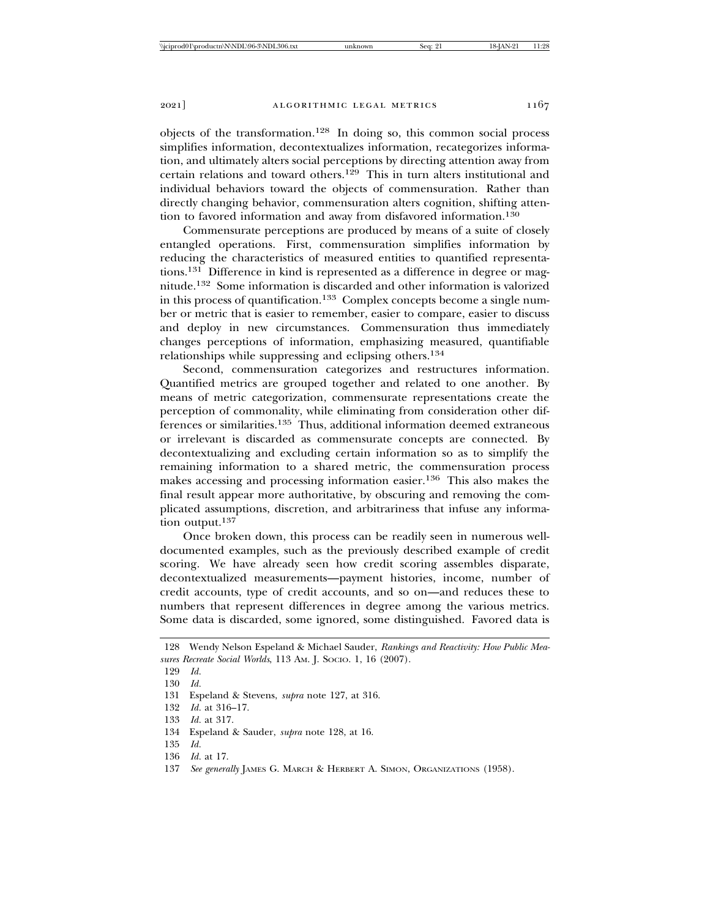objects of the transformation.<sup>128</sup> In doing so, this common social process simplifies information, decontextualizes information, recategorizes information, and ultimately alters social perceptions by directing attention away from certain relations and toward others.129 This in turn alters institutional and individual behaviors toward the objects of commensuration. Rather than directly changing behavior, commensuration alters cognition, shifting attention to favored information and away from disfavored information.<sup>130</sup>

Commensurate perceptions are produced by means of a suite of closely entangled operations. First, commensuration simplifies information by reducing the characteristics of measured entities to quantified representations.131 Difference in kind is represented as a difference in degree or magnitude.132 Some information is discarded and other information is valorized in this process of quantification.<sup>133</sup> Complex concepts become a single number or metric that is easier to remember, easier to compare, easier to discuss and deploy in new circumstances. Commensuration thus immediately changes perceptions of information, emphasizing measured, quantifiable relationships while suppressing and eclipsing others.<sup>134</sup>

Second, commensuration categorizes and restructures information. Quantified metrics are grouped together and related to one another. By means of metric categorization, commensurate representations create the perception of commonality, while eliminating from consideration other differences or similarities.135 Thus, additional information deemed extraneous or irrelevant is discarded as commensurate concepts are connected. By decontextualizing and excluding certain information so as to simplify the remaining information to a shared metric, the commensuration process makes accessing and processing information easier.136 This also makes the final result appear more authoritative, by obscuring and removing the complicated assumptions, discretion, and arbitrariness that infuse any information output.<sup>137</sup>

Once broken down, this process can be readily seen in numerous welldocumented examples, such as the previously described example of credit scoring. We have already seen how credit scoring assembles disparate, decontextualized measurements—payment histories, income, number of credit accounts, type of credit accounts, and so on—and reduces these to numbers that represent differences in degree among the various metrics. Some data is discarded, some ignored, some distinguished. Favored data is

136 *Id.* at 17.

<sup>128</sup> Wendy Nelson Espeland & Michael Sauder, *Rankings and Reactivity: How Public Measures Recreate Social Worlds*, 113 AM. J. SOCIO. 1, 16 (2007).

<sup>129</sup> *Id.*

<sup>130</sup> *Id.*

<sup>131</sup> Espeland & Stevens, *supra* note 127, at 316.

<sup>132</sup> *Id.* at 316–17.

<sup>133</sup> *Id.* at 317.

<sup>134</sup> Espeland & Sauder, *supra* note 128, at 16.

<sup>135</sup> *Id.*

<sup>137</sup> *See generally* JAMES G. MARCH & HERBERT A. SIMON, ORGANIZATIONS (1958).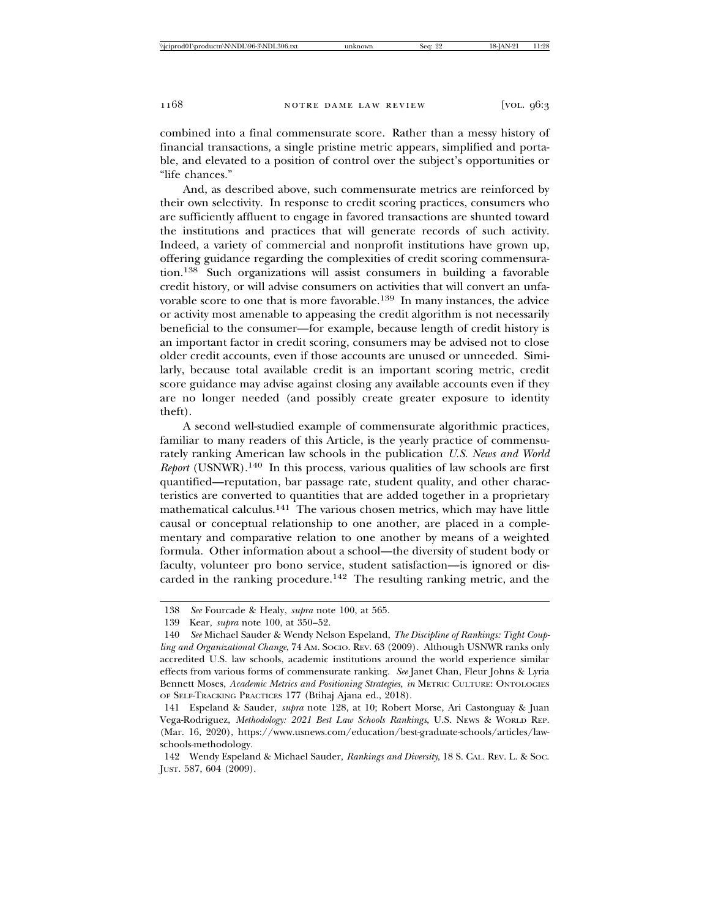combined into a final commensurate score. Rather than a messy history of financial transactions, a single pristine metric appears, simplified and portable, and elevated to a position of control over the subject's opportunities or "life chances."

And, as described above, such commensurate metrics are reinforced by their own selectivity. In response to credit scoring practices, consumers who are sufficiently affluent to engage in favored transactions are shunted toward the institutions and practices that will generate records of such activity. Indeed, a variety of commercial and nonprofit institutions have grown up, offering guidance regarding the complexities of credit scoring commensuration.138 Such organizations will assist consumers in building a favorable credit history, or will advise consumers on activities that will convert an unfavorable score to one that is more favorable.<sup>139</sup> In many instances, the advice or activity most amenable to appeasing the credit algorithm is not necessarily beneficial to the consumer—for example, because length of credit history is an important factor in credit scoring, consumers may be advised not to close older credit accounts, even if those accounts are unused or unneeded. Similarly, because total available credit is an important scoring metric, credit score guidance may advise against closing any available accounts even if they are no longer needed (and possibly create greater exposure to identity theft).

A second well-studied example of commensurate algorithmic practices, familiar to many readers of this Article, is the yearly practice of commensurately ranking American law schools in the publication *U.S. News and World Report* (USNWR).<sup>140</sup> In this process, various qualities of law schools are first quantified—reputation, bar passage rate, student quality, and other characteristics are converted to quantities that are added together in a proprietary mathematical calculus.141 The various chosen metrics, which may have little causal or conceptual relationship to one another, are placed in a complementary and comparative relation to one another by means of a weighted formula. Other information about a school—the diversity of student body or faculty, volunteer pro bono service, student satisfaction—is ignored or discarded in the ranking procedure.<sup>142</sup> The resulting ranking metric, and the

<sup>138</sup> *See* Fourcade & Healy, *supra* note 100, at 565.

<sup>139</sup> Kear, *supra* note 100, at 350–52.

<sup>140</sup> *See* Michael Sauder & Wendy Nelson Espeland, *The Discipline of Rankings: Tight Coupling and Organizational Change*, 74 AM. SOCIO. REV. 63 (2009). Although USNWR ranks only accredited U.S. law schools, academic institutions around the world experience similar effects from various forms of commensurate ranking. *See* Janet Chan, Fleur Johns & Lyria Bennett Moses, *Academic Metrics and Positioning Strategies*, *in* METRIC CULTURE: ONTOLOGIES OF SELF-TRACKING PRACTICES 177 (Btihaj Ajana ed., 2018).

<sup>141</sup> Espeland & Sauder, *supra* note 128, at 10; Robert Morse, Ari Castonguay & Juan Vega-Rodriguez, *Methodology: 2021 Best Law Schools Rankings*, U.S. NEWS & WORLD REP. (Mar. 16, 2020), https://www.usnews.com/education/best-graduate-schools/articles/lawschools-methodology.

<sup>142</sup> Wendy Espeland & Michael Sauder, *Rankings and Diversity*, 18 S. CAL. REV. L. & SOC. JUST. 587, 604 (2009).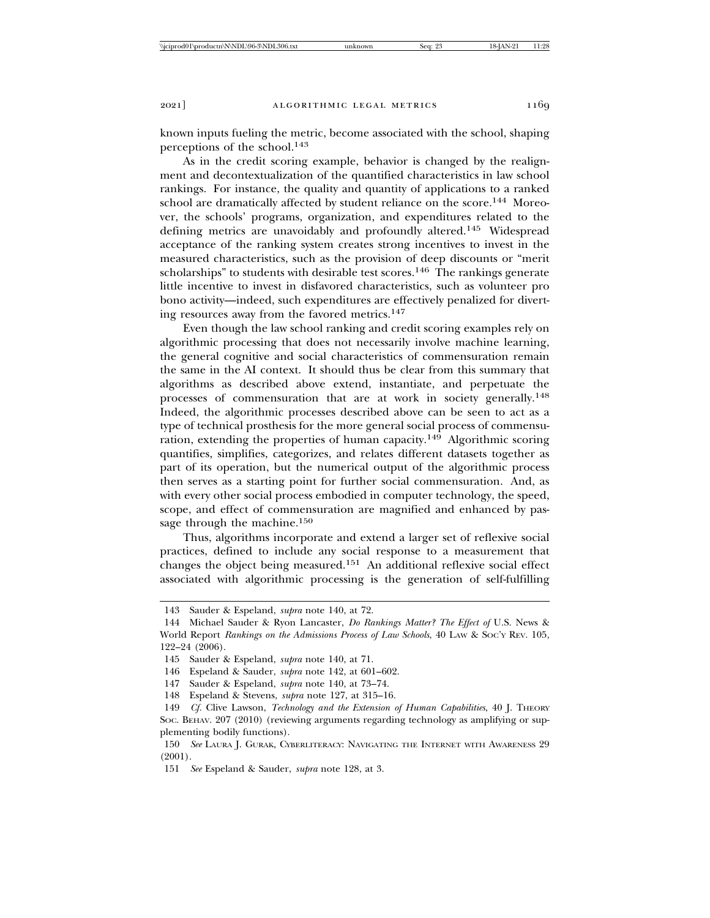known inputs fueling the metric, become associated with the school, shaping perceptions of the school.<sup>143</sup>

As in the credit scoring example, behavior is changed by the realignment and decontextualization of the quantified characteristics in law school rankings. For instance, the quality and quantity of applications to a ranked school are dramatically affected by student reliance on the score.<sup>144</sup> Moreover, the schools' programs, organization, and expenditures related to the defining metrics are unavoidably and profoundly altered.145 Widespread acceptance of the ranking system creates strong incentives to invest in the measured characteristics, such as the provision of deep discounts or "merit scholarships" to students with desirable test scores.<sup>146</sup> The rankings generate little incentive to invest in disfavored characteristics, such as volunteer pro bono activity—indeed, such expenditures are effectively penalized for diverting resources away from the favored metrics.<sup>147</sup>

Even though the law school ranking and credit scoring examples rely on algorithmic processing that does not necessarily involve machine learning, the general cognitive and social characteristics of commensuration remain the same in the AI context. It should thus be clear from this summary that algorithms as described above extend, instantiate, and perpetuate the processes of commensuration that are at work in society generally.<sup>148</sup> Indeed, the algorithmic processes described above can be seen to act as a type of technical prosthesis for the more general social process of commensuration, extending the properties of human capacity.149 Algorithmic scoring quantifies, simplifies, categorizes, and relates different datasets together as part of its operation, but the numerical output of the algorithmic process then serves as a starting point for further social commensuration. And, as with every other social process embodied in computer technology, the speed, scope, and effect of commensuration are magnified and enhanced by passage through the machine.<sup>150</sup>

Thus, algorithms incorporate and extend a larger set of reflexive social practices, defined to include any social response to a measurement that changes the object being measured.151 An additional reflexive social effect associated with algorithmic processing is the generation of self-fulfilling

<sup>143</sup> Sauder & Espeland, *supra* note 140, at 72.

<sup>144</sup> Michael Sauder & Ryon Lancaster, *Do Rankings Matter? The Effect of* U.S. News & World Report *Rankings on the Admissions Process of Law Schools*, 40 LAW & SOC'Y REV. 105, 122–24 (2006).

<sup>145</sup> Sauder & Espeland, *supra* note 140, at 71.

<sup>146</sup> Espeland & Sauder, *supra* note 142, at 601–602.

<sup>147</sup> Sauder & Espeland, *supra* note 140, at 73–74.

<sup>148</sup> Espeland & Stevens, *supra* note 127, at 315–16.

<sup>149</sup> *Cf.* Clive Lawson, *Technology and the Extension of Human Capabilities*, 40 J. THEORY SOC. BEHAV. 207 (2010) (reviewing arguments regarding technology as amplifying or supplementing bodily functions).

<sup>150</sup> *See* LAURA J. GURAK, CYBERLITERACY: NAVIGATING THE INTERNET WITH AWARENESS 29 (2001).

<sup>151</sup> *See* Espeland & Sauder, *supra* note 128, at 3.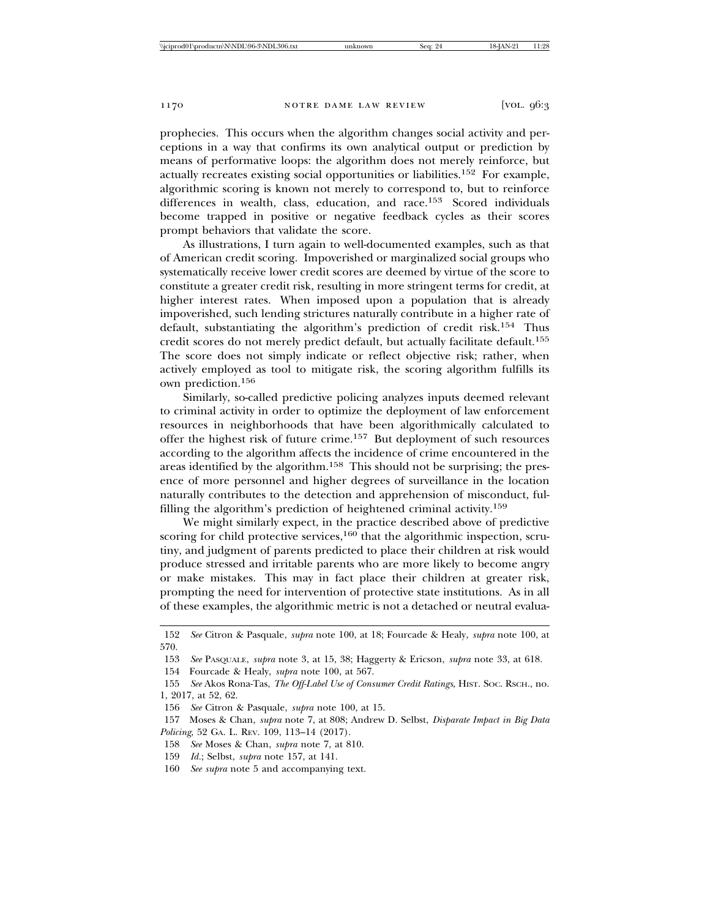prophecies. This occurs when the algorithm changes social activity and perceptions in a way that confirms its own analytical output or prediction by means of performative loops: the algorithm does not merely reinforce, but actually recreates existing social opportunities or liabilities.152 For example, algorithmic scoring is known not merely to correspond to, but to reinforce differences in wealth, class, education, and race.<sup>153</sup> Scored individuals become trapped in positive or negative feedback cycles as their scores prompt behaviors that validate the score.

As illustrations, I turn again to well-documented examples, such as that of American credit scoring. Impoverished or marginalized social groups who systematically receive lower credit scores are deemed by virtue of the score to constitute a greater credit risk, resulting in more stringent terms for credit, at higher interest rates. When imposed upon a population that is already impoverished, such lending strictures naturally contribute in a higher rate of default, substantiating the algorithm's prediction of credit risk.154 Thus credit scores do not merely predict default, but actually facilitate default.<sup>155</sup> The score does not simply indicate or reflect objective risk; rather, when actively employed as tool to mitigate risk, the scoring algorithm fulfills its own prediction.<sup>156</sup>

Similarly, so-called predictive policing analyzes inputs deemed relevant to criminal activity in order to optimize the deployment of law enforcement resources in neighborhoods that have been algorithmically calculated to offer the highest risk of future crime.157 But deployment of such resources according to the algorithm affects the incidence of crime encountered in the areas identified by the algorithm.158 This should not be surprising; the presence of more personnel and higher degrees of surveillance in the location naturally contributes to the detection and apprehension of misconduct, fulfilling the algorithm's prediction of heightened criminal activity.<sup>159</sup>

We might similarly expect, in the practice described above of predictive scoring for child protective services, $160$  that the algorithmic inspection, scrutiny, and judgment of parents predicted to place their children at risk would produce stressed and irritable parents who are more likely to become angry or make mistakes. This may in fact place their children at greater risk, prompting the need for intervention of protective state institutions. As in all of these examples, the algorithmic metric is not a detached or neutral evalua-

- 158 *See* Moses & Chan, *supra* note 7, at 810.
- 159 *Id.*; Selbst, *supra* note 157, at 141.
- 160 *See supra* note 5 and accompanying text.

<sup>152</sup> *See* Citron & Pasquale, *supra* note 100, at 18; Fourcade & Healy, *supra* note 100, at 570.

<sup>153</sup> *See* PASQUALE, *supra* note 3, at 15, 38; Haggerty & Ericson, *supra* note 33, at 618.

<sup>154</sup> Fourcade & Healy, *supra* note 100, at 567.

<sup>155</sup> *See* Akos Rona-Tas, *The Off-Label Use of Consumer Credit Ratings*, HIST. SOC. RSCH., no. 1, 2017, at 52, 62.

<sup>156</sup> *See* Citron & Pasquale, *supra* note 100, at 15.

<sup>157</sup> Moses & Chan, *supra* note 7, at 808; Andrew D. Selbst, *Disparate Impact in Big Data Policing*, 52 GA. L. REV. 109, 113–14 (2017).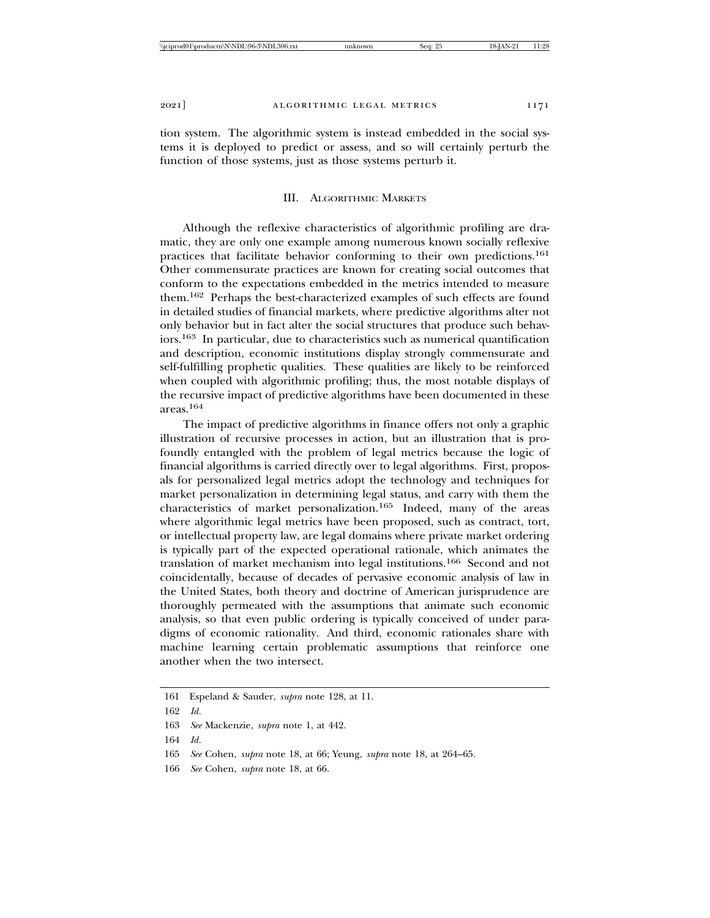tion system. The algorithmic system is instead embedded in the social systems it is deployed to predict or assess, and so will certainly perturb the function of those systems, just as those systems perturb it.

### III. ALGORITHMIC MARKETS

Although the reflexive characteristics of algorithmic profiling are dramatic, they are only one example among numerous known socially reflexive practices that facilitate behavior conforming to their own predictions.<sup>161</sup> Other commensurate practices are known for creating social outcomes that conform to the expectations embedded in the metrics intended to measure them.162 Perhaps the best-characterized examples of such effects are found in detailed studies of financial markets, where predictive algorithms alter not only behavior but in fact alter the social structures that produce such behaviors.163 In particular, due to characteristics such as numerical quantification and description, economic institutions display strongly commensurate and self-fulfilling prophetic qualities. These qualities are likely to be reinforced when coupled with algorithmic profiling; thus, the most notable displays of the recursive impact of predictive algorithms have been documented in these areas.164

The impact of predictive algorithms in finance offers not only a graphic illustration of recursive processes in action, but an illustration that is profoundly entangled with the problem of legal metrics because the logic of financial algorithms is carried directly over to legal algorithms. First, proposals for personalized legal metrics adopt the technology and techniques for market personalization in determining legal status, and carry with them the characteristics of market personalization.165 Indeed, many of the areas where algorithmic legal metrics have been proposed, such as contract, tort, or intellectual property law, are legal domains where private market ordering is typically part of the expected operational rationale, which animates the translation of market mechanism into legal institutions.166 Second and not coincidentally, because of decades of pervasive economic analysis of law in the United States, both theory and doctrine of American jurisprudence are thoroughly permeated with the assumptions that animate such economic analysis, so that even public ordering is typically conceived of under paradigms of economic rationality. And third, economic rationales share with machine learning certain problematic assumptions that reinforce one another when the two intersect.

<sup>161</sup> Espeland & Sauder, *supra* note 128, at 11.

<sup>162</sup> *Id.*

<sup>163</sup> *See* Mackenzie, *supra* note 1, at 442.

<sup>164</sup> *Id.*

<sup>165</sup> *See* Cohen, *supra* note 18, at 66; Yeung, *supra* note 18, at 264–65.

<sup>166</sup> *See* Cohen, *supra* note 18, at 66.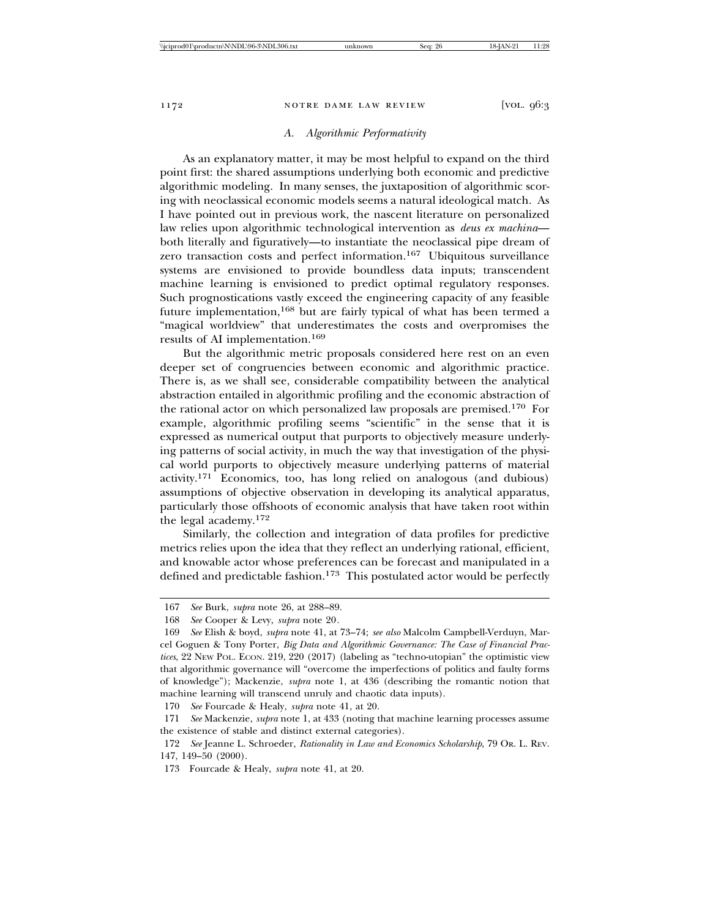#### *A. Algorithmic Performativity*

As an explanatory matter, it may be most helpful to expand on the third point first: the shared assumptions underlying both economic and predictive algorithmic modeling. In many senses, the juxtaposition of algorithmic scoring with neoclassical economic models seems a natural ideological match. As I have pointed out in previous work, the nascent literature on personalized law relies upon algorithmic technological intervention as *deus ex machina* both literally and figuratively—to instantiate the neoclassical pipe dream of zero transaction costs and perfect information.167 Ubiquitous surveillance systems are envisioned to provide boundless data inputs; transcendent machine learning is envisioned to predict optimal regulatory responses. Such prognostications vastly exceed the engineering capacity of any feasible future implementation,168 but are fairly typical of what has been termed a "magical worldview" that underestimates the costs and overpromises the results of AI implementation.<sup>169</sup>

But the algorithmic metric proposals considered here rest on an even deeper set of congruencies between economic and algorithmic practice. There is, as we shall see, considerable compatibility between the analytical abstraction entailed in algorithmic profiling and the economic abstraction of the rational actor on which personalized law proposals are premised.170 For example, algorithmic profiling seems "scientific" in the sense that it is expressed as numerical output that purports to objectively measure underlying patterns of social activity, in much the way that investigation of the physical world purports to objectively measure underlying patterns of material activity.171 Economics, too, has long relied on analogous (and dubious) assumptions of objective observation in developing its analytical apparatus, particularly those offshoots of economic analysis that have taken root within the legal academy.<sup>172</sup>

Similarly, the collection and integration of data profiles for predictive metrics relies upon the idea that they reflect an underlying rational, efficient, and knowable actor whose preferences can be forecast and manipulated in a defined and predictable fashion.<sup>173</sup> This postulated actor would be perfectly

<sup>167</sup> *See* Burk, *supra* note 26, at 288–89.

<sup>168</sup> *See* Cooper & Levy, *supra* note 20*.*

<sup>169</sup> *See* Elish & boyd, *supra* note 41, at 73–74; *see also* Malcolm Campbell-Verduyn, Marcel Goguen & Tony Porter, *Big Data and Algorithmic Governance: The Case of Financial Practices*, 22 NEW POL. ECON. 219, 220 (2017) (labeling as "techno-utopian" the optimistic view that algorithmic governance will "overcome the imperfections of politics and faulty forms of knowledge"); Mackenzie, *supra* note 1, at 436 (describing the romantic notion that machine learning will transcend unruly and chaotic data inputs).

<sup>170</sup> *See* Fourcade & Healy, *supra* note 41, at 20.

<sup>171</sup> *See* Mackenzie, *supra* note 1, at 433 (noting that machine learning processes assume the existence of stable and distinct external categories).

<sup>172</sup> *See* Jeanne L. Schroeder, *Rationality in Law and Economics Scholarship*, 79 OR. L. REV. 147, 149–50 (2000).

<sup>173</sup> Fourcade & Healy, *supra* note 41, at 20.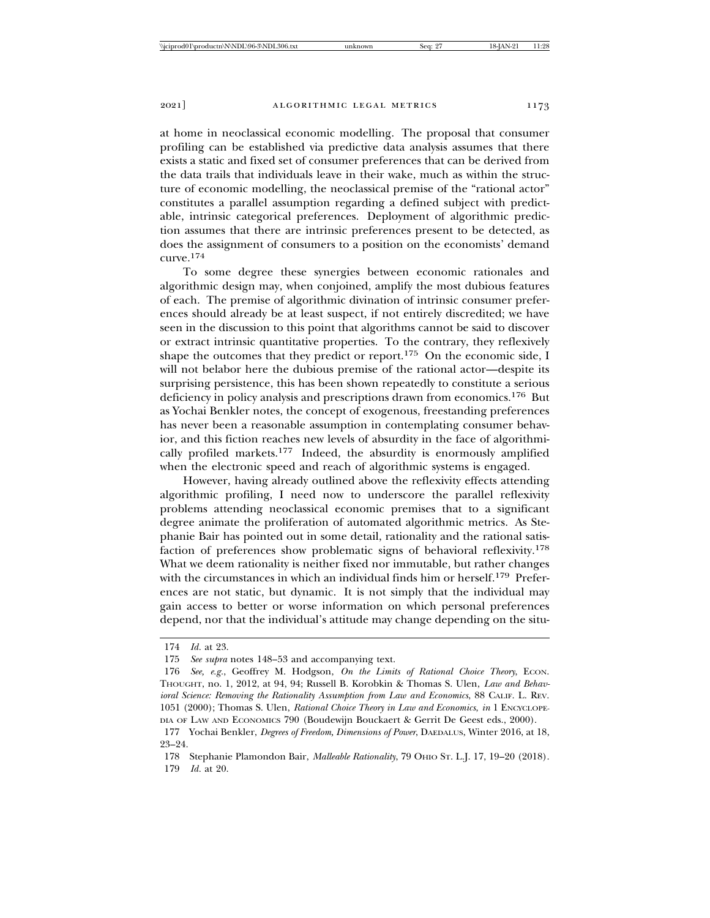at home in neoclassical economic modelling. The proposal that consumer profiling can be established via predictive data analysis assumes that there exists a static and fixed set of consumer preferences that can be derived from the data trails that individuals leave in their wake, much as within the structure of economic modelling, the neoclassical premise of the "rational actor" constitutes a parallel assumption regarding a defined subject with predictable, intrinsic categorical preferences. Deployment of algorithmic prediction assumes that there are intrinsic preferences present to be detected, as does the assignment of consumers to a position on the economists' demand curve.174

To some degree these synergies between economic rationales and algorithmic design may, when conjoined, amplify the most dubious features of each. The premise of algorithmic divination of intrinsic consumer preferences should already be at least suspect, if not entirely discredited; we have seen in the discussion to this point that algorithms cannot be said to discover or extract intrinsic quantitative properties. To the contrary, they reflexively shape the outcomes that they predict or report.<sup>175</sup> On the economic side, I will not belabor here the dubious premise of the rational actor—despite its surprising persistence, this has been shown repeatedly to constitute a serious deficiency in policy analysis and prescriptions drawn from economics.176 But as Yochai Benkler notes, the concept of exogenous, freestanding preferences has never been a reasonable assumption in contemplating consumer behavior, and this fiction reaches new levels of absurdity in the face of algorithmically profiled markets.177 Indeed, the absurdity is enormously amplified when the electronic speed and reach of algorithmic systems is engaged.

However, having already outlined above the reflexivity effects attending algorithmic profiling, I need now to underscore the parallel reflexivity problems attending neoclassical economic premises that to a significant degree animate the proliferation of automated algorithmic metrics. As Stephanie Bair has pointed out in some detail, rationality and the rational satisfaction of preferences show problematic signs of behavioral reflexivity.<sup>178</sup> What we deem rationality is neither fixed nor immutable, but rather changes with the circumstances in which an individual finds him or herself.179 Preferences are not static, but dynamic. It is not simply that the individual may gain access to better or worse information on which personal preferences depend, nor that the individual's attitude may change depending on the situ-

<sup>174</sup> *Id.* at 23.

<sup>175</sup> *See supra* notes 148–53 and accompanying text.

<sup>176</sup> *See, e.g.*, Geoffrey M. Hodgson, *On the Limits of Rational Choice Theory*, ECON. THOUGHT, no. 1, 2012, at 94, 94; Russell B. Korobkin & Thomas S. Ulen, *Law and Behavioral Science: Removing the Rationality Assumption from Law and Economics*, 88 CALIF. L. REV. 1051 (2000); Thomas S. Ulen, *Rational Choice Theory in Law and Economics*, *in* 1 ENCYCLOPE-DIA OF LAW AND ECONOMICS 790 (Boudewijn Bouckaert & Gerrit De Geest eds., 2000).

<sup>177</sup> Yochai Benkler, *Degrees of Freedom, Dimensions of Power*, DAEDALUS, Winter 2016, at 18, 23–24.

<sup>178</sup> Stephanie Plamondon Bair, *Malleable Rationality*, 79 OHIO ST. L.J. 17, 19–20 (2018).

<sup>179</sup> *Id.* at 20.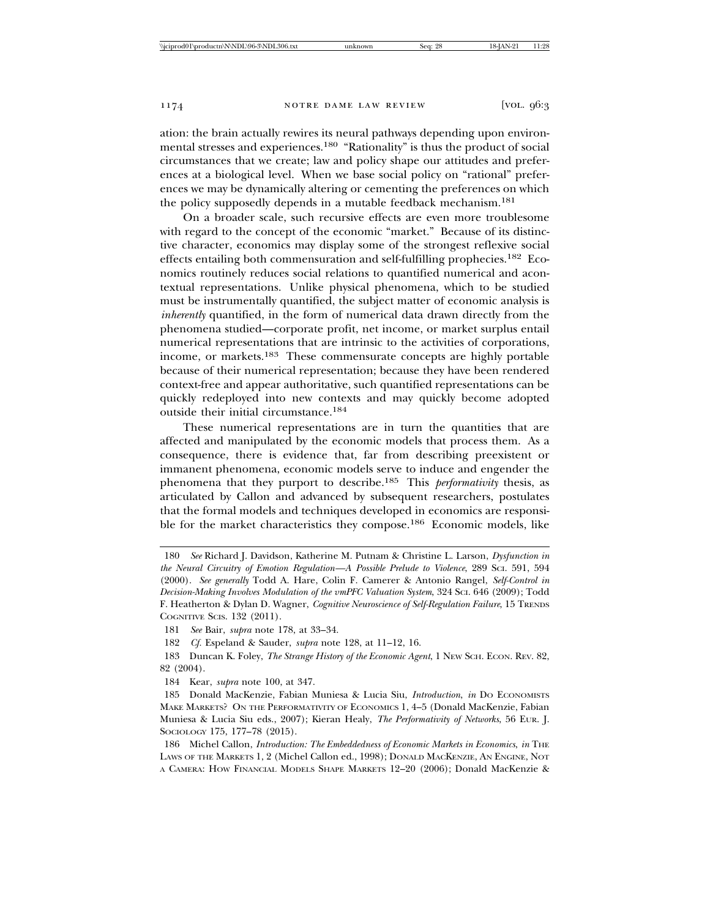ation: the brain actually rewires its neural pathways depending upon environmental stresses and experiences.180 "Rationality" is thus the product of social circumstances that we create; law and policy shape our attitudes and preferences at a biological level. When we base social policy on "rational" preferences we may be dynamically altering or cementing the preferences on which the policy supposedly depends in a mutable feedback mechanism.<sup>181</sup>

On a broader scale, such recursive effects are even more troublesome with regard to the concept of the economic "market." Because of its distinctive character, economics may display some of the strongest reflexive social effects entailing both commensuration and self-fulfilling prophecies.182 Economics routinely reduces social relations to quantified numerical and acontextual representations. Unlike physical phenomena, which to be studied must be instrumentally quantified, the subject matter of economic analysis is *inherently* quantified, in the form of numerical data drawn directly from the phenomena studied—corporate profit, net income, or market surplus entail numerical representations that are intrinsic to the activities of corporations, income, or markets.183 These commensurate concepts are highly portable because of their numerical representation; because they have been rendered context-free and appear authoritative, such quantified representations can be quickly redeployed into new contexts and may quickly become adopted outside their initial circumstance.<sup>184</sup>

These numerical representations are in turn the quantities that are affected and manipulated by the economic models that process them. As a consequence, there is evidence that, far from describing preexistent or immanent phenomena, economic models serve to induce and engender the phenomena that they purport to describe.185 This *performativity* thesis, as articulated by Callon and advanced by subsequent researchers, postulates that the formal models and techniques developed in economics are responsible for the market characteristics they compose.186 Economic models, like

<sup>180</sup> *See* Richard J. Davidson, Katherine M. Putnam & Christine L. Larson, *Dysfunction in the Neural Circuitry of Emotion Regulation—A Possible Prelude to Violence*, 289 SCI. 591, 594 (2000). *See generally* Todd A. Hare, Colin F. Camerer & Antonio Rangel, *Self-Control in Decision-Making Involves Modulation of the vmPFC Valuation System*, 324 SCI. 646 (2009); Todd F. Heatherton & Dylan D. Wagner, *Cognitive Neuroscience of Self-Regulation Failure*, 15 TRENDS COGNITIVE SCIS. 132 (2011).

<sup>181</sup> *See* Bair, *supra* note 178, at 33–34.

<sup>182</sup> *Cf.* Espeland & Sauder, *supra* note 128, at 11–12, 16.

<sup>183</sup> Duncan K. Foley, *The Strange History of the Economic Agent*, 1 NEW SCH. ECON. REV. 82, 82 (2004).

<sup>184</sup> Kear, *supra* note 100, at 347.

<sup>185</sup> Donald MacKenzie, Fabian Muniesa & Lucia Siu, *Introduction*, *in* DO ECONOMISTS MAKE MARKETS? ON THE PERFORMATIVITY OF ECONOMICS 1, 4–5 (Donald MacKenzie, Fabian Muniesa & Lucia Siu eds., 2007); Kieran Healy, *The Performativity of Networks*, 56 EUR. J. SOCIOLOGY 175, 177-78 (2015).

<sup>186</sup> Michel Callon, *Introduction: The Embeddedness of Economic Markets in Economics*, *in* THE LAWS OF THE MARKETS 1, 2 (Michel Callon ed., 1998); DONALD MACKENZIE, AN ENGINE, NOT A CAMERA: HOW FINANCIAL MODELS SHAPE MARKETS 12–20 (2006); Donald MacKenzie &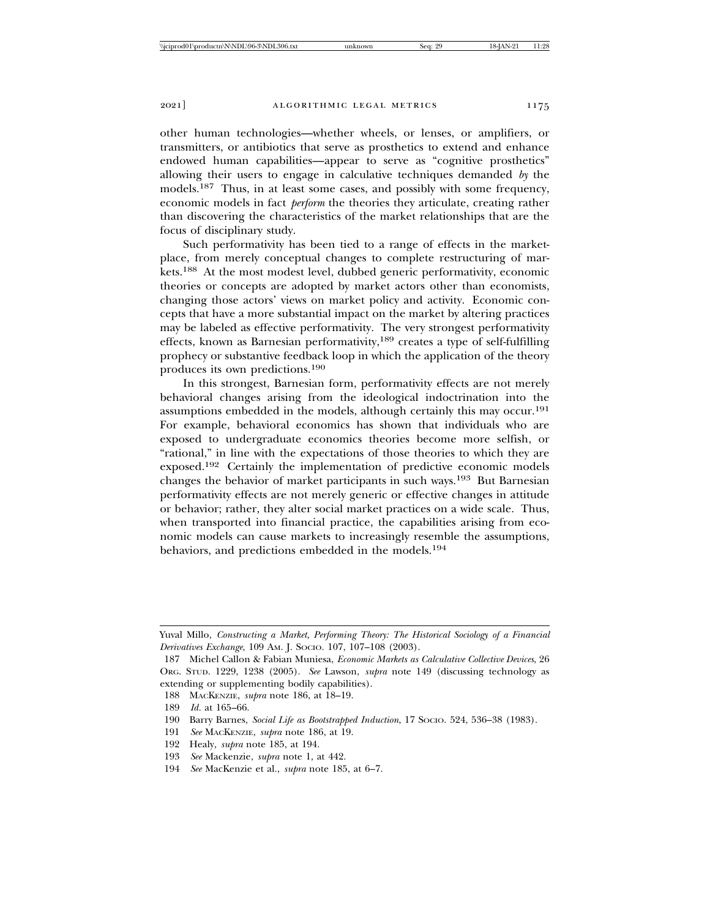other human technologies—whether wheels, or lenses, or amplifiers, or transmitters, or antibiotics that serve as prosthetics to extend and enhance endowed human capabilities—appear to serve as "cognitive prosthetics" allowing their users to engage in calculative techniques demanded *by* the models.<sup>187</sup> Thus, in at least some cases, and possibly with some frequency, economic models in fact *perform* the theories they articulate, creating rather than discovering the characteristics of the market relationships that are the focus of disciplinary study.

Such performativity has been tied to a range of effects in the marketplace, from merely conceptual changes to complete restructuring of markets.188 At the most modest level, dubbed generic performativity, economic theories or concepts are adopted by market actors other than economists, changing those actors' views on market policy and activity. Economic concepts that have a more substantial impact on the market by altering practices may be labeled as effective performativity. The very strongest performativity effects, known as Barnesian performativity,189 creates a type of self-fulfilling prophecy or substantive feedback loop in which the application of the theory produces its own predictions.<sup>190</sup>

In this strongest, Barnesian form, performativity effects are not merely behavioral changes arising from the ideological indoctrination into the assumptions embedded in the models, although certainly this may occur.<sup>191</sup> For example, behavioral economics has shown that individuals who are exposed to undergraduate economics theories become more selfish, or "rational," in line with the expectations of those theories to which they are exposed.192 Certainly the implementation of predictive economic models changes the behavior of market participants in such ways.193 But Barnesian performativity effects are not merely generic or effective changes in attitude or behavior; rather, they alter social market practices on a wide scale. Thus, when transported into financial practice, the capabilities arising from economic models can cause markets to increasingly resemble the assumptions, behaviors, and predictions embedded in the models.<sup>194</sup>

Yuval Millo, *Constructing a Market, Performing Theory: The Historical Sociology of a Financial Derivatives Exchange*, 109 AM. J. SOCIO. 107, 107–108 (2003).

<sup>187</sup> Michel Callon & Fabian Muniesa, *Economic Markets as Calculative Collective Devices*, 26 ORG. STUD. 1229, 1238 (2005). *See* Lawson, *supra* note 149 (discussing technology as extending or supplementing bodily capabilities).

<sup>188</sup> MACKENZIE, *supra* note 186, at 18–19.

<sup>189</sup> *Id.* at 165–66.

<sup>190</sup> Barry Barnes, *Social Life as Bootstrapped Induction*, 17 SOCIO. 524, 536–38 (1983).

<sup>191</sup> *See* MACKENZIE, *supra* note 186, at 19.

<sup>192</sup> Healy, *supra* note 185, at 194.

<sup>193</sup> *See* Mackenzie, *supra* note 1, at 442.

<sup>194</sup> *See* MacKenzie et al., *supra* note 185, at 6–7.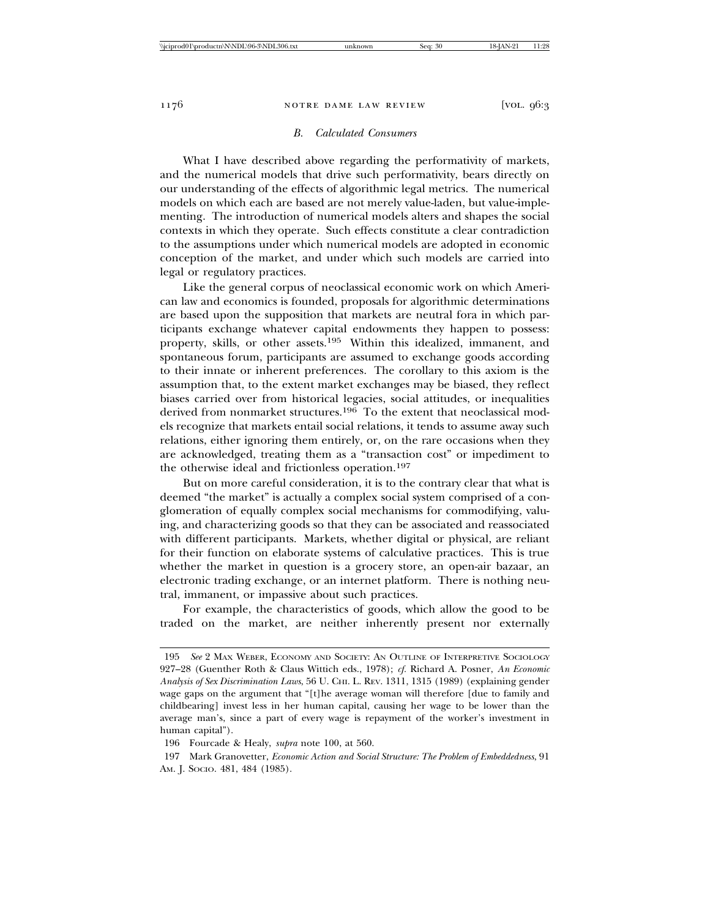### *B. Calculated Consumers*

What I have described above regarding the performativity of markets, and the numerical models that drive such performativity, bears directly on our understanding of the effects of algorithmic legal metrics. The numerical models on which each are based are not merely value-laden, but value-implementing. The introduction of numerical models alters and shapes the social contexts in which they operate. Such effects constitute a clear contradiction to the assumptions under which numerical models are adopted in economic conception of the market, and under which such models are carried into legal or regulatory practices.

Like the general corpus of neoclassical economic work on which American law and economics is founded, proposals for algorithmic determinations are based upon the supposition that markets are neutral fora in which participants exchange whatever capital endowments they happen to possess: property, skills, or other assets.195 Within this idealized, immanent, and spontaneous forum, participants are assumed to exchange goods according to their innate or inherent preferences. The corollary to this axiom is the assumption that, to the extent market exchanges may be biased, they reflect biases carried over from historical legacies, social attitudes, or inequalities derived from nonmarket structures.<sup>196</sup> To the extent that neoclassical models recognize that markets entail social relations, it tends to assume away such relations, either ignoring them entirely, or, on the rare occasions when they are acknowledged, treating them as a "transaction cost" or impediment to the otherwise ideal and frictionless operation.<sup>197</sup>

But on more careful consideration, it is to the contrary clear that what is deemed "the market" is actually a complex social system comprised of a conglomeration of equally complex social mechanisms for commodifying, valuing, and characterizing goods so that they can be associated and reassociated with different participants. Markets, whether digital or physical, are reliant for their function on elaborate systems of calculative practices. This is true whether the market in question is a grocery store, an open-air bazaar, an electronic trading exchange, or an internet platform. There is nothing neutral, immanent, or impassive about such practices.

For example, the characteristics of goods, which allow the good to be traded on the market, are neither inherently present nor externally

<sup>195</sup> *See* 2 MAX WEBER, ECONOMY AND SOCIETY: AN OUTLINE OF INTERPRETIVE SOCIOLOGY 927–28 (Guenther Roth & Claus Wittich eds., 1978); *cf.* Richard A. Posner, *An Economic Analysis of Sex Discrimination Laws*, 56 U. CHI. L. REV. 1311, 1315 (1989) (explaining gender wage gaps on the argument that "[t]he average woman will therefore [due to family and childbearing] invest less in her human capital, causing her wage to be lower than the average man's, since a part of every wage is repayment of the worker's investment in human capital").

<sup>196</sup> Fourcade & Healy, *supra* note 100, at 560.

<sup>197</sup> Mark Granovetter, *Economic Action and Social Structure: The Problem of Embeddedness*, 91 AM. J. SOCIO. 481, 484 (1985).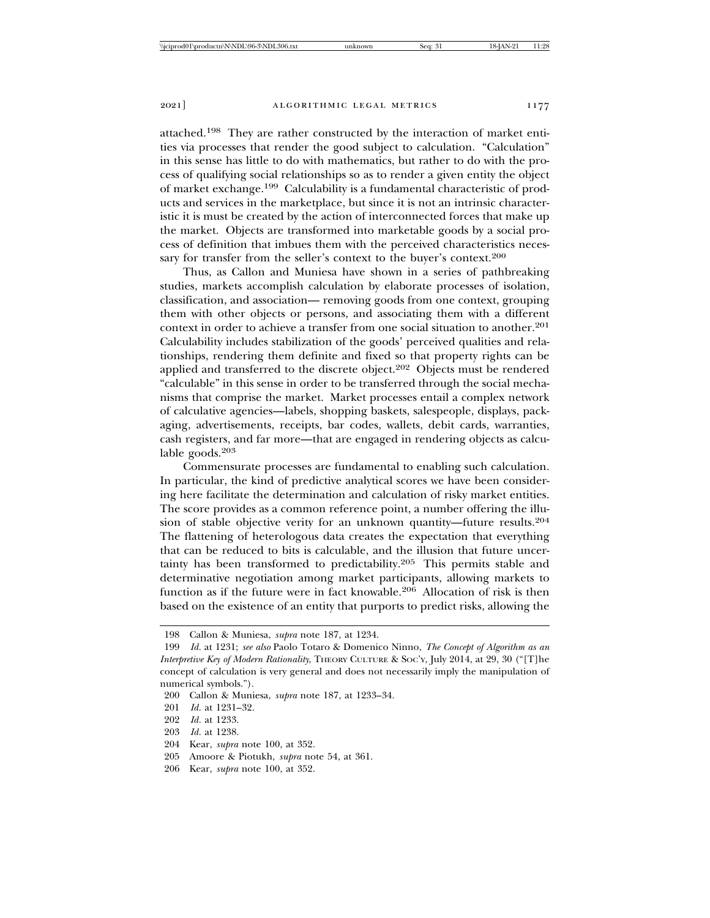attached.198 They are rather constructed by the interaction of market entities via processes that render the good subject to calculation. "Calculation" in this sense has little to do with mathematics, but rather to do with the process of qualifying social relationships so as to render a given entity the object of market exchange.199 Calculability is a fundamental characteristic of products and services in the marketplace, but since it is not an intrinsic characteristic it is must be created by the action of interconnected forces that make up the market. Objects are transformed into marketable goods by a social process of definition that imbues them with the perceived characteristics necessary for transfer from the seller's context to the buyer's context.<sup>200</sup>

Thus, as Callon and Muniesa have shown in a series of pathbreaking studies, markets accomplish calculation by elaborate processes of isolation, classification, and association— removing goods from one context, grouping them with other objects or persons, and associating them with a different context in order to achieve a transfer from one social situation to another.<sup>201</sup> Calculability includes stabilization of the goods' perceived qualities and relationships, rendering them definite and fixed so that property rights can be applied and transferred to the discrete object.<sup>202</sup> Objects must be rendered "calculable" in this sense in order to be transferred through the social mechanisms that comprise the market. Market processes entail a complex network of calculative agencies—labels, shopping baskets, salespeople, displays, packaging, advertisements, receipts, bar codes, wallets, debit cards, warranties, cash registers, and far more—that are engaged in rendering objects as calculable goods.<sup>203</sup>

Commensurate processes are fundamental to enabling such calculation. In particular, the kind of predictive analytical scores we have been considering here facilitate the determination and calculation of risky market entities. The score provides as a common reference point, a number offering the illusion of stable objective verity for an unknown quantity—future results.<sup>204</sup> The flattening of heterologous data creates the expectation that everything that can be reduced to bits is calculable, and the illusion that future uncertainty has been transformed to predictability.205 This permits stable and determinative negotiation among market participants, allowing markets to function as if the future were in fact knowable.206 Allocation of risk is then based on the existence of an entity that purports to predict risks, allowing the

202 *Id.* at 1233.

- 204 Kear, *supra* note 100, at 352.
- 205 Amoore & Piotukh, *supra* note 54, at 361.
- 206 Kear, *supra* note 100, at 352.

<sup>198</sup> Callon & Muniesa, *supra* note 187, at 1234.

<sup>199</sup> *Id.* at 1231; *see also* Paolo Totaro & Domenico Ninno, *The Concept of Algorithm as an Interpretive Key of Modern Rationality*, THEORY CULTURE & SOC'Y, July 2014, at 29, 30 ("[T]he concept of calculation is very general and does not necessarily imply the manipulation of numerical symbols.").

<sup>200</sup> Callon & Muniesa, *supra* note 187, at 1233–34.

<sup>201</sup> *Id.* at 1231–32.

<sup>203</sup> *Id.* at 1238.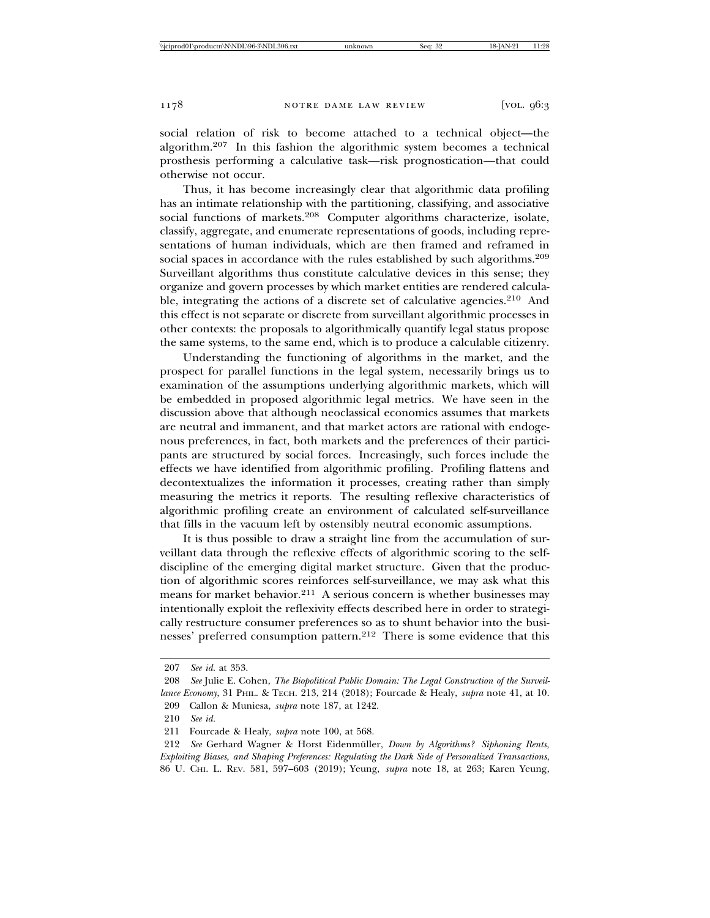social relation of risk to become attached to a technical object—the algorithm.207 In this fashion the algorithmic system becomes a technical prosthesis performing a calculative task—risk prognostication—that could otherwise not occur.

Thus, it has become increasingly clear that algorithmic data profiling has an intimate relationship with the partitioning, classifying, and associative social functions of markets.<sup>208</sup> Computer algorithms characterize, isolate, classify, aggregate, and enumerate representations of goods, including representations of human individuals, which are then framed and reframed in social spaces in accordance with the rules established by such algorithms.<sup>209</sup> Surveillant algorithms thus constitute calculative devices in this sense; they organize and govern processes by which market entities are rendered calculable, integrating the actions of a discrete set of calculative agencies.<sup>210</sup> And this effect is not separate or discrete from surveillant algorithmic processes in other contexts: the proposals to algorithmically quantify legal status propose the same systems, to the same end, which is to produce a calculable citizenry.

Understanding the functioning of algorithms in the market, and the prospect for parallel functions in the legal system, necessarily brings us to examination of the assumptions underlying algorithmic markets, which will be embedded in proposed algorithmic legal metrics. We have seen in the discussion above that although neoclassical economics assumes that markets are neutral and immanent, and that market actors are rational with endogenous preferences, in fact, both markets and the preferences of their participants are structured by social forces. Increasingly, such forces include the effects we have identified from algorithmic profiling. Profiling flattens and decontextualizes the information it processes, creating rather than simply measuring the metrics it reports. The resulting reflexive characteristics of algorithmic profiling create an environment of calculated self-surveillance that fills in the vacuum left by ostensibly neutral economic assumptions.

It is thus possible to draw a straight line from the accumulation of surveillant data through the reflexive effects of algorithmic scoring to the selfdiscipline of the emerging digital market structure. Given that the production of algorithmic scores reinforces self-surveillance, we may ask what this means for market behavior.211 A serious concern is whether businesses may intentionally exploit the reflexivity effects described here in order to strategically restructure consumer preferences so as to shunt behavior into the businesses' preferred consumption pattern.<sup>212</sup> There is some evidence that this

209 Callon & Muniesa, *supra* note 187, at 1242.

<sup>207</sup> *See id.* at 353.

<sup>208</sup> *See* Julie E. Cohen, *The Biopolitical Public Domain: The Legal Construction of the Surveillance Economy*, 31 PHIL. & TECH. 213, 214 (2018); Fourcade & Healy, *supra* note 41, at 10.

<sup>210</sup> *See id.*

<sup>211</sup> Fourcade & Healy, *supra* note 100, at 568.

<sup>212</sup> *See* Gerhard Wagner & Horst Eidenmüller, *Down by Algorithms? Siphoning Rents*, *Exploiting Biases, and Shaping Preferences: Regulating the Dark Side of Personalized Transactions*, 86 U. CHI. L. REV. 581, 597–603 (2019); Yeung, *supra* note 18, at 263; Karen Yeung,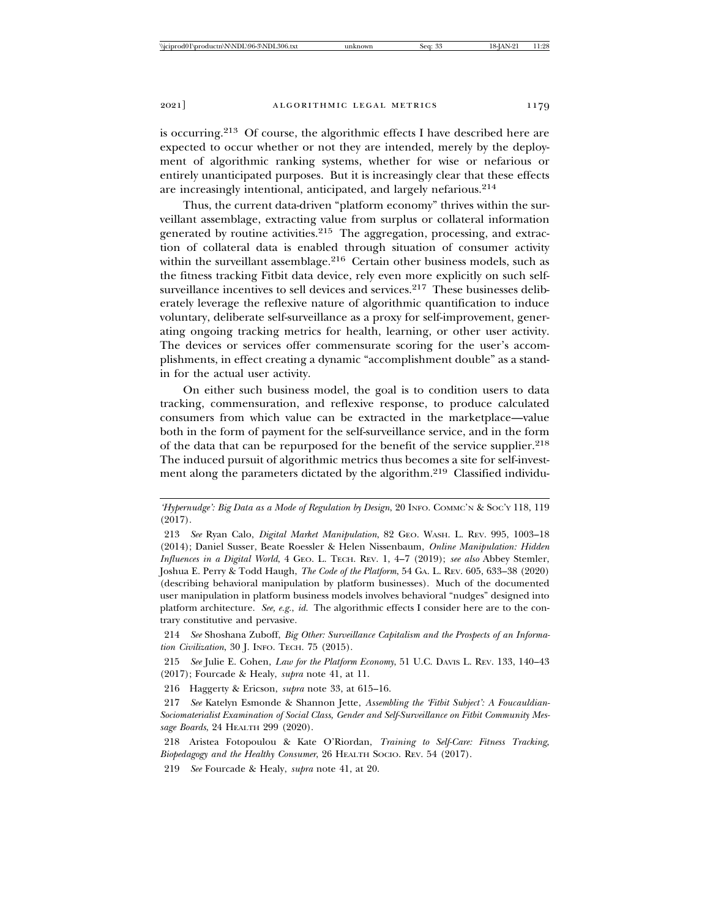is occurring.213 Of course, the algorithmic effects I have described here are expected to occur whether or not they are intended, merely by the deployment of algorithmic ranking systems, whether for wise or nefarious or entirely unanticipated purposes. But it is increasingly clear that these effects are increasingly intentional, anticipated, and largely nefarious.<sup>214</sup>

Thus, the current data-driven "platform economy" thrives within the surveillant assemblage, extracting value from surplus or collateral information generated by routine activities.<sup>215</sup> The aggregation, processing, and extraction of collateral data is enabled through situation of consumer activity within the surveillant assemblage.<sup>216</sup> Certain other business models, such as the fitness tracking Fitbit data device, rely even more explicitly on such selfsurveillance incentives to sell devices and services.<sup>217</sup> These businesses deliberately leverage the reflexive nature of algorithmic quantification to induce voluntary, deliberate self-surveillance as a proxy for self-improvement, generating ongoing tracking metrics for health, learning, or other user activity. The devices or services offer commensurate scoring for the user's accomplishments, in effect creating a dynamic "accomplishment double" as a standin for the actual user activity.

On either such business model, the goal is to condition users to data tracking, commensuration, and reflexive response, to produce calculated consumers from which value can be extracted in the marketplace—value both in the form of payment for the self-surveillance service, and in the form of the data that can be repurposed for the benefit of the service supplier.<sup>218</sup> The induced pursuit of algorithmic metrics thus becomes a site for self-investment along the parameters dictated by the algorithm.219 Classified individu-

214 *See* Shoshana Zuboff, *Big Other: Surveillance Capitalism and the Prospects of an Information Civilization*, 30 J. INFO. TECH. 75 (2015).

215 *See* Julie E. Cohen, *Law for the Platform Economy*, 51 U.C. DAVIS L. REV. 133, 140–43 (2017); Fourcade & Healy, *supra* note 41, at 11.

216 Haggerty & Ericson, *supra* note 33, at 615–16.

218 Aristea Fotopoulou & Kate O'Riordan, *Training to Self-Care: Fitness Tracking, Biopedagogy and the Healthy Consumer*, 26 HEALTH SOCIO. REV. 54 (2017).

219 *See* Fourcade & Healy, *supra* note 41, at 20.

*<sup>&#</sup>x27;Hypernudge': Big Data as a Mode of Regulation by Design*, 20 INFO. COMMC'N & SOC'Y 118, 119 (2017).

<sup>213</sup> *See* Ryan Calo, *Digital Market Manipulation*, 82 GEO. WASH. L. REV. 995, 1003–18 (2014); Daniel Susser, Beate Roessler & Helen Nissenbaum, *Online Manipulation: Hidden Influences in a Digital World*, 4 GEO. L. TECH. REV. 1, 4–7 (2019); *see also* Abbey Stemler, Joshua E. Perry & Todd Haugh, *The Code of the Platform*, 54 GA. L. REV. 605, 633–38 (2020) (describing behavioral manipulation by platform businesses). Much of the documented user manipulation in platform business models involves behavioral "nudges" designed into platform architecture. *See, e.g.*, *id.* The algorithmic effects I consider here are to the contrary constitutive and pervasive.

<sup>217</sup> *See* Katelyn Esmonde & Shannon Jette, *Assembling the 'Fitbit Subject': A Foucauldian-Sociomaterialist Examination of Social Class, Gender and Self-Surveillance on Fitbit Community Message Boards*, 24 HEALTH 299 (2020).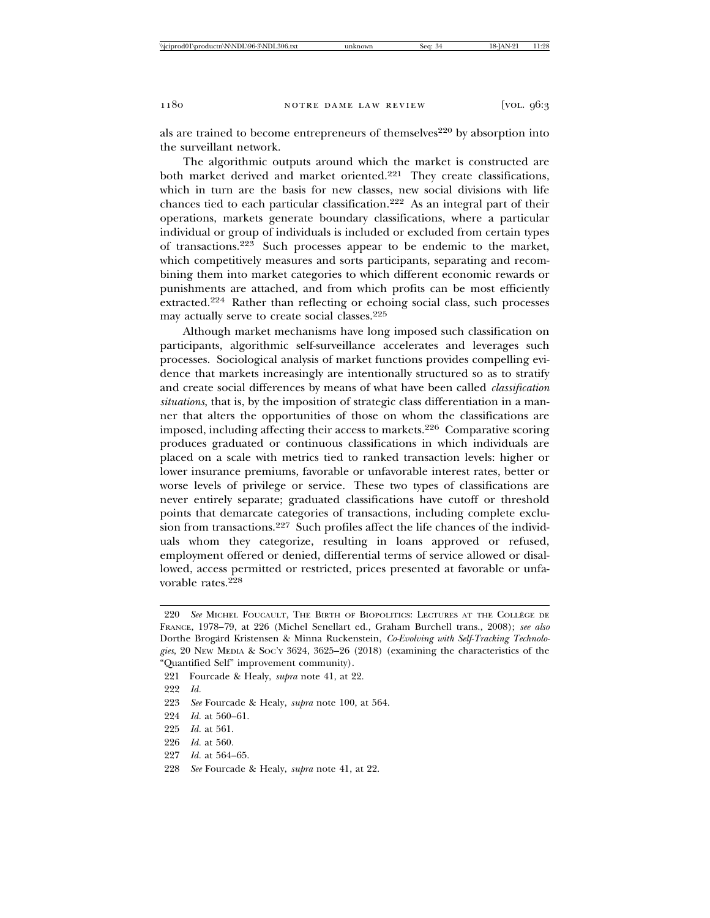als are trained to become entrepreneurs of themselves<sup>220</sup> by absorption into the surveillant network.

The algorithmic outputs around which the market is constructed are both market derived and market oriented.<sup>221</sup> They create classifications, which in turn are the basis for new classes, new social divisions with life chances tied to each particular classification.222 As an integral part of their operations, markets generate boundary classifications, where a particular individual or group of individuals is included or excluded from certain types of transactions.223 Such processes appear to be endemic to the market, which competitively measures and sorts participants, separating and recombining them into market categories to which different economic rewards or punishments are attached, and from which profits can be most efficiently extracted.224 Rather than reflecting or echoing social class, such processes may actually serve to create social classes.<sup>225</sup>

Although market mechanisms have long imposed such classification on participants, algorithmic self-surveillance accelerates and leverages such processes. Sociological analysis of market functions provides compelling evidence that markets increasingly are intentionally structured so as to stratify and create social differences by means of what have been called *classification situations*, that is, by the imposition of strategic class differentiation in a manner that alters the opportunities of those on whom the classifications are imposed, including affecting their access to markets.226 Comparative scoring produces graduated or continuous classifications in which individuals are placed on a scale with metrics tied to ranked transaction levels: higher or lower insurance premiums, favorable or unfavorable interest rates, better or worse levels of privilege or service. These two types of classifications are never entirely separate; graduated classifications have cutoff or threshold points that demarcate categories of transactions, including complete exclusion from transactions.<sup>227</sup> Such profiles affect the life chances of the individuals whom they categorize, resulting in loans approved or refused, employment offered or denied, differential terms of service allowed or disallowed, access permitted or restricted, prices presented at favorable or unfavorable rates.<sup>228</sup>

224 *Id.* at 560–61.

- 226 *Id.* at 560.
- 227 *Id.* at 564–65.
- 228 *See* Fourcade & Healy, *supra* note 41, at 22.

<sup>220</sup> *See* MICHEL FOUCAULT, THE BIRTH OF BIOPOLITICS: LECTURES AT THE COLLEGE DE ` FRANCE, 1978–79, at 226 (Michel Senellart ed., Graham Burchell trans., 2008); *see also* Dorthe Brogard Kristensen & Minna Ruckenstein, *Co-Evolving with Self-Tracking Technologies*, 20 NEW MEDIA & SOC'Y 3624, 3625–26 (2018) (examining the characteristics of the "Quantified Self" improvement community).

<sup>221</sup> Fourcade & Healy, *supra* note 41, at 22.

<sup>222</sup> *Id.*

<sup>223</sup> *See* Fourcade & Healy, *supra* note 100, at 564.

<sup>225</sup> *Id.* at 561.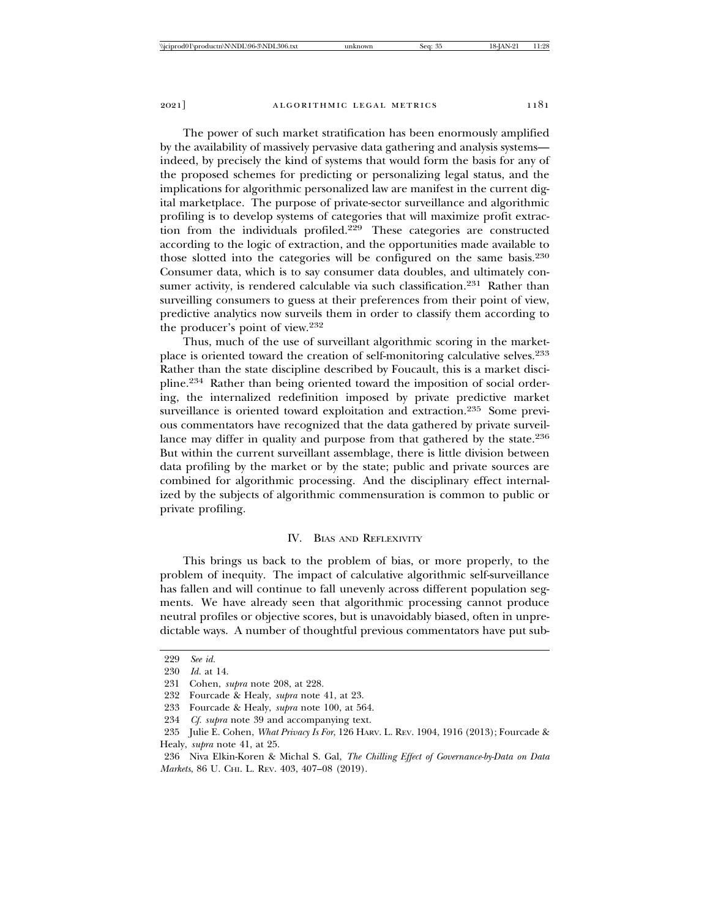The power of such market stratification has been enormously amplified by the availability of massively pervasive data gathering and analysis systems indeed, by precisely the kind of systems that would form the basis for any of the proposed schemes for predicting or personalizing legal status, and the implications for algorithmic personalized law are manifest in the current digital marketplace. The purpose of private-sector surveillance and algorithmic profiling is to develop systems of categories that will maximize profit extraction from the individuals profiled.229 These categories are constructed according to the logic of extraction, and the opportunities made available to those slotted into the categories will be configured on the same basis.<sup>230</sup> Consumer data, which is to say consumer data doubles, and ultimately con-

sumer activity, is rendered calculable via such classification.<sup>231</sup> Rather than surveilling consumers to guess at their preferences from their point of view, predictive analytics now surveils them in order to classify them according to the producer's point of view.<sup>232</sup>

Thus, much of the use of surveillant algorithmic scoring in the marketplace is oriented toward the creation of self-monitoring calculative selves.<sup>233</sup> Rather than the state discipline described by Foucault, this is a market discipline.234 Rather than being oriented toward the imposition of social ordering, the internalized redefinition imposed by private predictive market surveillance is oriented toward exploitation and extraction.<sup>235</sup> Some previous commentators have recognized that the data gathered by private surveillance may differ in quality and purpose from that gathered by the state.<sup>236</sup> But within the current surveillant assemblage, there is little division between data profiling by the market or by the state; public and private sources are combined for algorithmic processing. And the disciplinary effect internalized by the subjects of algorithmic commensuration is common to public or private profiling.

## IV. BIAS AND REFLEXIVITY

This brings us back to the problem of bias, or more properly, to the problem of inequity. The impact of calculative algorithmic self-surveillance has fallen and will continue to fall unevenly across different population segments. We have already seen that algorithmic processing cannot produce neutral profiles or objective scores, but is unavoidably biased, often in unpredictable ways. A number of thoughtful previous commentators have put sub-

<sup>229</sup> *See id.*

<sup>230</sup> *Id.* at 14.

<sup>231</sup> Cohen, *supra* note 208, at 228.

<sup>232</sup> Fourcade & Healy, *supra* note 41, at 23.

<sup>233</sup> Fourcade & Healy, *supra* note 100, at 564.

<sup>234</sup> *Cf. supra* note 39 and accompanying text.

<sup>235</sup> Julie E. Cohen, *What Privacy Is For*, 126 HARV. L. REV. 1904, 1916 (2013); Fourcade & Healy, *supra* note 41, at 25.

<sup>236</sup> Niva Elkin-Koren & Michal S. Gal, *The Chilling Effect of Governance-by-Data on Data Markets*, 86 U. CHI. L. REV. 403, 407–08 (2019).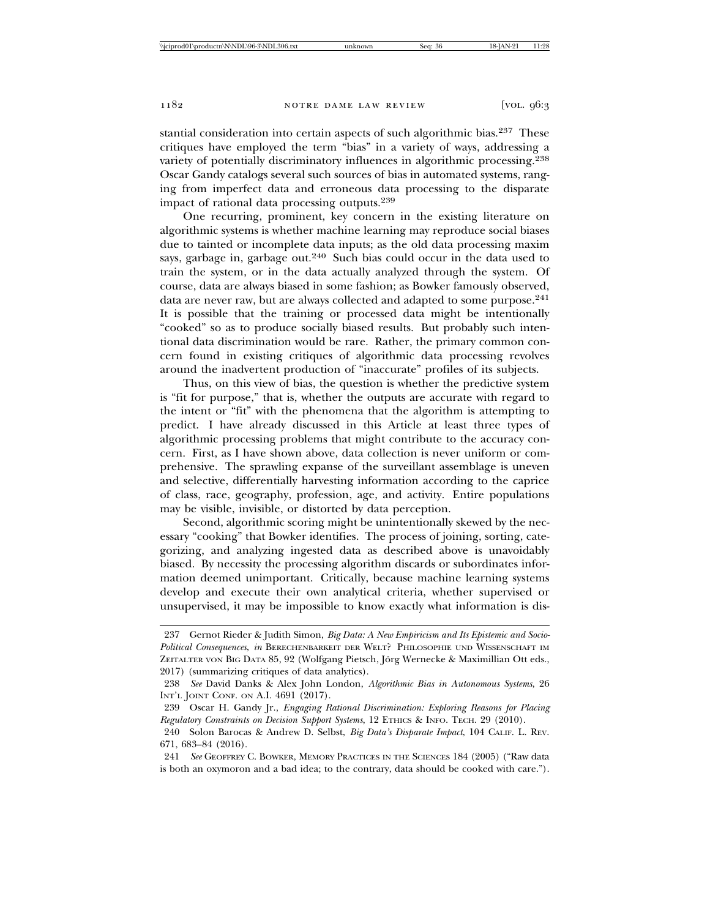stantial consideration into certain aspects of such algorithmic bias.<sup>237</sup> These critiques have employed the term "bias" in a variety of ways, addressing a variety of potentially discriminatory influences in algorithmic processing.<sup>238</sup> Oscar Gandy catalogs several such sources of bias in automated systems, ranging from imperfect data and erroneous data processing to the disparate impact of rational data processing outputs.<sup>239</sup>

One recurring, prominent, key concern in the existing literature on algorithmic systems is whether machine learning may reproduce social biases due to tainted or incomplete data inputs; as the old data processing maxim says, garbage in, garbage out.<sup>240</sup> Such bias could occur in the data used to train the system, or in the data actually analyzed through the system. Of course, data are always biased in some fashion; as Bowker famously observed, data are never raw, but are always collected and adapted to some purpose.<sup>241</sup> It is possible that the training or processed data might be intentionally "cooked" so as to produce socially biased results. But probably such intentional data discrimination would be rare. Rather, the primary common concern found in existing critiques of algorithmic data processing revolves around the inadvertent production of "inaccurate" profiles of its subjects.

Thus, on this view of bias, the question is whether the predictive system is "fit for purpose," that is, whether the outputs are accurate with regard to the intent or "fit" with the phenomena that the algorithm is attempting to predict. I have already discussed in this Article at least three types of algorithmic processing problems that might contribute to the accuracy concern. First, as I have shown above, data collection is never uniform or comprehensive. The sprawling expanse of the surveillant assemblage is uneven and selective, differentially harvesting information according to the caprice of class, race, geography, profession, age, and activity. Entire populations may be visible, invisible, or distorted by data perception.

Second, algorithmic scoring might be unintentionally skewed by the necessary "cooking" that Bowker identifies. The process of joining, sorting, categorizing, and analyzing ingested data as described above is unavoidably biased. By necessity the processing algorithm discards or subordinates information deemed unimportant. Critically, because machine learning systems develop and execute their own analytical criteria, whether supervised or unsupervised, it may be impossible to know exactly what information is dis-

<sup>237</sup> Gernot Rieder & Judith Simon, *Big Data: A New Empiricism and Its Epistemic and Socio-Political Consequences*, *in* BERECHENBARKEIT DER WELT? PHILOSOPHIE UND WISSENSCHAFT IM ZEITALTER VON BIG DATA 85, 92 (Wolfgang Pietsch, Jörg Wernecke & Maximillian Ott eds., 2017) (summarizing critiques of data analytics).

<sup>238</sup> *See* David Danks & Alex John London, *Algorithmic Bias in Autonomous Systems*, 26 INT'L JOINT CONF. ON A.I. 4691 (2017).

<sup>239</sup> Oscar H. Gandy Jr., *Engaging Rational Discrimination: Exploring Reasons for Placing Regulatory Constraints on Decision Support Systems*, 12 ETHICS & INFO. TECH. 29 (2010).

<sup>240</sup> Solon Barocas & Andrew D. Selbst, *Big Data's Disparate Impact*, 104 CALIF. L. REV. 671, 683–84 (2016).

<sup>241</sup> *See* GEOFFREY C. BOWKER, MEMORY PRACTICES IN THE SCIENCES 184 (2005) ("Raw data is both an oxymoron and a bad idea; to the contrary, data should be cooked with care.").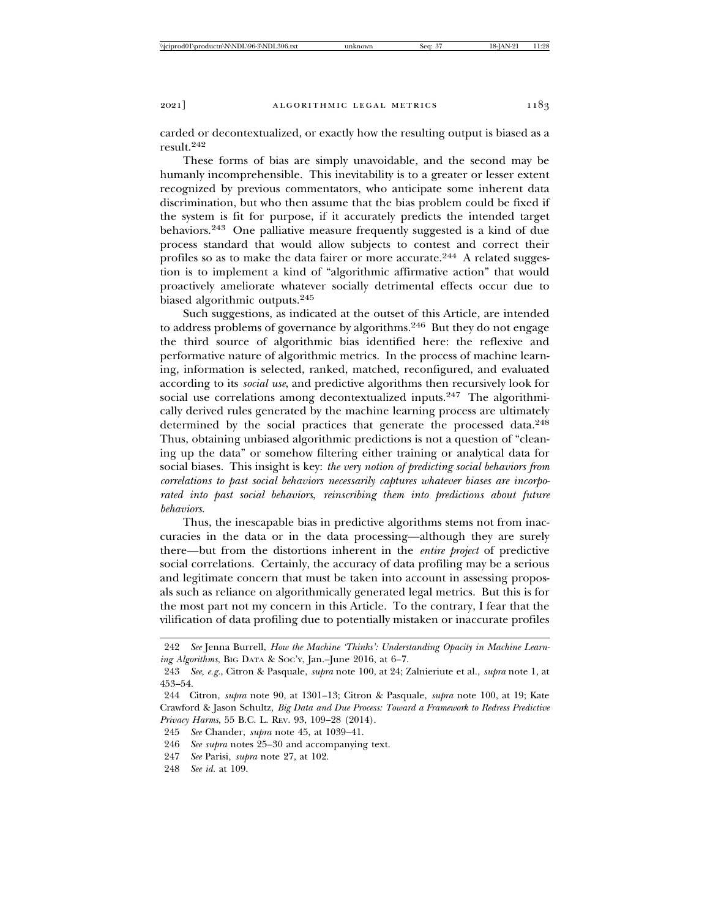carded or decontextualized, or exactly how the resulting output is biased as a result.242

These forms of bias are simply unavoidable, and the second may be humanly incomprehensible. This inevitability is to a greater or lesser extent recognized by previous commentators, who anticipate some inherent data discrimination, but who then assume that the bias problem could be fixed if the system is fit for purpose, if it accurately predicts the intended target behaviors.243 One palliative measure frequently suggested is a kind of due process standard that would allow subjects to contest and correct their profiles so as to make the data fairer or more accurate.<sup>244</sup> A related suggestion is to implement a kind of "algorithmic affirmative action" that would proactively ameliorate whatever socially detrimental effects occur due to biased algorithmic outputs.<sup>245</sup>

Such suggestions, as indicated at the outset of this Article, are intended to address problems of governance by algorithms.246 But they do not engage the third source of algorithmic bias identified here: the reflexive and performative nature of algorithmic metrics. In the process of machine learning, information is selected, ranked, matched, reconfigured, and evaluated according to its *social use*, and predictive algorithms then recursively look for social use correlations among decontextualized inputs.<sup>247</sup> The algorithmically derived rules generated by the machine learning process are ultimately determined by the social practices that generate the processed data.<sup>248</sup> Thus, obtaining unbiased algorithmic predictions is not a question of "cleaning up the data" or somehow filtering either training or analytical data for social biases. This insight is key: *the very notion of predicting social behaviors from correlations to past social behaviors necessarily captures whatever biases are incorporated into past social behaviors*, *reinscribing them into predictions about future behaviors*.

Thus, the inescapable bias in predictive algorithms stems not from inaccuracies in the data or in the data processing—although they are surely there—but from the distortions inherent in the *entire project* of predictive social correlations. Certainly, the accuracy of data profiling may be a serious and legitimate concern that must be taken into account in assessing proposals such as reliance on algorithmically generated legal metrics. But this is for the most part not my concern in this Article. To the contrary, I fear that the vilification of data profiling due to potentially mistaken or inaccurate profiles

- 247 *See* Parisi, *supra* note 27, at 102.
- 248 *See id.* at 109.

<sup>242</sup> *See* Jenna Burrell, *How the Machine 'Thinks': Understanding Opacity in Machine Learning Algorithms*, BIG DATA & SOC'Y, Jan.–June 2016, at 6–7.

<sup>243</sup> *See, e.g.*, Citron & Pasquale, *supra* note 100, at 24; Zalnieriute et al., *supra* note 1, at 453–54.

<sup>244</sup> Citron, *supra* note 90, at 1301–13; Citron & Pasquale, *supra* note 100, at 19; Kate Crawford & Jason Schultz, *Big Data and Due Process: Toward a Framework to Redress Predictive Privacy Harms*, 55 B.C. L. REV. 93, 109–28 (2014).

<sup>245</sup> *See* Chander, *supra* note 45, at 1039–41.

<sup>246</sup> *See supra* notes 25–30 and accompanying text.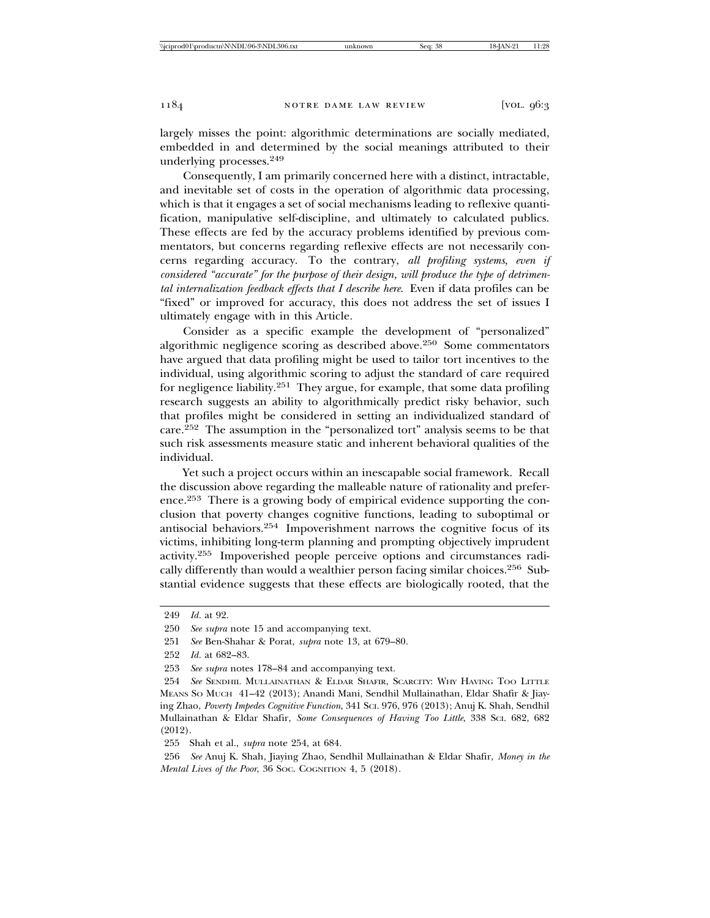largely misses the point: algorithmic determinations are socially mediated, embedded in and determined by the social meanings attributed to their underlying processes.<sup>249</sup>

Consequently, I am primarily concerned here with a distinct, intractable, and inevitable set of costs in the operation of algorithmic data processing, which is that it engages a set of social mechanisms leading to reflexive quantification, manipulative self-discipline, and ultimately to calculated publics. These effects are fed by the accuracy problems identified by previous commentators, but concerns regarding reflexive effects are not necessarily concerns regarding accuracy. To the contrary, *all profiling systems, even if considered "accurate" for the purpose of their design, will produce the type of detrimental internalization feedback effects that I describe here*. Even if data profiles can be "fixed" or improved for accuracy, this does not address the set of issues I ultimately engage with in this Article.

Consider as a specific example the development of "personalized" algorithmic negligence scoring as described above.250 Some commentators have argued that data profiling might be used to tailor tort incentives to the individual, using algorithmic scoring to adjust the standard of care required for negligence liability.251 They argue, for example, that some data profiling research suggests an ability to algorithmically predict risky behavior, such that profiles might be considered in setting an individualized standard of care.<sup>252</sup> The assumption in the "personalized tort" analysis seems to be that such risk assessments measure static and inherent behavioral qualities of the individual.

Yet such a project occurs within an inescapable social framework. Recall the discussion above regarding the malleable nature of rationality and preference.253 There is a growing body of empirical evidence supporting the conclusion that poverty changes cognitive functions, leading to suboptimal or antisocial behaviors.254 Impoverishment narrows the cognitive focus of its victims, inhibiting long-term planning and prompting objectively imprudent activity.255 Impoverished people perceive options and circumstances radically differently than would a wealthier person facing similar choices.256 Substantial evidence suggests that these effects are biologically rooted, that the

<sup>249</sup> *Id.* at 92.

<sup>250</sup> *See supra* note 15 and accompanying text.

<sup>251</sup> *See* Ben-Shahar & Porat, *supra* note 13, at 679–80.

<sup>252</sup> *Id.* at 682–83.

<sup>253</sup> *See supra* notes 178–84 and accompanying text.

<sup>254</sup> *See* SENDHIL MULLAINATHAN & ELDAR SHAFIR, SCARCITY: WHY HAVING TOO LITTLE MEANS SO MUCH 41–42 (2013); Anandi Mani, Sendhil Mullainathan, Eldar Shafir & Jiaying Zhao, *Poverty Impedes Cognitive Function*, 341 SCI. 976, 976 (2013); Anuj K. Shah, Sendhil Mullainathan & Eldar Shafir, *Some Consequences of Having Too Little*, 338 SCI. 682, 682 (2012).

<sup>255</sup> Shah et al., *supra* note 254, at 684.

<sup>256</sup> *See* Anuj K. Shah, Jiaying Zhao, Sendhil Mullainathan & Eldar Shafir, *Money in the Mental Lives of the Poor*, 36 Soc. COGNITION 4, 5 (2018).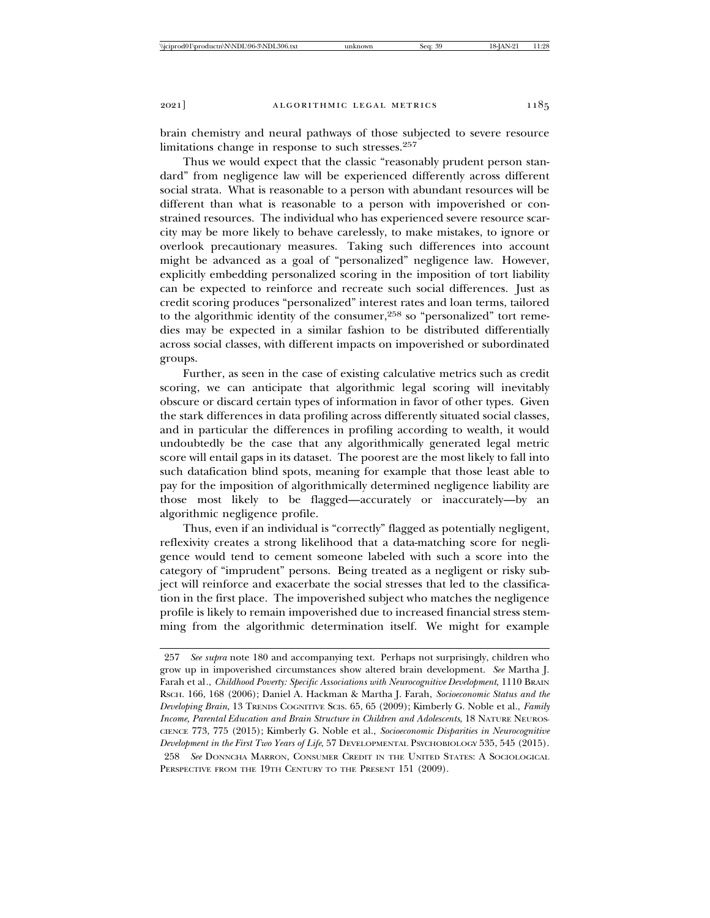brain chemistry and neural pathways of those subjected to severe resource limitations change in response to such stresses.<sup>257</sup>

Thus we would expect that the classic "reasonably prudent person standard" from negligence law will be experienced differently across different social strata. What is reasonable to a person with abundant resources will be different than what is reasonable to a person with impoverished or constrained resources. The individual who has experienced severe resource scarcity may be more likely to behave carelessly, to make mistakes, to ignore or overlook precautionary measures. Taking such differences into account might be advanced as a goal of "personalized" negligence law. However, explicitly embedding personalized scoring in the imposition of tort liability can be expected to reinforce and recreate such social differences. Just as credit scoring produces "personalized" interest rates and loan terms, tailored to the algorithmic identity of the consumer,<sup>258</sup> so "personalized" tort remedies may be expected in a similar fashion to be distributed differentially across social classes, with different impacts on impoverished or subordinated groups.

Further, as seen in the case of existing calculative metrics such as credit scoring, we can anticipate that algorithmic legal scoring will inevitably obscure or discard certain types of information in favor of other types. Given the stark differences in data profiling across differently situated social classes, and in particular the differences in profiling according to wealth, it would undoubtedly be the case that any algorithmically generated legal metric score will entail gaps in its dataset. The poorest are the most likely to fall into such datafication blind spots, meaning for example that those least able to pay for the imposition of algorithmically determined negligence liability are those most likely to be flagged—accurately or inaccurately—by an algorithmic negligence profile.

Thus, even if an individual is "correctly" flagged as potentially negligent, reflexivity creates a strong likelihood that a data-matching score for negligence would tend to cement someone labeled with such a score into the category of "imprudent" persons. Being treated as a negligent or risky subject will reinforce and exacerbate the social stresses that led to the classification in the first place. The impoverished subject who matches the negligence profile is likely to remain impoverished due to increased financial stress stemming from the algorithmic determination itself. We might for example

<sup>257</sup> *See supra* note 180 and accompanying text. Perhaps not surprisingly, children who grow up in impoverished circumstances show altered brain development. *See* Martha J. Farah et al*.*, *Childhood Poverty: Specific Associations with Neurocognitive Development*, 1110 BRAIN RSCH. 166, 168 (2006); Daniel A. Hackman & Martha J. Farah, *Socioeconomic Status and the Developing Brain*, 13 TRENDS COGNITIVE SCIS. 65, 65 (2009); Kimberly G. Noble et al., *Family Income, Parental Education and Brain Structure in Children and Adolescents*, 18 NATURE NEUROS-CIENCE 773, 775 (2015); Kimberly G. Noble et al., *Socioeconomic Disparities in Neurocognitive Development in the First Two Years of Life*, 57 DEVELOPMENTAL PSYCHOBIOLOGY 535, 545 (2015).

<sup>258</sup> *See* DONNCHA MARRON, CONSUMER CREDIT IN THE UNITED STATES: A SOCIOLOGICAL PERSPECTIVE FROM THE 19TH CENTURY TO THE PRESENT 151 (2009).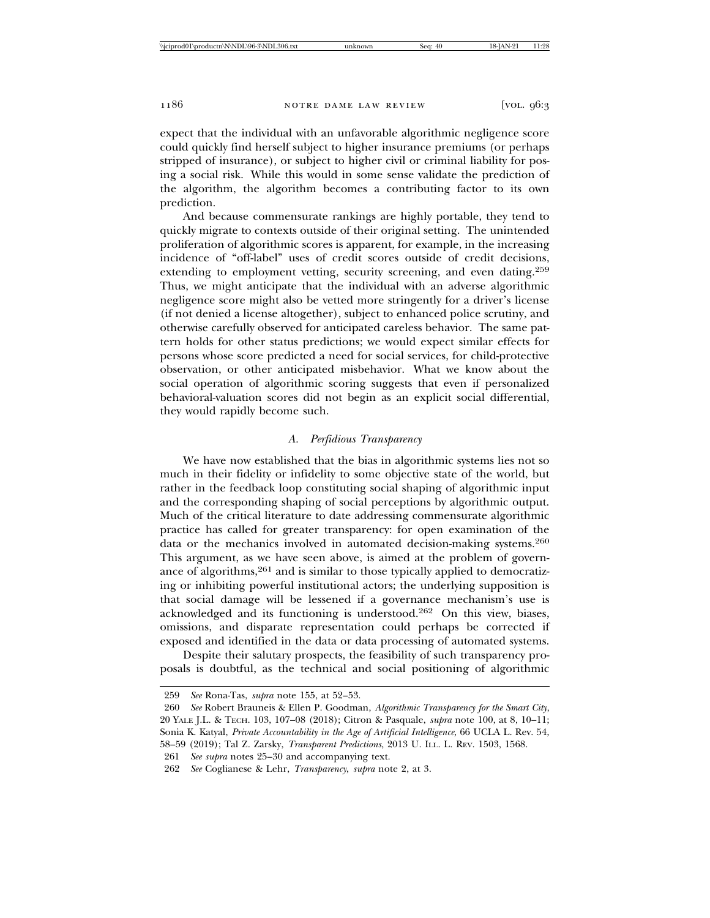expect that the individual with an unfavorable algorithmic negligence score could quickly find herself subject to higher insurance premiums (or perhaps stripped of insurance), or subject to higher civil or criminal liability for posing a social risk. While this would in some sense validate the prediction of the algorithm, the algorithm becomes a contributing factor to its own prediction.

And because commensurate rankings are highly portable, they tend to quickly migrate to contexts outside of their original setting. The unintended proliferation of algorithmic scores is apparent, for example, in the increasing incidence of "off-label" uses of credit scores outside of credit decisions, extending to employment vetting, security screening, and even dating.<sup>259</sup> Thus, we might anticipate that the individual with an adverse algorithmic negligence score might also be vetted more stringently for a driver's license (if not denied a license altogether), subject to enhanced police scrutiny, and otherwise carefully observed for anticipated careless behavior. The same pattern holds for other status predictions; we would expect similar effects for persons whose score predicted a need for social services, for child-protective observation, or other anticipated misbehavior. What we know about the social operation of algorithmic scoring suggests that even if personalized behavioral-valuation scores did not begin as an explicit social differential, they would rapidly become such.

# *A. Perfidious Transparency*

We have now established that the bias in algorithmic systems lies not so much in their fidelity or infidelity to some objective state of the world, but rather in the feedback loop constituting social shaping of algorithmic input and the corresponding shaping of social perceptions by algorithmic output. Much of the critical literature to date addressing commensurate algorithmic practice has called for greater transparency: for open examination of the data or the mechanics involved in automated decision-making systems.<sup>260</sup> This argument, as we have seen above, is aimed at the problem of governance of algorithms,<sup>261</sup> and is similar to those typically applied to democratizing or inhibiting powerful institutional actors; the underlying supposition is that social damage will be lessened if a governance mechanism's use is acknowledged and its functioning is understood.262 On this view, biases, omissions, and disparate representation could perhaps be corrected if exposed and identified in the data or data processing of automated systems.

Despite their salutary prospects, the feasibility of such transparency proposals is doubtful, as the technical and social positioning of algorithmic

261 *See supra* notes 25–30 and accompanying text.

<sup>259</sup> *See* Rona-Tas, *supra* note 155, at 52–53.

<sup>260</sup> *See* Robert Brauneis & Ellen P. Goodman, *Algorithmic Transparency for the Smart City*, 20 YALE J.L. & TECH. 103, 107–08 (2018); Citron & Pasquale, *supra* note 100, at 8, 10–11; Sonia K. Katyal, *Private Accountability in the Age of Artificial Intelligence*, 66 UCLA L. Rev. 54, 58–59 (2019); Tal Z. Zarsky, *Transparent Predictions*, 2013 U. ILL. L. REV. 1503, 1568.

<sup>262</sup> *See* Coglianese & Lehr, *Transparency*, *supra* note 2, at 3.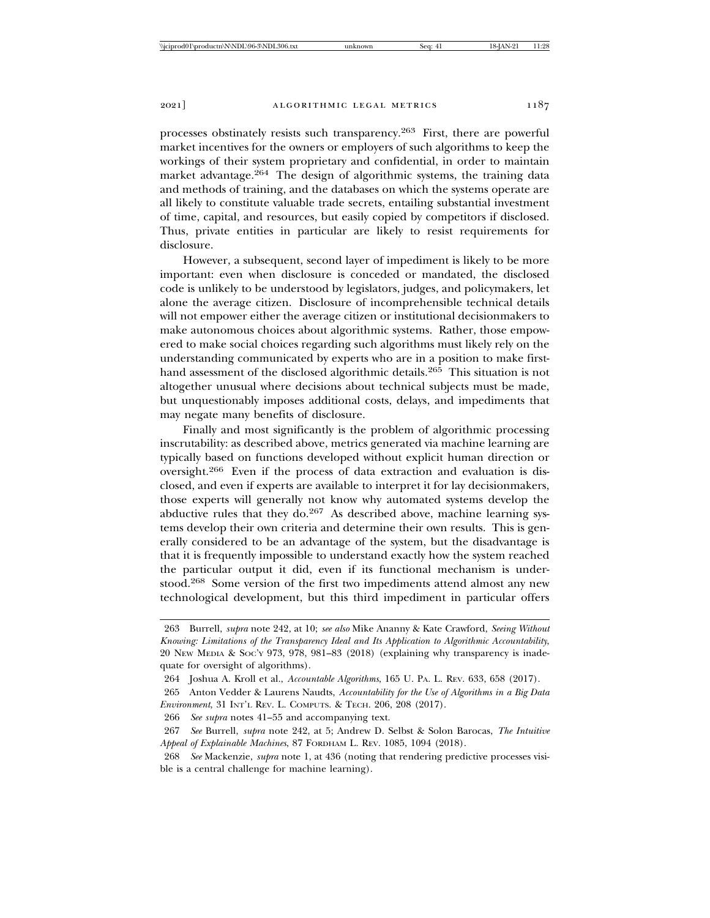processes obstinately resists such transparency.263 First, there are powerful market incentives for the owners or employers of such algorithms to keep the workings of their system proprietary and confidential, in order to maintain market advantage.264 The design of algorithmic systems, the training data and methods of training, and the databases on which the systems operate are all likely to constitute valuable trade secrets, entailing substantial investment of time, capital, and resources, but easily copied by competitors if disclosed. Thus, private entities in particular are likely to resist requirements for disclosure.

However, a subsequent, second layer of impediment is likely to be more important: even when disclosure is conceded or mandated, the disclosed code is unlikely to be understood by legislators, judges, and policymakers, let alone the average citizen. Disclosure of incomprehensible technical details will not empower either the average citizen or institutional decisionmakers to make autonomous choices about algorithmic systems. Rather, those empowered to make social choices regarding such algorithms must likely rely on the understanding communicated by experts who are in a position to make firsthand assessment of the disclosed algorithmic details.<sup>265</sup> This situation is not altogether unusual where decisions about technical subjects must be made, but unquestionably imposes additional costs, delays, and impediments that may negate many benefits of disclosure.

Finally and most significantly is the problem of algorithmic processing inscrutability: as described above, metrics generated via machine learning are typically based on functions developed without explicit human direction or oversight.266 Even if the process of data extraction and evaluation is disclosed, and even if experts are available to interpret it for lay decisionmakers, those experts will generally not know why automated systems develop the abductive rules that they do.<sup>267</sup> As described above, machine learning systems develop their own criteria and determine their own results. This is generally considered to be an advantage of the system, but the disadvantage is that it is frequently impossible to understand exactly how the system reached the particular output it did, even if its functional mechanism is understood.268 Some version of the first two impediments attend almost any new technological development, but this third impediment in particular offers

<sup>263</sup> Burrell, *supra* note 242, at 10; *see also* Mike Ananny & Kate Crawford, *Seeing Without Knowing: Limitations of the Transparency Ideal and Its Application to Algorithmic Accountability*, 20 NEW MEDIA & SOC'Y 973, 978, 981–83 (2018) (explaining why transparency is inadequate for oversight of algorithms).

<sup>264</sup> Joshua A. Kroll et al., *Accountable Algorithms*, 165 U. PA. L. REV. 633, 658 (2017).

<sup>265</sup> Anton Vedder & Laurens Naudts, *Accountability for the Use of Algorithms in a Big Data Environment*, 31 INT'L REV. L. COMPUTS. & TECH. 206, 208 (2017).

<sup>266</sup> *See supra* notes 41–55 and accompanying text.

<sup>267</sup> *See* Burrell, *supra* note 242, at 5; Andrew D. Selbst & Solon Barocas, *The Intuitive Appeal of Explainable Machines*, 87 FORDHAM L. REV. 1085, 1094 (2018).

<sup>268</sup> *See* Mackenzie, *supra* note 1, at 436 (noting that rendering predictive processes visible is a central challenge for machine learning).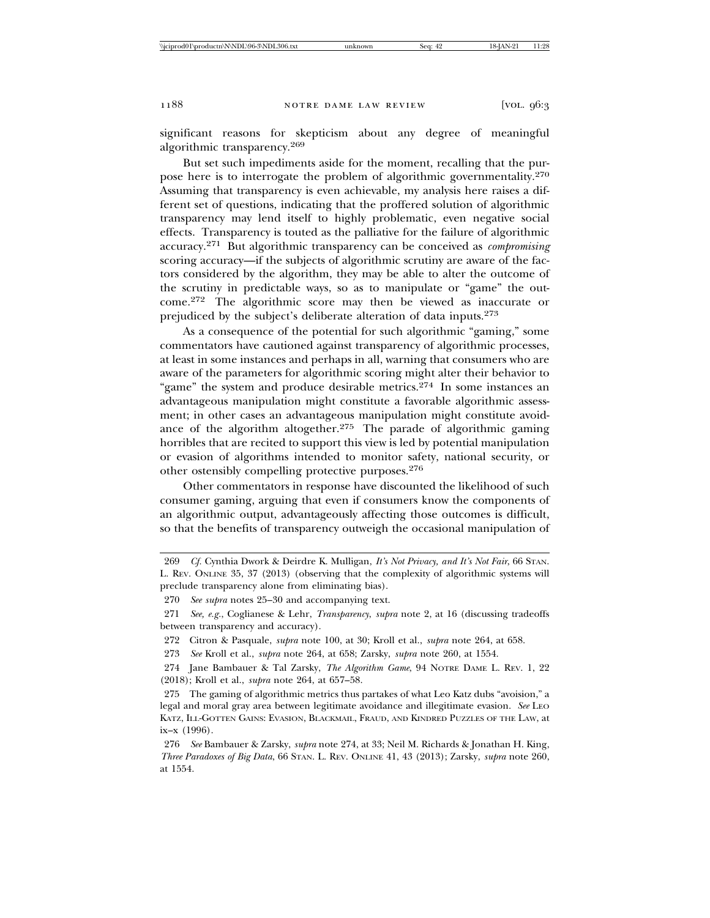significant reasons for skepticism about any degree of meaningful algorithmic transparency.<sup>269</sup>

But set such impediments aside for the moment, recalling that the purpose here is to interrogate the problem of algorithmic governmentality.<sup>270</sup> Assuming that transparency is even achievable, my analysis here raises a different set of questions, indicating that the proffered solution of algorithmic transparency may lend itself to highly problematic, even negative social effects. Transparency is touted as the palliative for the failure of algorithmic accuracy.271 But algorithmic transparency can be conceived as *compromising* scoring accuracy—if the subjects of algorithmic scrutiny are aware of the factors considered by the algorithm, they may be able to alter the outcome of the scrutiny in predictable ways, so as to manipulate or "game" the outcome.272 The algorithmic score may then be viewed as inaccurate or prejudiced by the subject's deliberate alteration of data inputs.<sup>273</sup>

As a consequence of the potential for such algorithmic "gaming," some commentators have cautioned against transparency of algorithmic processes, at least in some instances and perhaps in all, warning that consumers who are aware of the parameters for algorithmic scoring might alter their behavior to "game" the system and produce desirable metrics.<sup>274</sup> In some instances an advantageous manipulation might constitute a favorable algorithmic assessment; in other cases an advantageous manipulation might constitute avoidance of the algorithm altogether.<sup>275</sup> The parade of algorithmic gaming horribles that are recited to support this view is led by potential manipulation or evasion of algorithms intended to monitor safety, national security, or other ostensibly compelling protective purposes.<sup>276</sup>

Other commentators in response have discounted the likelihood of such consumer gaming, arguing that even if consumers know the components of an algorithmic output, advantageously affecting those outcomes is difficult, so that the benefits of transparency outweigh the occasional manipulation of

<sup>269</sup> *Cf.* Cynthia Dwork & Deirdre K. Mulligan, *It's Not Privacy, and It's Not Fair*, 66 STAN. L. REV. ONLINE 35, 37 (2013) (observing that the complexity of algorithmic systems will preclude transparency alone from eliminating bias).

<sup>270</sup> *See supra* notes 25–30 and accompanying text.

<sup>271</sup> *See, e.g.*, Coglianese & Lehr, *Transparency*, *supra* note 2, at 16 (discussing tradeoffs between transparency and accuracy).

<sup>272</sup> Citron & Pasquale, *supra* note 100, at 30; Kroll et al., *supra* note 264, at 658.

<sup>273</sup> *See* Kroll et al., *supra* note 264, at 658; Zarsky, *supra* note 260, at 1554.

<sup>274</sup> Jane Bambauer & Tal Zarsky, *The Algorithm Game*, 94 NOTRE DAME L. REV. 1, 22 (2018); Kroll et al., *supra* note 264, at 657–58.

<sup>275</sup> The gaming of algorithmic metrics thus partakes of what Leo Katz dubs "avoision," a legal and moral gray area between legitimate avoidance and illegitimate evasion. *See* LEO KATZ, ILL-GOTTEN GAINS: EVASION, BLACKMAIL, FRAUD, AND KINDRED PUZZLES OF THE LAW, at ix–x (1996).

<sup>276</sup> *See* Bambauer & Zarsky, *supra* note 274, at 33; Neil M. Richards & Jonathan H. King, *Three Paradoxes of Big Data*, 66 STAN. L. REV. ONLINE 41, 43 (2013); Zarsky, *supra* note 260, at 1554.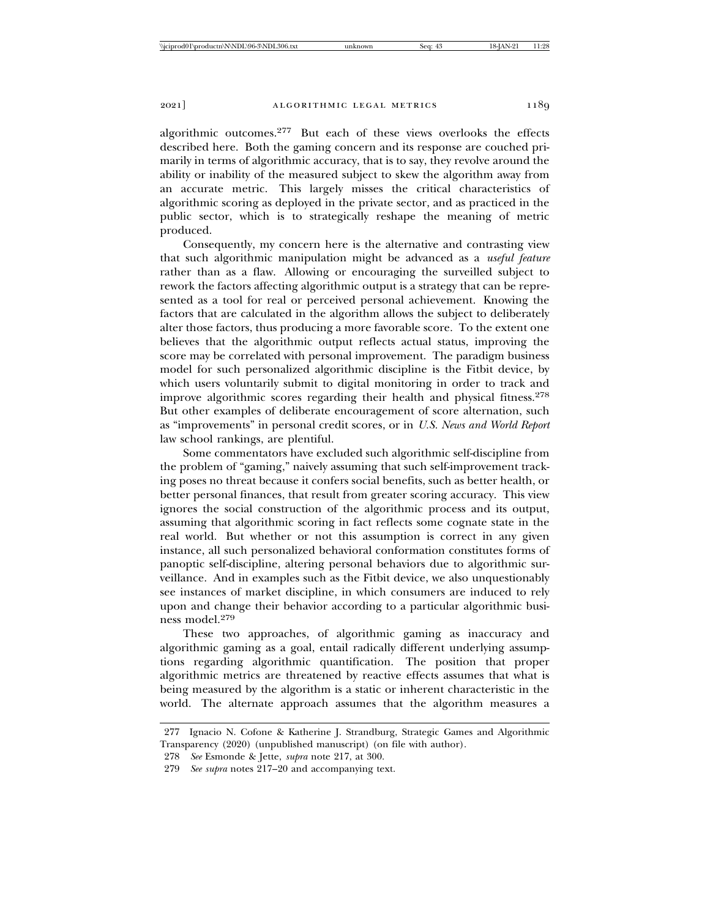algorithmic outcomes.277 But each of these views overlooks the effects described here. Both the gaming concern and its response are couched primarily in terms of algorithmic accuracy, that is to say, they revolve around the ability or inability of the measured subject to skew the algorithm away from an accurate metric. This largely misses the critical characteristics of algorithmic scoring as deployed in the private sector, and as practiced in the public sector, which is to strategically reshape the meaning of metric produced.

Consequently, my concern here is the alternative and contrasting view that such algorithmic manipulation might be advanced as a *useful feature* rather than as a flaw. Allowing or encouraging the surveilled subject to rework the factors affecting algorithmic output is a strategy that can be represented as a tool for real or perceived personal achievement. Knowing the factors that are calculated in the algorithm allows the subject to deliberately alter those factors, thus producing a more favorable score. To the extent one believes that the algorithmic output reflects actual status, improving the score may be correlated with personal improvement. The paradigm business model for such personalized algorithmic discipline is the Fitbit device, by which users voluntarily submit to digital monitoring in order to track and improve algorithmic scores regarding their health and physical fitness.<sup>278</sup> But other examples of deliberate encouragement of score alternation, such as "improvements" in personal credit scores, or in *U.S. News and World Report* law school rankings, are plentiful.

Some commentators have excluded such algorithmic self-discipline from the problem of "gaming," naively assuming that such self-improvement tracking poses no threat because it confers social benefits, such as better health, or better personal finances, that result from greater scoring accuracy. This view ignores the social construction of the algorithmic process and its output, assuming that algorithmic scoring in fact reflects some cognate state in the real world. But whether or not this assumption is correct in any given instance, all such personalized behavioral conformation constitutes forms of panoptic self-discipline, altering personal behaviors due to algorithmic surveillance. And in examples such as the Fitbit device, we also unquestionably see instances of market discipline, in which consumers are induced to rely upon and change their behavior according to a particular algorithmic business model.<sup>279</sup>

These two approaches, of algorithmic gaming as inaccuracy and algorithmic gaming as a goal, entail radically different underlying assumptions regarding algorithmic quantification. The position that proper algorithmic metrics are threatened by reactive effects assumes that what is being measured by the algorithm is a static or inherent characteristic in the world. The alternate approach assumes that the algorithm measures a

<sup>277</sup> Ignacio N. Cofone & Katherine J. Strandburg, Strategic Games and Algorithmic Transparency (2020) (unpublished manuscript) (on file with author).

<sup>278</sup> *See* Esmonde & Jette, *supra* note 217, at 300.

<sup>279</sup> *See supra* notes 217–20 and accompanying text.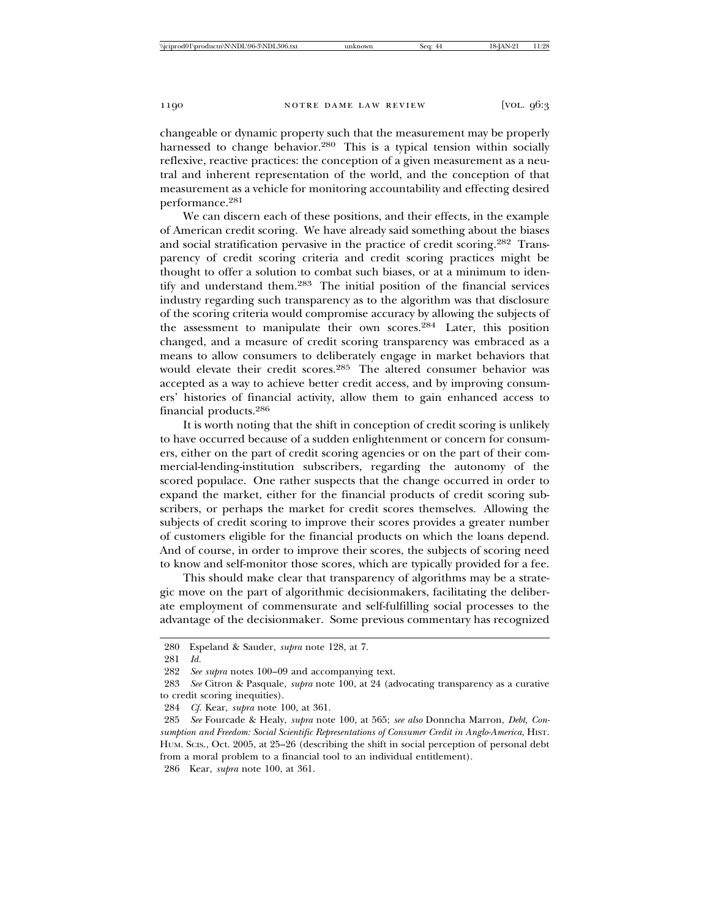changeable or dynamic property such that the measurement may be properly harnessed to change behavior.<sup>280</sup> This is a typical tension within socially reflexive, reactive practices: the conception of a given measurement as a neutral and inherent representation of the world, and the conception of that measurement as a vehicle for monitoring accountability and effecting desired performance.281

We can discern each of these positions, and their effects, in the example of American credit scoring. We have already said something about the biases and social stratification pervasive in the practice of credit scoring.282 Transparency of credit scoring criteria and credit scoring practices might be thought to offer a solution to combat such biases, or at a minimum to identify and understand them.283 The initial position of the financial services industry regarding such transparency as to the algorithm was that disclosure of the scoring criteria would compromise accuracy by allowing the subjects of the assessment to manipulate their own scores.284 Later, this position changed, and a measure of credit scoring transparency was embraced as a means to allow consumers to deliberately engage in market behaviors that would elevate their credit scores.<sup>285</sup> The altered consumer behavior was accepted as a way to achieve better credit access, and by improving consumers' histories of financial activity, allow them to gain enhanced access to financial products.<sup>286</sup>

It is worth noting that the shift in conception of credit scoring is unlikely to have occurred because of a sudden enlightenment or concern for consumers, either on the part of credit scoring agencies or on the part of their commercial-lending-institution subscribers, regarding the autonomy of the scored populace. One rather suspects that the change occurred in order to expand the market, either for the financial products of credit scoring subscribers, or perhaps the market for credit scores themselves. Allowing the subjects of credit scoring to improve their scores provides a greater number of customers eligible for the financial products on which the loans depend. And of course, in order to improve their scores, the subjects of scoring need to know and self-monitor those scores, which are typically provided for a fee.

This should make clear that transparency of algorithms may be a strategic move on the part of algorithmic decisionmakers, facilitating the deliberate employment of commensurate and self-fulfilling social processes to the advantage of the decisionmaker. Some previous commentary has recognized

286 Kear, *supra* note 100, at 361.

<sup>280</sup> Espeland & Sauder, *supra* note 128, at 7.

<sup>281</sup> *Id.*

<sup>282</sup> *See supra* notes 100–09 and accompanying text.

<sup>283</sup> *See* Citron & Pasquale, *supra* note 100, at 24 (advocating transparency as a curative to credit scoring inequities).

<sup>284</sup> *Cf.* Kear, *supra* note 100, at 361.

<sup>285</sup> *See* Fourcade & Healy, *supra* note 100, at 565; *see also* Donncha Marron, *Debt, Consumption and Freedom: Social Scientific Representations of Consumer Credit in Anglo-America*, HIST. HUM. SCIS., Oct. 2005, at 25–26 (describing the shift in social perception of personal debt from a moral problem to a financial tool to an individual entitlement).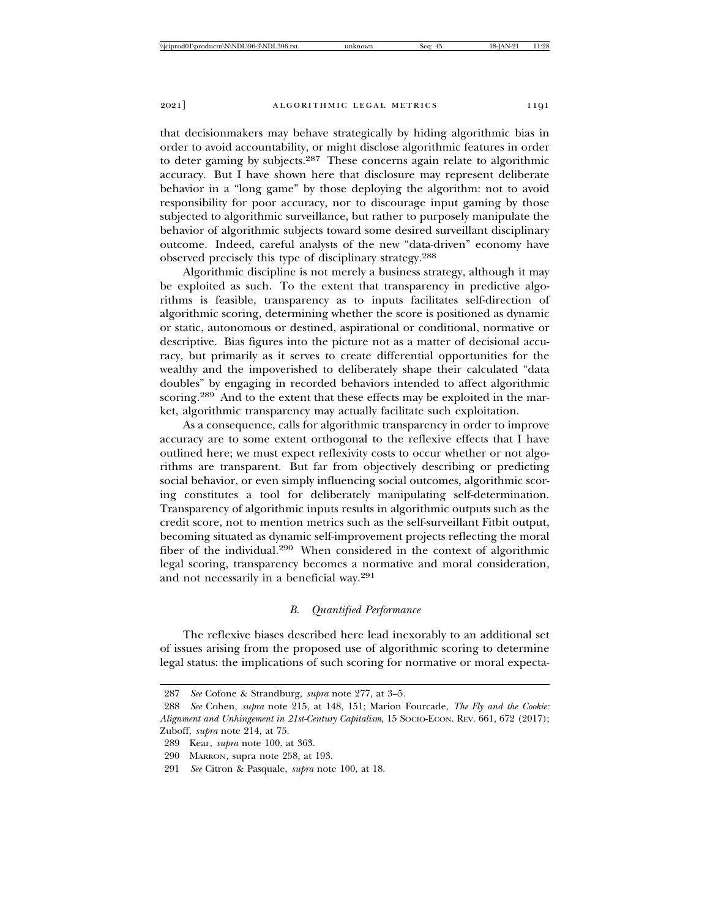that decisionmakers may behave strategically by hiding algorithmic bias in order to avoid accountability, or might disclose algorithmic features in order to deter gaming by subjects.<sup>287</sup> These concerns again relate to algorithmic accuracy. But I have shown here that disclosure may represent deliberate behavior in a "long game" by those deploying the algorithm: not to avoid responsibility for poor accuracy, nor to discourage input gaming by those subjected to algorithmic surveillance, but rather to purposely manipulate the behavior of algorithmic subjects toward some desired surveillant disciplinary outcome. Indeed, careful analysts of the new "data-driven" economy have observed precisely this type of disciplinary strategy.<sup>288</sup>

Algorithmic discipline is not merely a business strategy, although it may be exploited as such. To the extent that transparency in predictive algorithms is feasible, transparency as to inputs facilitates self-direction of algorithmic scoring, determining whether the score is positioned as dynamic or static, autonomous or destined, aspirational or conditional, normative or descriptive. Bias figures into the picture not as a matter of decisional accuracy, but primarily as it serves to create differential opportunities for the wealthy and the impoverished to deliberately shape their calculated "data doubles" by engaging in recorded behaviors intended to affect algorithmic scoring.<sup>289</sup> And to the extent that these effects may be exploited in the market, algorithmic transparency may actually facilitate such exploitation.

As a consequence, calls for algorithmic transparency in order to improve accuracy are to some extent orthogonal to the reflexive effects that I have outlined here; we must expect reflexivity costs to occur whether or not algorithms are transparent. But far from objectively describing or predicting social behavior, or even simply influencing social outcomes, algorithmic scoring constitutes a tool for deliberately manipulating self-determination. Transparency of algorithmic inputs results in algorithmic outputs such as the credit score, not to mention metrics such as the self-surveillant Fitbit output, becoming situated as dynamic self-improvement projects reflecting the moral fiber of the individual.290 When considered in the context of algorithmic legal scoring, transparency becomes a normative and moral consideration, and not necessarily in a beneficial way.<sup>291</sup>

# *B. Quantified Performance*

The reflexive biases described here lead inexorably to an additional set of issues arising from the proposed use of algorithmic scoring to determine legal status: the implications of such scoring for normative or moral expecta-

<sup>287</sup> *See* Cofone & Strandburg, *supra* note 277, at 3–5.

<sup>288</sup> *See* Cohen, *supra* note 215, at 148, 151; Marion Fourcade, *The Fly and the Cookie: Alignment and Unhingement in 21st-Century Capitalism*, 15 SOCIO-ECON. REV. 661, 672 (2017); Zuboff, *supra* note 214, at 75.

<sup>289</sup> Kear, *supra* note 100, at 363.

<sup>290</sup> MARRON*,* supra note 258, at 193.

<sup>291</sup> *See* Citron & Pasquale, *supra* note 100, at 18.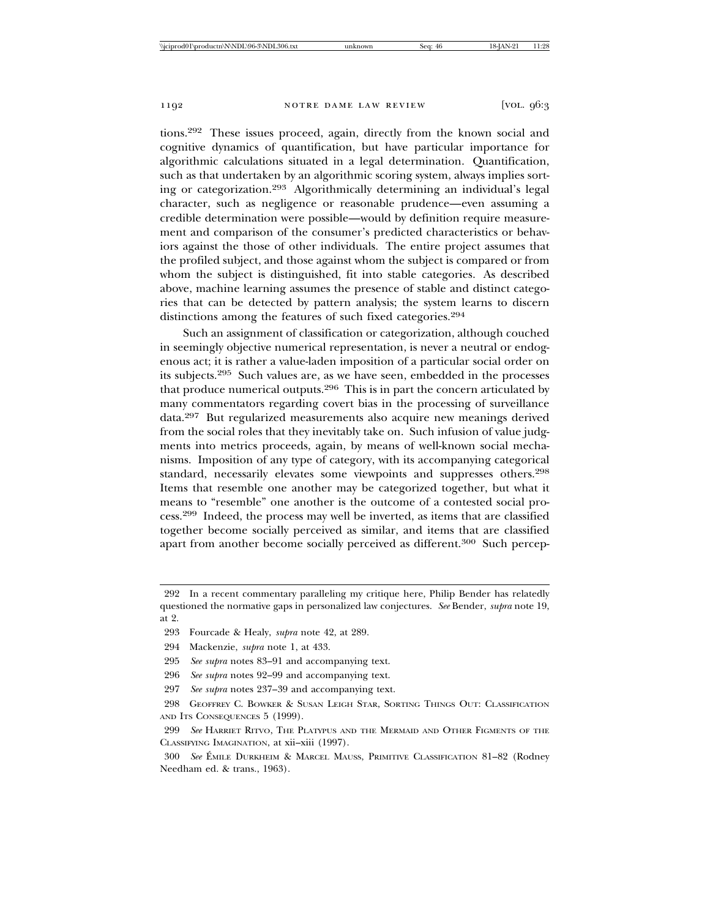tions.292 These issues proceed, again, directly from the known social and cognitive dynamics of quantification, but have particular importance for algorithmic calculations situated in a legal determination. Quantification, such as that undertaken by an algorithmic scoring system, always implies sorting or categorization.293 Algorithmically determining an individual's legal character, such as negligence or reasonable prudence—even assuming a credible determination were possible—would by definition require measurement and comparison of the consumer's predicted characteristics or behaviors against the those of other individuals. The entire project assumes that the profiled subject, and those against whom the subject is compared or from whom the subject is distinguished, fit into stable categories. As described above, machine learning assumes the presence of stable and distinct categories that can be detected by pattern analysis; the system learns to discern distinctions among the features of such fixed categories.<sup>294</sup>

Such an assignment of classification or categorization, although couched in seemingly objective numerical representation, is never a neutral or endogenous act; it is rather a value-laden imposition of a particular social order on its subjects.295 Such values are, as we have seen, embedded in the processes that produce numerical outputs.296 This is in part the concern articulated by many commentators regarding covert bias in the processing of surveillance data.297 But regularized measurements also acquire new meanings derived from the social roles that they inevitably take on. Such infusion of value judgments into metrics proceeds, again, by means of well-known social mechanisms. Imposition of any type of category, with its accompanying categorical standard, necessarily elevates some viewpoints and suppresses others.<sup>298</sup> Items that resemble one another may be categorized together, but what it means to "resemble" one another is the outcome of a contested social process.299 Indeed, the process may well be inverted, as items that are classified together become socially perceived as similar, and items that are classified apart from another become socially perceived as different.300 Such percep-

- 296 *See supra* notes 92–99 and accompanying text.
- 297 *See supra* notes 237–39 and accompanying text.

<sup>292</sup> In a recent commentary paralleling my critique here, Philip Bender has relatedly questioned the normative gaps in personalized law conjectures. *See* Bender, *supra* note 19, at 2.

<sup>293</sup> Fourcade & Healy, *supra* note 42, at 289.

<sup>294</sup> Mackenzie, *supra* note 1, at 433.

<sup>295</sup> *See supra* notes 83–91 and accompanying text.

<sup>298</sup> GEOFFREY C. BOWKER & SUSAN LEIGH STAR, SORTING THINGS OUT: CLASSIFICATION AND ITS CONSEQUENCES 5 (1999).

<sup>299</sup> *See* HARRIET RITVO, THE PLATYPUS AND THE MERMAID AND OTHER FIGMENTS OF THE CLASSIFYING IMAGINATION, at xii–xiii (1997).

<sup>300</sup> *See* EMILE DURKHEIM & MARCEL MAUSS, PRIMITIVE CLASSIFICATION 81-82 (Rodney Needham ed. & trans., 1963).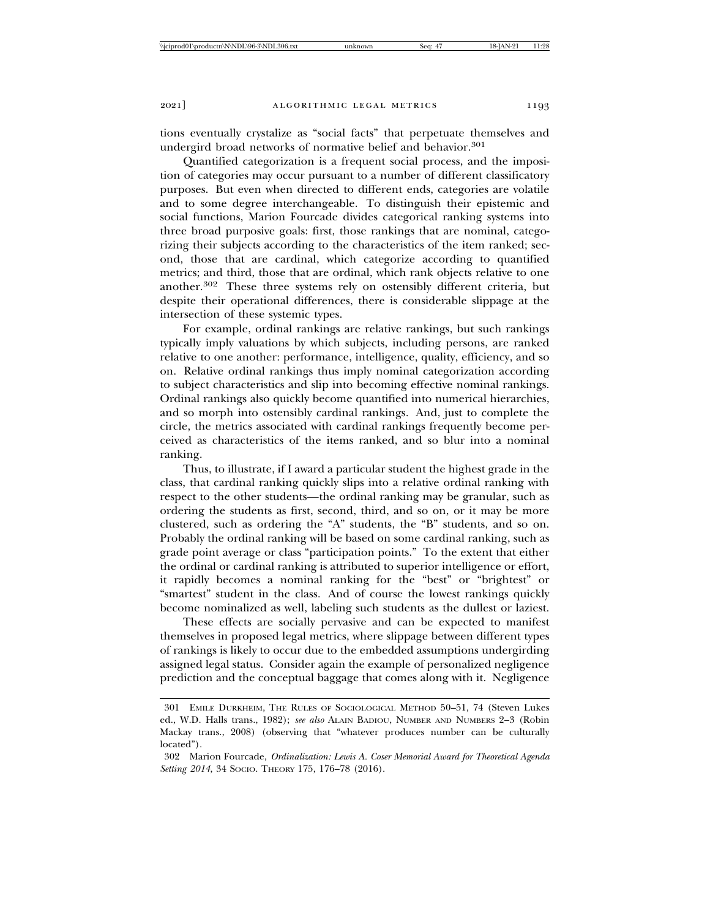tions eventually crystalize as "social facts" that perpetuate themselves and undergird broad networks of normative belief and behavior.<sup>301</sup>

Quantified categorization is a frequent social process, and the imposition of categories may occur pursuant to a number of different classificatory purposes. But even when directed to different ends, categories are volatile and to some degree interchangeable. To distinguish their epistemic and social functions, Marion Fourcade divides categorical ranking systems into three broad purposive goals: first, those rankings that are nominal, categorizing their subjects according to the characteristics of the item ranked; second, those that are cardinal, which categorize according to quantified metrics; and third, those that are ordinal, which rank objects relative to one another.302 These three systems rely on ostensibly different criteria, but despite their operational differences, there is considerable slippage at the intersection of these systemic types.

For example, ordinal rankings are relative rankings, but such rankings typically imply valuations by which subjects, including persons, are ranked relative to one another: performance, intelligence, quality, efficiency, and so on. Relative ordinal rankings thus imply nominal categorization according to subject characteristics and slip into becoming effective nominal rankings. Ordinal rankings also quickly become quantified into numerical hierarchies, and so morph into ostensibly cardinal rankings. And, just to complete the circle, the metrics associated with cardinal rankings frequently become perceived as characteristics of the items ranked, and so blur into a nominal ranking.

Thus, to illustrate, if I award a particular student the highest grade in the class, that cardinal ranking quickly slips into a relative ordinal ranking with respect to the other students—the ordinal ranking may be granular, such as ordering the students as first, second, third, and so on, or it may be more clustered, such as ordering the "A" students, the "B" students, and so on. Probably the ordinal ranking will be based on some cardinal ranking, such as grade point average or class "participation points." To the extent that either the ordinal or cardinal ranking is attributed to superior intelligence or effort, it rapidly becomes a nominal ranking for the "best" or "brightest" or "smartest" student in the class. And of course the lowest rankings quickly become nominalized as well, labeling such students as the dullest or laziest.

These effects are socially pervasive and can be expected to manifest themselves in proposed legal metrics, where slippage between different types of rankings is likely to occur due to the embedded assumptions undergirding assigned legal status. Consider again the example of personalized negligence prediction and the conceptual baggage that comes along with it. Negligence

<sup>301</sup> EMILE DURKHEIM, THE RULES OF SOCIOLOGICAL METHOD 50–51, 74 (Steven Lukes ed., W.D. Halls trans., 1982); *see also* ALAIN BADIOU, NUMBER AND NUMBERS 2–3 (Robin Mackay trans., 2008) (observing that "whatever produces number can be culturally located").

<sup>302</sup> Marion Fourcade, *Ordinalization: Lewis A. Coser Memorial Award for Theoretical Agenda Setting 2014*, 34 SOCIO. THEORY 175, 176–78 (2016).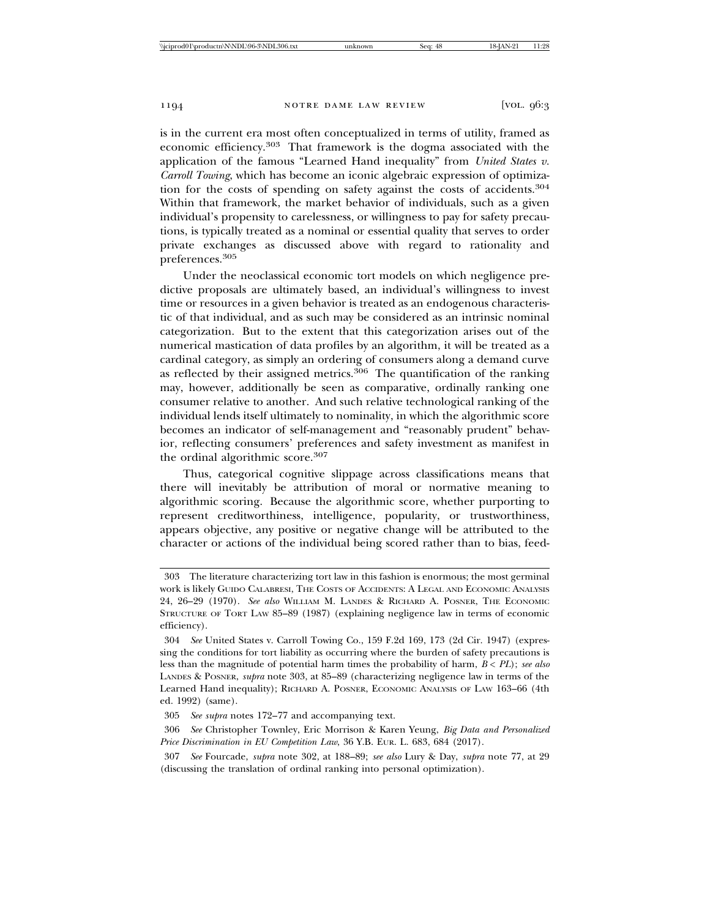is in the current era most often conceptualized in terms of utility, framed as economic efficiency.303 That framework is the dogma associated with the application of the famous "Learned Hand inequality" from *United States v. Carroll Towing*, which has become an iconic algebraic expression of optimization for the costs of spending on safety against the costs of accidents.<sup>304</sup> Within that framework, the market behavior of individuals, such as a given individual's propensity to carelessness, or willingness to pay for safety precautions, is typically treated as a nominal or essential quality that serves to order private exchanges as discussed above with regard to rationality and preferences.305

Under the neoclassical economic tort models on which negligence predictive proposals are ultimately based, an individual's willingness to invest time or resources in a given behavior is treated as an endogenous characteristic of that individual, and as such may be considered as an intrinsic nominal categorization. But to the extent that this categorization arises out of the numerical mastication of data profiles by an algorithm, it will be treated as a cardinal category, as simply an ordering of consumers along a demand curve as reflected by their assigned metrics.306 The quantification of the ranking may, however, additionally be seen as comparative, ordinally ranking one consumer relative to another. And such relative technological ranking of the individual lends itself ultimately to nominality, in which the algorithmic score becomes an indicator of self-management and "reasonably prudent" behavior, reflecting consumers' preferences and safety investment as manifest in the ordinal algorithmic score.<sup>307</sup>

Thus, categorical cognitive slippage across classifications means that there will inevitably be attribution of moral or normative meaning to algorithmic scoring. Because the algorithmic score, whether purporting to represent creditworthiness, intelligence, popularity, or trustworthiness, appears objective, any positive or negative change will be attributed to the character or actions of the individual being scored rather than to bias, feed-

<sup>303</sup> The literature characterizing tort law in this fashion is enormous; the most germinal work is likely GUIDO CALABRESI, THE COSTS OF ACCIDENTS: A LEGAL AND ECONOMIC ANALYSIS 24, 26–29 (1970). *See also* WILLIAM M. LANDES & RICHARD A. POSNER, THE ECONOMIC STRUCTURE OF TORT LAW 85–89 (1987) (explaining negligence law in terms of economic efficiency).

<sup>304</sup> *See* United States v. Carroll Towing Co., 159 F.2d 169, 173 (2d Cir. 1947) (expressing the conditions for tort liability as occurring where the burden of safety precautions is less than the magnitude of potential harm times the probability of harm, *B* < *PL*); *see also* LANDES & POSNER, *supra* note 303, at 85–89 (characterizing negligence law in terms of the Learned Hand inequality); RICHARD A. POSNER, ECONOMIC ANALYSIS OF LAW 163–66 (4th ed. 1992) (same).

<sup>305</sup> *See supra* notes 172–77 and accompanying text.

<sup>306</sup> *See* Christopher Townley, Eric Morrison & Karen Yeung, *Big Data and Personalized Price Discrimination in EU Competition Law*, 36 Y.B. EUR. L. 683, 684 (2017).

<sup>307</sup> *See* Fourcade, *supra* note 302, at 188–89; *see also* Lury & Day, *supra* note 77, at 29 (discussing the translation of ordinal ranking into personal optimization).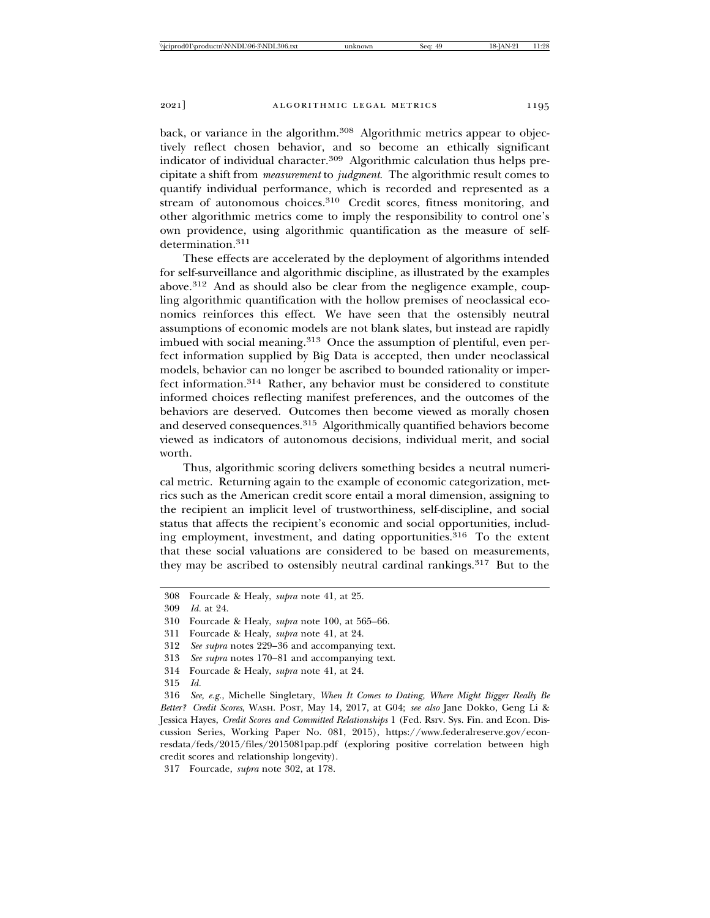back, or variance in the algorithm.<sup>308</sup> Algorithmic metrics appear to objectively reflect chosen behavior, and so become an ethically significant indicator of individual character.<sup>309</sup> Algorithmic calculation thus helps precipitate a shift from *measurement* to *judgment*. The algorithmic result comes to quantify individual performance, which is recorded and represented as a stream of autonomous choices.<sup>310</sup> Credit scores, fitness monitoring, and other algorithmic metrics come to imply the responsibility to control one's own providence, using algorithmic quantification as the measure of selfdetermination.311

These effects are accelerated by the deployment of algorithms intended for self-surveillance and algorithmic discipline, as illustrated by the examples above.312 And as should also be clear from the negligence example, coupling algorithmic quantification with the hollow premises of neoclassical economics reinforces this effect. We have seen that the ostensibly neutral assumptions of economic models are not blank slates, but instead are rapidly imbued with social meaning.<sup>313</sup> Once the assumption of plentiful, even perfect information supplied by Big Data is accepted, then under neoclassical models, behavior can no longer be ascribed to bounded rationality or imperfect information.314 Rather, any behavior must be considered to constitute informed choices reflecting manifest preferences, and the outcomes of the behaviors are deserved. Outcomes then become viewed as morally chosen and deserved consequences.315 Algorithmically quantified behaviors become viewed as indicators of autonomous decisions, individual merit, and social worth.

Thus, algorithmic scoring delivers something besides a neutral numerical metric. Returning again to the example of economic categorization, metrics such as the American credit score entail a moral dimension, assigning to the recipient an implicit level of trustworthiness, self-discipline, and social status that affects the recipient's economic and social opportunities, including employment, investment, and dating opportunities.<sup>316</sup> To the extent that these social valuations are considered to be based on measurements, they may be ascribed to ostensibly neutral cardinal rankings.317 But to the

311 Fourcade & Healy, *supra* note 41, at 24.

- 314 Fourcade & Healy, *supra* note 41, at 24.
- 315 *Id.*

<sup>308</sup> Fourcade & Healy, *supra* note 41, at 25.

<sup>309</sup> *Id.* at 24.

<sup>310</sup> Fourcade & Healy, *supra* note 100, at 565–66.

<sup>312</sup> *See supra* notes 229–36 and accompanying text.

<sup>313</sup> *See supra* notes 170–81 and accompanying text.

<sup>316</sup> *See, e.g.*, Michelle Singletary, *When It Comes to Dating, Where Might Bigger Really Be Better? Credit Scores*, WASH. POST, May 14, 2017, at G04; *see also* Jane Dokko, Geng Li & Jessica Hayes, *Credit Scores and Committed Relationships* 1 (Fed. Rsrv. Sys. Fin. and Econ. Discussion Series, Working Paper No. 081, 2015), https://www.federalreserve.gov/econresdata/feds/2015/files/2015081pap.pdf (exploring positive correlation between high credit scores and relationship longevity).

<sup>317</sup> Fourcade, *supra* note 302, at 178.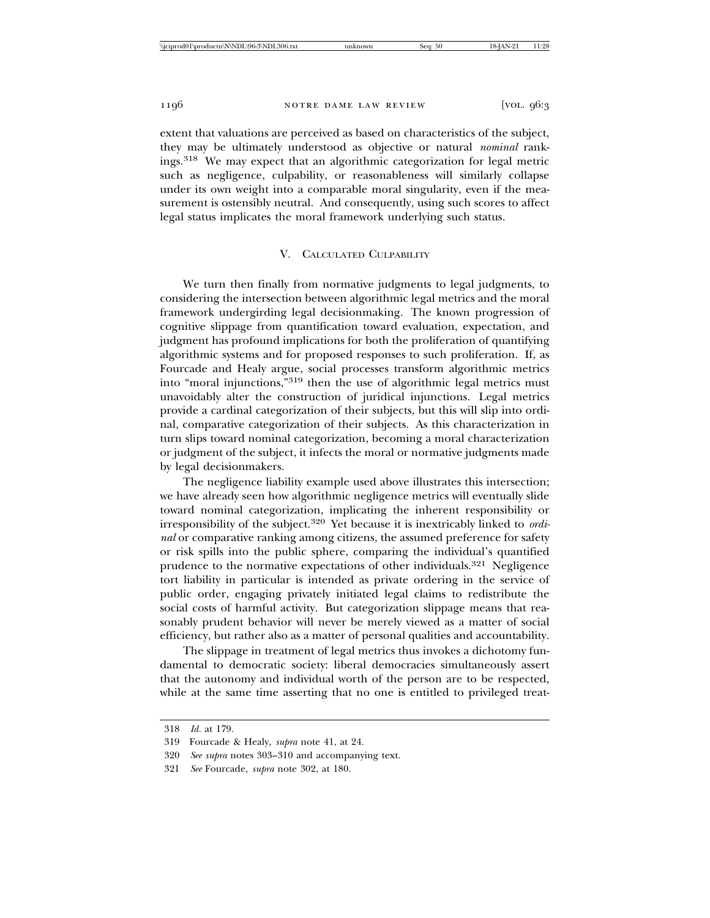extent that valuations are perceived as based on characteristics of the subject, they may be ultimately understood as objective or natural *nominal* rankings.318 We may expect that an algorithmic categorization for legal metric such as negligence, culpability, or reasonableness will similarly collapse under its own weight into a comparable moral singularity, even if the measurement is ostensibly neutral. And consequently, using such scores to affect legal status implicates the moral framework underlying such status.

### V. CALCULATED CULPABILITY

We turn then finally from normative judgments to legal judgments, to considering the intersection between algorithmic legal metrics and the moral framework undergirding legal decisionmaking. The known progression of cognitive slippage from quantification toward evaluation, expectation, and judgment has profound implications for both the proliferation of quantifying algorithmic systems and for proposed responses to such proliferation. If, as Fourcade and Healy argue, social processes transform algorithmic metrics into "moral injunctions,"319 then the use of algorithmic legal metrics must unavoidably alter the construction of juridical injunctions. Legal metrics provide a cardinal categorization of their subjects, but this will slip into ordinal, comparative categorization of their subjects. As this characterization in turn slips toward nominal categorization, becoming a moral characterization or judgment of the subject, it infects the moral or normative judgments made by legal decisionmakers.

The negligence liability example used above illustrates this intersection; we have already seen how algorithmic negligence metrics will eventually slide toward nominal categorization, implicating the inherent responsibility or irresponsibility of the subject.320 Yet because it is inextricably linked to *ordinal* or comparative ranking among citizens, the assumed preference for safety or risk spills into the public sphere, comparing the individual's quantified prudence to the normative expectations of other individuals.321 Negligence tort liability in particular is intended as private ordering in the service of public order, engaging privately initiated legal claims to redistribute the social costs of harmful activity. But categorization slippage means that reasonably prudent behavior will never be merely viewed as a matter of social efficiency, but rather also as a matter of personal qualities and accountability.

The slippage in treatment of legal metrics thus invokes a dichotomy fundamental to democratic society: liberal democracies simultaneously assert that the autonomy and individual worth of the person are to be respected, while at the same time asserting that no one is entitled to privileged treat-

<sup>318</sup> *Id.* at 179.

<sup>319</sup> Fourcade & Healy, *supra* note 41, at 24.

<sup>320</sup> *See supra* notes 303–310 and accompanying text.

<sup>321</sup> *See* Fourcade, *supra* note 302, at 180.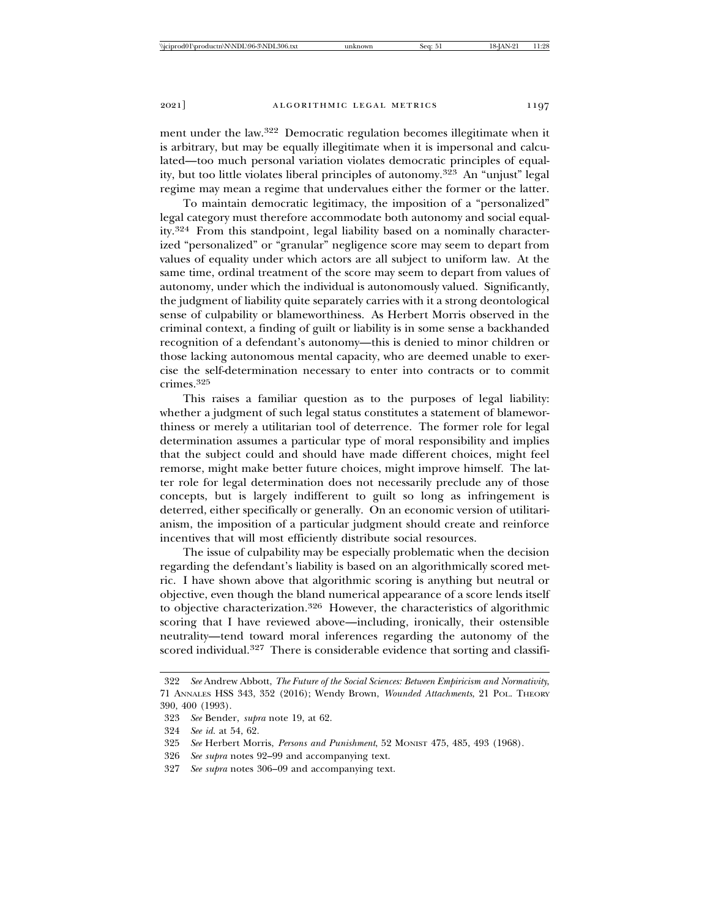ment under the law.322 Democratic regulation becomes illegitimate when it is arbitrary, but may be equally illegitimate when it is impersonal and calculated—too much personal variation violates democratic principles of equality, but too little violates liberal principles of autonomy.323 An "unjust" legal regime may mean a regime that undervalues either the former or the latter.

To maintain democratic legitimacy, the imposition of a "personalized" legal category must therefore accommodate both autonomy and social equality.324 From this standpoint*,* legal liability based on a nominally characterized "personalized" or "granular" negligence score may seem to depart from values of equality under which actors are all subject to uniform law. At the same time, ordinal treatment of the score may seem to depart from values of autonomy, under which the individual is autonomously valued. Significantly, the judgment of liability quite separately carries with it a strong deontological sense of culpability or blameworthiness. As Herbert Morris observed in the criminal context, a finding of guilt or liability is in some sense a backhanded recognition of a defendant's autonomy—this is denied to minor children or those lacking autonomous mental capacity, who are deemed unable to exercise the self-determination necessary to enter into contracts or to commit crimes.325

This raises a familiar question as to the purposes of legal liability: whether a judgment of such legal status constitutes a statement of blameworthiness or merely a utilitarian tool of deterrence. The former role for legal determination assumes a particular type of moral responsibility and implies that the subject could and should have made different choices, might feel remorse, might make better future choices, might improve himself. The latter role for legal determination does not necessarily preclude any of those concepts, but is largely indifferent to guilt so long as infringement is deterred, either specifically or generally. On an economic version of utilitarianism, the imposition of a particular judgment should create and reinforce incentives that will most efficiently distribute social resources.

The issue of culpability may be especially problematic when the decision regarding the defendant's liability is based on an algorithmically scored metric. I have shown above that algorithmic scoring is anything but neutral or objective, even though the bland numerical appearance of a score lends itself to objective characterization.326 However, the characteristics of algorithmic scoring that I have reviewed above—including, ironically, their ostensible neutrality—tend toward moral inferences regarding the autonomy of the scored individual.<sup>327</sup> There is considerable evidence that sorting and classifi-

327 *See supra* notes 306–09 and accompanying text.

<sup>322</sup> *See* Andrew Abbott, *The Future of the Social Sciences: Between Empiricism and Normativity*, 71 ANNALES HSS 343, 352 (2016); Wendy Brown, *Wounded Attachments*, 21 POL. THEORY 390, 400 (1993).

<sup>323</sup> *See* Bender, *supra* note 19, at 62.

<sup>324</sup> *See id.* at 54, 62.

<sup>325</sup> *See* Herbert Morris, *Persons and Punishment*, 52 MONIST 475, 485, 493 (1968).

<sup>326</sup> *See supra* notes 92–99 and accompanying text.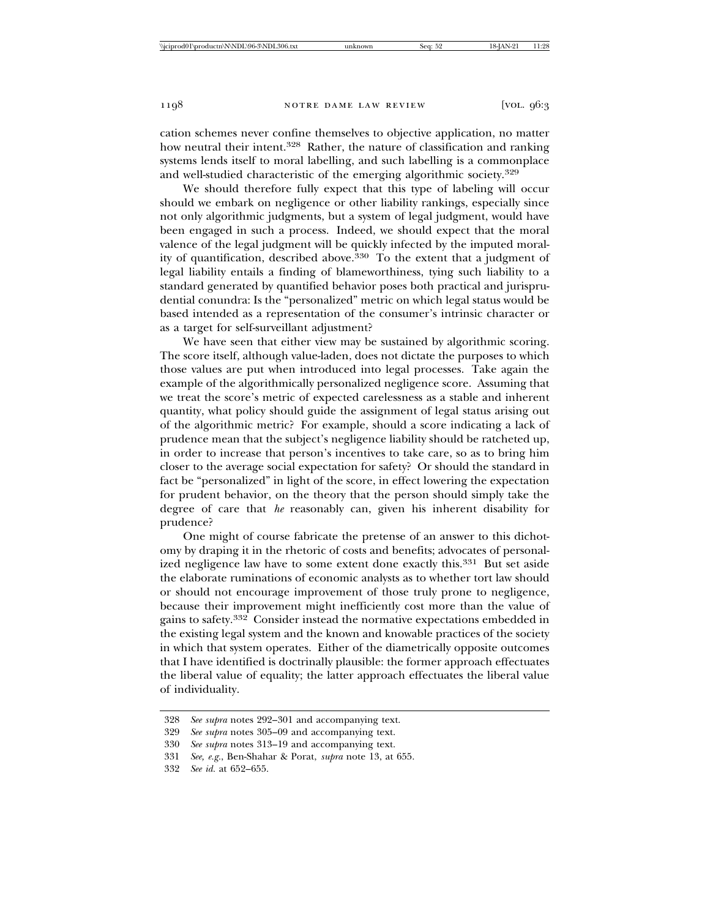cation schemes never confine themselves to objective application, no matter how neutral their intent.<sup>328</sup> Rather, the nature of classification and ranking systems lends itself to moral labelling, and such labelling is a commonplace and well-studied characteristic of the emerging algorithmic society.<sup>329</sup>

We should therefore fully expect that this type of labeling will occur should we embark on negligence or other liability rankings, especially since not only algorithmic judgments, but a system of legal judgment, would have been engaged in such a process. Indeed, we should expect that the moral valence of the legal judgment will be quickly infected by the imputed morality of quantification, described above.<sup>330</sup> To the extent that a judgment of legal liability entails a finding of blameworthiness, tying such liability to a standard generated by quantified behavior poses both practical and jurisprudential conundra: Is the "personalized" metric on which legal status would be based intended as a representation of the consumer's intrinsic character or as a target for self-surveillant adjustment?

We have seen that either view may be sustained by algorithmic scoring. The score itself, although value-laden, does not dictate the purposes to which those values are put when introduced into legal processes. Take again the example of the algorithmically personalized negligence score. Assuming that we treat the score's metric of expected carelessness as a stable and inherent quantity, what policy should guide the assignment of legal status arising out of the algorithmic metric? For example, should a score indicating a lack of prudence mean that the subject's negligence liability should be ratcheted up, in order to increase that person's incentives to take care, so as to bring him closer to the average social expectation for safety? Or should the standard in fact be "personalized" in light of the score, in effect lowering the expectation for prudent behavior, on the theory that the person should simply take the degree of care that *he* reasonably can, given his inherent disability for prudence?

One might of course fabricate the pretense of an answer to this dichotomy by draping it in the rhetoric of costs and benefits; advocates of personalized negligence law have to some extent done exactly this.<sup>331</sup> But set aside the elaborate ruminations of economic analysts as to whether tort law should or should not encourage improvement of those truly prone to negligence, because their improvement might inefficiently cost more than the value of gains to safety.332 Consider instead the normative expectations embedded in the existing legal system and the known and knowable practices of the society in which that system operates. Either of the diametrically opposite outcomes that I have identified is doctrinally plausible: the former approach effectuates the liberal value of equality; the latter approach effectuates the liberal value of individuality.

<sup>328</sup> *See supra* notes 292–301 and accompanying text.

<sup>329</sup> *See supra* notes 305–09 and accompanying text.

<sup>330</sup> *See supra* notes 313–19 and accompanying text.

<sup>331</sup> *See, e.g.*, Ben-Shahar & Porat, *supra* note 13, at 655.

<sup>332</sup> *See id.* at 652–655.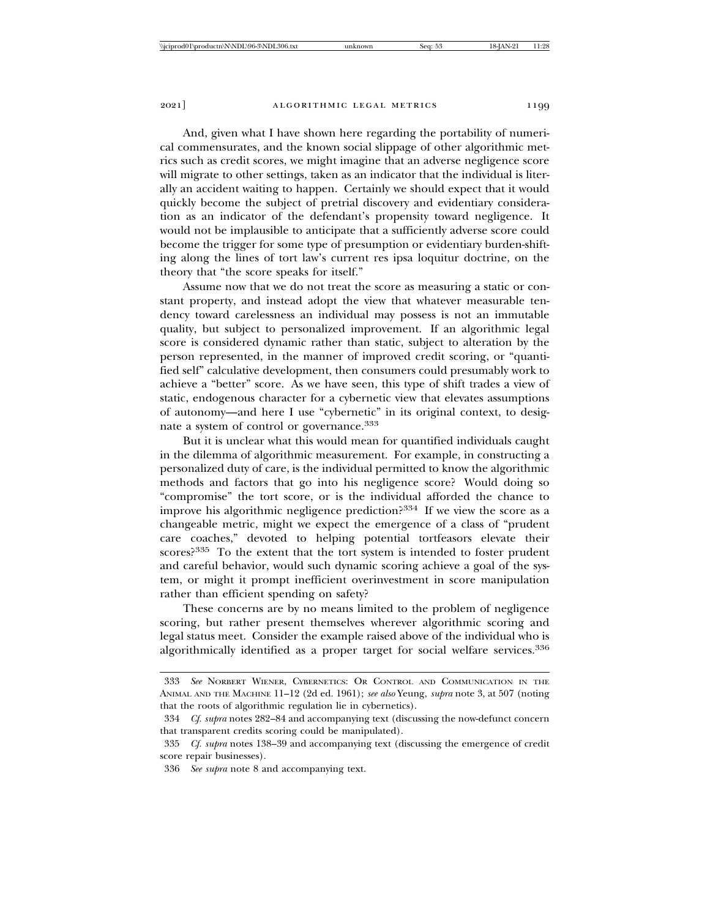And, given what I have shown here regarding the portability of numerical commensurates, and the known social slippage of other algorithmic metrics such as credit scores, we might imagine that an adverse negligence score will migrate to other settings, taken as an indicator that the individual is literally an accident waiting to happen. Certainly we should expect that it would quickly become the subject of pretrial discovery and evidentiary consideration as an indicator of the defendant's propensity toward negligence. It would not be implausible to anticipate that a sufficiently adverse score could become the trigger for some type of presumption or evidentiary burden-shifting along the lines of tort law's current res ipsa loquitur doctrine, on the theory that "the score speaks for itself."

Assume now that we do not treat the score as measuring a static or constant property, and instead adopt the view that whatever measurable tendency toward carelessness an individual may possess is not an immutable quality, but subject to personalized improvement. If an algorithmic legal score is considered dynamic rather than static, subject to alteration by the person represented, in the manner of improved credit scoring, or "quantified self" calculative development, then consumers could presumably work to achieve a "better" score. As we have seen, this type of shift trades a view of static, endogenous character for a cybernetic view that elevates assumptions of autonomy—and here I use "cybernetic" in its original context, to designate a system of control or governance.<sup>333</sup>

But it is unclear what this would mean for quantified individuals caught in the dilemma of algorithmic measurement. For example, in constructing a personalized duty of care, is the individual permitted to know the algorithmic methods and factors that go into his negligence score? Would doing so "compromise" the tort score, or is the individual afforded the chance to improve his algorithmic negligence prediction?334 If we view the score as a changeable metric, might we expect the emergence of a class of "prudent care coaches," devoted to helping potential tortfeasors elevate their scores?335 To the extent that the tort system is intended to foster prudent and careful behavior, would such dynamic scoring achieve a goal of the system, or might it prompt inefficient overinvestment in score manipulation rather than efficient spending on safety?

These concerns are by no means limited to the problem of negligence scoring, but rather present themselves wherever algorithmic scoring and legal status meet. Consider the example raised above of the individual who is algorithmically identified as a proper target for social welfare services.<sup>336</sup>

<sup>333</sup> *See* NORBERT WIENER, CYBERNETICS: OR CONTROL AND COMMUNICATION IN THE ANIMAL AND THE MACHINE 11–12 (2d ed. 1961); *see also* Yeung, *supra* note 3, at 507 (noting that the roots of algorithmic regulation lie in cybernetics).

<sup>334</sup> *Cf. supra* notes 282–84 and accompanying text (discussing the now-defunct concern that transparent credits scoring could be manipulated).

<sup>335</sup> *Cf. supra* notes 138–39 and accompanying text (discussing the emergence of credit score repair businesses).

<sup>336</sup> *See supra* note 8 and accompanying text.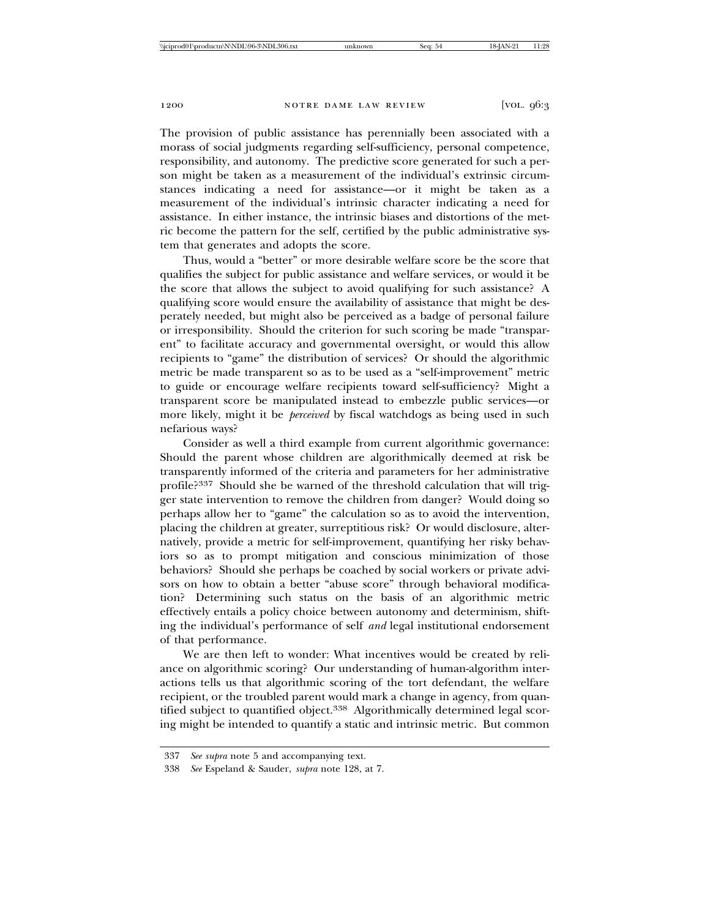The provision of public assistance has perennially been associated with a morass of social judgments regarding self-sufficiency, personal competence, responsibility, and autonomy. The predictive score generated for such a person might be taken as a measurement of the individual's extrinsic circumstances indicating a need for assistance—or it might be taken as a measurement of the individual's intrinsic character indicating a need for assistance. In either instance, the intrinsic biases and distortions of the metric become the pattern for the self, certified by the public administrative system that generates and adopts the score.

Thus, would a "better" or more desirable welfare score be the score that qualifies the subject for public assistance and welfare services, or would it be the score that allows the subject to avoid qualifying for such assistance? A qualifying score would ensure the availability of assistance that might be desperately needed, but might also be perceived as a badge of personal failure or irresponsibility. Should the criterion for such scoring be made "transparent" to facilitate accuracy and governmental oversight, or would this allow recipients to "game" the distribution of services? Or should the algorithmic metric be made transparent so as to be used as a "self-improvement" metric to guide or encourage welfare recipients toward self-sufficiency? Might a transparent score be manipulated instead to embezzle public services—or more likely, might it be *perceived* by fiscal watchdogs as being used in such nefarious ways?

Consider as well a third example from current algorithmic governance: Should the parent whose children are algorithmically deemed at risk be transparently informed of the criteria and parameters for her administrative profile?337 Should she be warned of the threshold calculation that will trigger state intervention to remove the children from danger? Would doing so perhaps allow her to "game" the calculation so as to avoid the intervention, placing the children at greater, surreptitious risk? Or would disclosure, alternatively, provide a metric for self-improvement, quantifying her risky behaviors so as to prompt mitigation and conscious minimization of those behaviors? Should she perhaps be coached by social workers or private advisors on how to obtain a better "abuse score" through behavioral modification? Determining such status on the basis of an algorithmic metric effectively entails a policy choice between autonomy and determinism, shifting the individual's performance of self *and* legal institutional endorsement of that performance.

We are then left to wonder: What incentives would be created by reliance on algorithmic scoring? Our understanding of human-algorithm interactions tells us that algorithmic scoring of the tort defendant, the welfare recipient, or the troubled parent would mark a change in agency, from quantified subject to quantified object.<sup>338</sup> Algorithmically determined legal scoring might be intended to quantify a static and intrinsic metric. But common

<sup>337</sup> *See supra* note 5 and accompanying text.

<sup>338</sup> *See* Espeland & Sauder, *supra* note 128, at 7.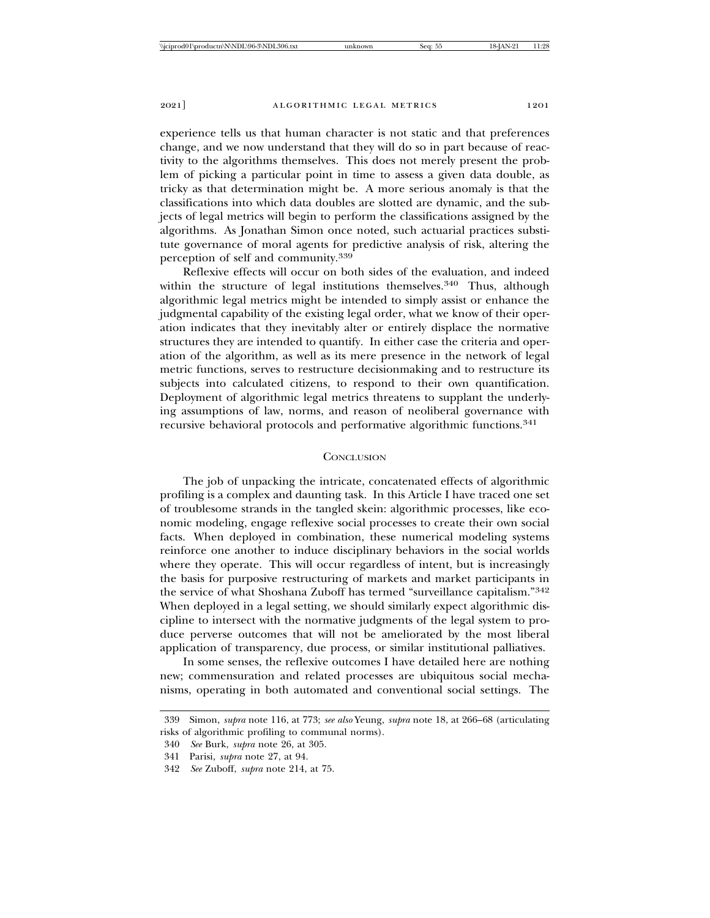experience tells us that human character is not static and that preferences change, and we now understand that they will do so in part because of reactivity to the algorithms themselves. This does not merely present the problem of picking a particular point in time to assess a given data double, as tricky as that determination might be. A more serious anomaly is that the classifications into which data doubles are slotted are dynamic, and the subjects of legal metrics will begin to perform the classifications assigned by the algorithms. As Jonathan Simon once noted, such actuarial practices substitute governance of moral agents for predictive analysis of risk, altering the perception of self and community.<sup>339</sup>

Reflexive effects will occur on both sides of the evaluation, and indeed within the structure of legal institutions themselves.<sup>340</sup> Thus, although algorithmic legal metrics might be intended to simply assist or enhance the judgmental capability of the existing legal order, what we know of their operation indicates that they inevitably alter or entirely displace the normative structures they are intended to quantify. In either case the criteria and operation of the algorithm, as well as its mere presence in the network of legal metric functions, serves to restructure decisionmaking and to restructure its subjects into calculated citizens, to respond to their own quantification. Deployment of algorithmic legal metrics threatens to supplant the underlying assumptions of law, norms, and reason of neoliberal governance with recursive behavioral protocols and performative algorithmic functions.<sup>341</sup>

#### **CONCLUSION**

The job of unpacking the intricate, concatenated effects of algorithmic profiling is a complex and daunting task. In this Article I have traced one set of troublesome strands in the tangled skein: algorithmic processes, like economic modeling, engage reflexive social processes to create their own social facts. When deployed in combination, these numerical modeling systems reinforce one another to induce disciplinary behaviors in the social worlds where they operate. This will occur regardless of intent, but is increasingly the basis for purposive restructuring of markets and market participants in the service of what Shoshana Zuboff has termed "surveillance capitalism."<sup>342</sup> When deployed in a legal setting, we should similarly expect algorithmic discipline to intersect with the normative judgments of the legal system to produce perverse outcomes that will not be ameliorated by the most liberal application of transparency, due process, or similar institutional palliatives.

In some senses, the reflexive outcomes I have detailed here are nothing new; commensuration and related processes are ubiquitous social mechanisms, operating in both automated and conventional social settings. The

<sup>339</sup> Simon, *supra* note 116, at 773; *see also* Yeung, *supra* note 18, at 266–68 (articulating risks of algorithmic profiling to communal norms).

<sup>340</sup> *See* Burk, *supra* note 26, at 305.

<sup>341</sup> Parisi, *supra* note 27, at 94.

<sup>342</sup> *See* Zuboff, *supra* note 214, at 75.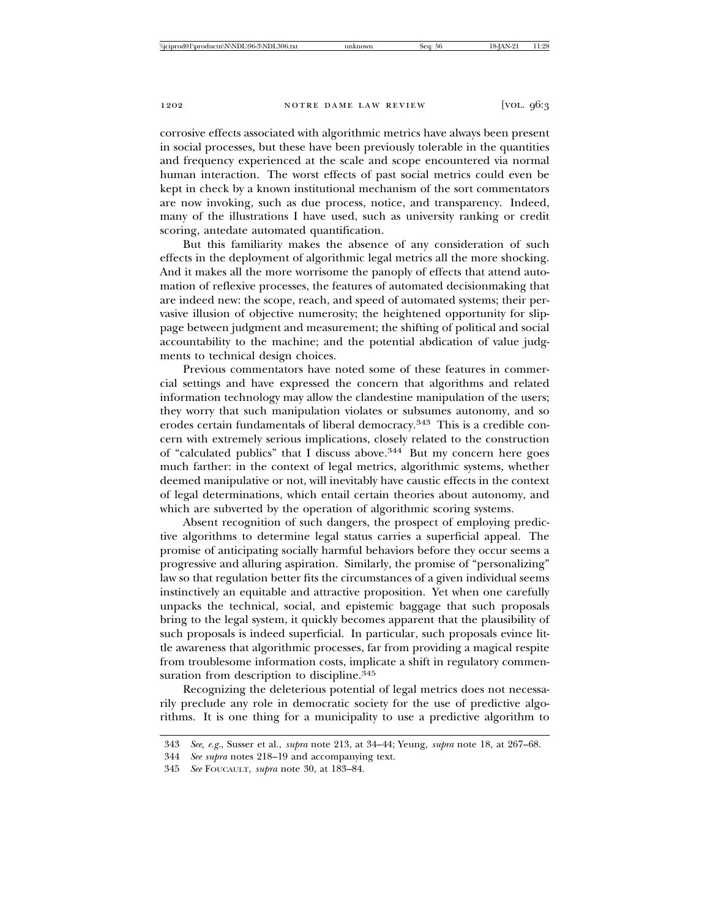corrosive effects associated with algorithmic metrics have always been present in social processes, but these have been previously tolerable in the quantities and frequency experienced at the scale and scope encountered via normal human interaction. The worst effects of past social metrics could even be kept in check by a known institutional mechanism of the sort commentators are now invoking, such as due process, notice, and transparency. Indeed, many of the illustrations I have used, such as university ranking or credit scoring, antedate automated quantification.

But this familiarity makes the absence of any consideration of such effects in the deployment of algorithmic legal metrics all the more shocking. And it makes all the more worrisome the panoply of effects that attend automation of reflexive processes, the features of automated decisionmaking that are indeed new: the scope, reach, and speed of automated systems; their pervasive illusion of objective numerosity; the heightened opportunity for slippage between judgment and measurement; the shifting of political and social accountability to the machine; and the potential abdication of value judgments to technical design choices.

Previous commentators have noted some of these features in commercial settings and have expressed the concern that algorithms and related information technology may allow the clandestine manipulation of the users; they worry that such manipulation violates or subsumes autonomy, and so erodes certain fundamentals of liberal democracy.<sup>343</sup> This is a credible concern with extremely serious implications, closely related to the construction of "calculated publics" that I discuss above.<sup>344</sup> But my concern here goes much farther: in the context of legal metrics, algorithmic systems, whether deemed manipulative or not, will inevitably have caustic effects in the context of legal determinations, which entail certain theories about autonomy, and which are subverted by the operation of algorithmic scoring systems.

Absent recognition of such dangers, the prospect of employing predictive algorithms to determine legal status carries a superficial appeal. The promise of anticipating socially harmful behaviors before they occur seems a progressive and alluring aspiration. Similarly, the promise of "personalizing" law so that regulation better fits the circumstances of a given individual seems instinctively an equitable and attractive proposition. Yet when one carefully unpacks the technical, social, and epistemic baggage that such proposals bring to the legal system, it quickly becomes apparent that the plausibility of such proposals is indeed superficial. In particular, such proposals evince little awareness that algorithmic processes, far from providing a magical respite from troublesome information costs, implicate a shift in regulatory commensuration from description to discipline. $345$ 

Recognizing the deleterious potential of legal metrics does not necessarily preclude any role in democratic society for the use of predictive algorithms. It is one thing for a municipality to use a predictive algorithm to

<sup>343</sup> *See, e.g.*, Susser et al., *supra* note 213, at 34–44; Yeung, *supra* note 18, at 267–68.

<sup>344</sup> *See supra* notes 218–19 and accompanying text.

<sup>345</sup> *See* FOUCAULT, *supra* note 30, at 183–84.